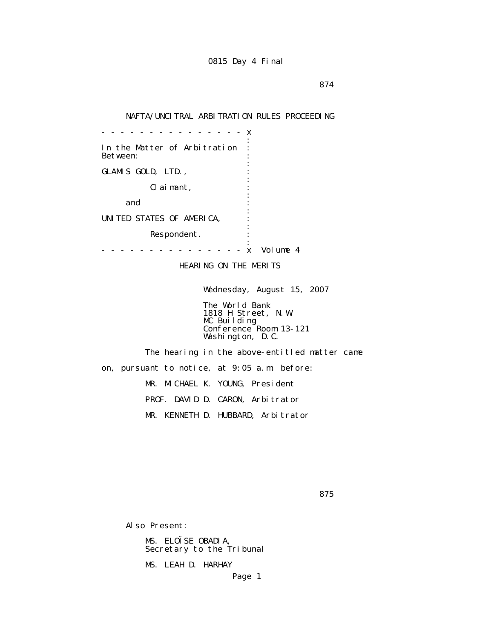## NAFTA/UNCITRAL ARBITRATION RULES PROCEEDING

 - - - - - - - - - - - - - - - x the contract of the contract of the contract of the contract of the contract of the contract of the contract of In the Matter of Arbitration : Between: the contract of the contract of the contract of the contract of the contract of the contract of the contract of GLAMIS GOLD, LTD., the contract of the contract of the contract of the contract of the contract of the contract of the contract of Claimant, : the contract of the contract of the contract of the contract of the contract of the contract of the contract of and  $\cdots$  : the contract of the contract of the contract of the contract of the contract of the contract of the contract of UNITED STATES OF AMERICA, : the contract of the contract of the contract of the contract of the contract of the contract of the contract of Respondent. the contract of the contract of the contract of the contract of the contract of the contract of the contract of - - - - - - - - - - - - - - - x Volume 4

HEARING ON THE MERITS

Wednesday, August 15, 2007

 The World Bank 1818 H Street, N.W. MC Building Conference Room 13-121 Washington, D.C.

 The hearing in the above-entitled matter came on, pursuant to notice, at 9:05 a.m. before: MR. MICHAEL K. YOUNG, President PROF. DAVID D. CARON, Arbitrator MR. KENNETH D. HUBBARD, Arbitrator

<u>875</u> and the state of the state of the state of the state of the state of the state of the state of the state of the state of the state of the state of the state of the state of the state of the state of the state of the

Also Present:

 MS. ELOÏSE OBADIA, Secretary to the Tribunal

MS. LEAH D. HARHAY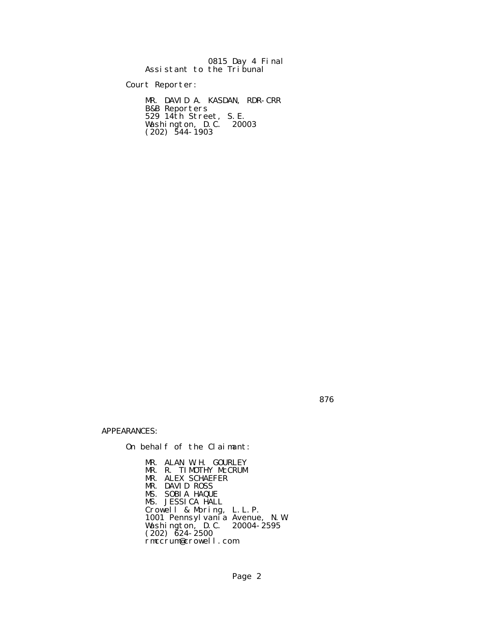|  | 0815 Day 4 Final          |
|--|---------------------------|
|  | Assistant to the Tribunal |

Court Reporter:

 MR. DAVID A. KASDAN, RDR-CRR B&B Reporters 529 14th Street, S.E. Washington, D.C. 20003  $(202)$  544-1903

<u>876 - Britain Barbara, martxa a tsair an t-San Anns an t-San Anns an t-San Anns an t-San Anns an t-San Anns an </u>

APPEARANCES:

On behalf of the Claimant:

 MR. ALAN W.H. GOURLEY MR. R. TIMOTHY McCRUM MR. ALEX SCHAEFER MR. DAVID ROSS MS. SOBIA HAQUE MS. JESSICA HALL Crowell & Moring, L.L.P. 1001 Pennsylvania Avenue, N.W. Washington, D.C. 20004-2595  $(202)$   $\bar{6}24 - 2500$ rmccrum@crowell.com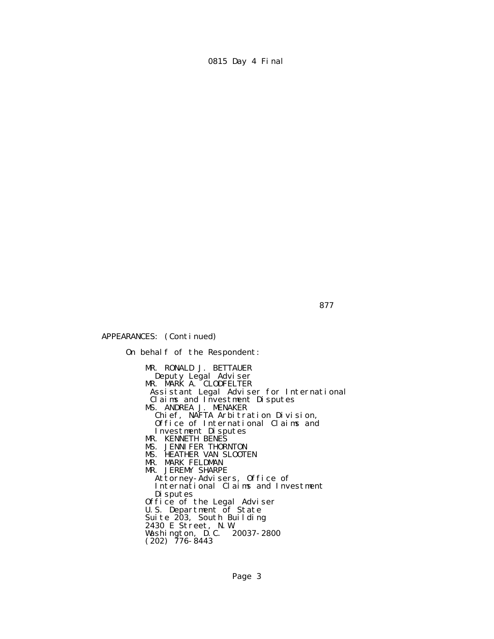APPEARANCES: (Continued)

 On behalf of the Respondent: MR. RONALD J. BETTAUER Deputy Legal Adviser **MR. MARK A. CLODFELTER**  Assistant Legal Adviser for International Claims and Investment Disputes MS. ANDREA J. MENAKER Chief, NAFTA Arbitration Division, Office of International Claims and Investment Disputes MR. KENNETH BENES MS. JENNIFER THORNTON MS. HEATHER VAN SLOOTEN MR. MARK FELDMAN MR. JEREMY SHARPE Attorney-Advisers, Office of International Claims and Investment Disputes Office of the Legal Adviser U.S. Department of State Suite 203, South Building 2430 E Street, N.W. Washington, D.C. 20037-2800  $(202)$  776-8443

877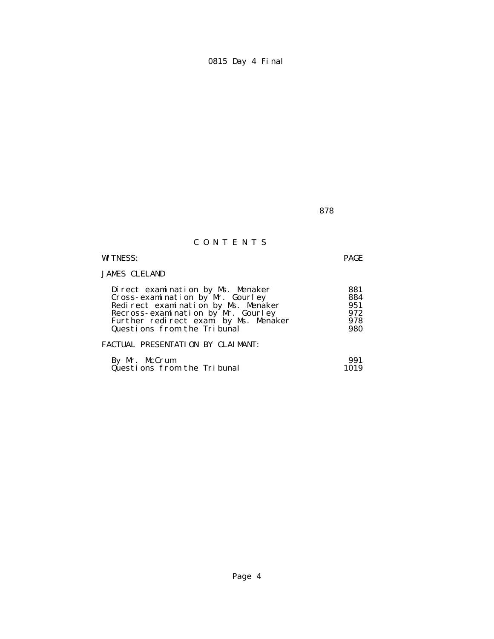<u>878 - Barbara Barat, manazarta (h. 1878).</u>

## C O N T E N T S

## WITNESS: PAGE

## JAMES CLELAND

| Direct examination by Ms. Menaker     | 881 |
|---------------------------------------|-----|
| Cross-examination by Mr. Gourley      | 884 |
| Redirect examination by Ms. Menaker   | 951 |
| Recross-examination by Mr. Gourley    | 972 |
| Further redirect exam. by Ms. Menaker | 978 |
| Questions from the Tribunal           | 980 |
| FACTUAL PRESENTATION BY CLAIMANT:     |     |

### By Mr. McCrum 991 Questions from the Tribunal 1019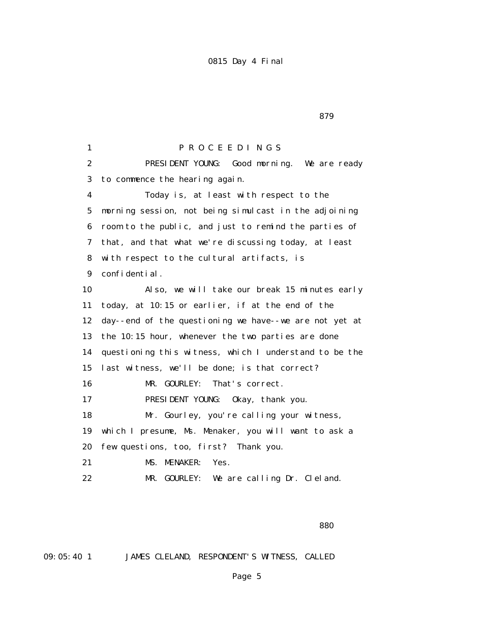1 P R O C E E D I N G S 2 PRESIDENT YOUNG: Good morning. We are ready 3 to commence the hearing again. 4 Today is, at least with respect to the 5 morning session, not being simulcast in the adjoining 6 room to the public, and just to remind the parties of 7 that, and that what we're discussing today, at least 8 with respect to the cultural artifacts, is 9 confidential. 10 Also, we will take our break 15 minutes early 11 today, at 10:15 or earlier, if at the end of the 12 day--end of the questioning we have--we are not yet at 13 the 10:15 hour, whenever the two parties are done 14 questioning this witness, which I understand to be the 15 last witness, we'll be done; is that correct? 16 MR. GOURLEY: That's correct. 17 PRESIDENT YOUNG: Okay, thank you. 18 Mr. Gourley, you're calling your witness, 19 which I presume, Ms. Menaker, you will want to ask a 20 few questions, too, first? Thank you. 21 MS. MENAKER: Yes. 22 MR. GOURLEY: We are calling Dr. Cleland.

<u>and the state of the state of the state of the state of the state of the state of the state of the state of the state of the state of the state of the state of the state of the state of the state of the state of the state</u>

09:05:40 1 JAMES CLELAND, RESPONDENT'S WITNESS, CALLED

Page 5

<u>879 - Britain Barbara, martxa a shekara 1987 - Ann an t-A</u>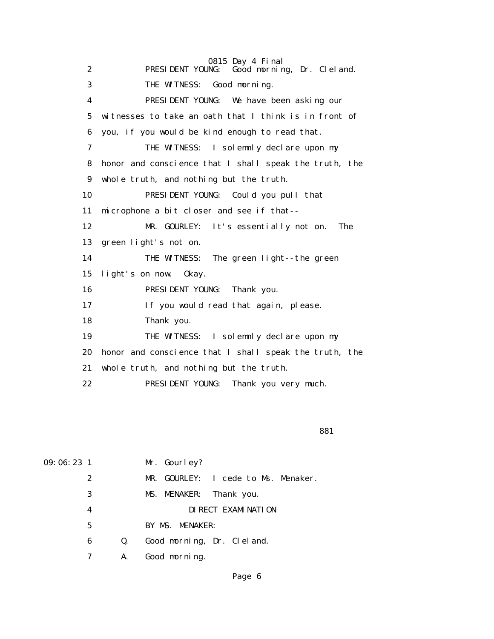| $\mathbf{2}$ | 0815 Day 4 Final<br>NG: Good morning, Dr. Cleland.<br>PRESIDENT YOUNG: |
|--------------|------------------------------------------------------------------------|
| 3            | THE WITNESS: Good morning.                                             |
| 4            | PRESIDENT YOUNG: We have been asking our                               |
| 5            | witnesses to take an oath that I think is in front of                  |
| 6            | you, if you would be kind enough to read that.                         |
| 7            | THE WITNESS: I solemnly declare upon my                                |
| 8            | honor and conscience that I shall speak the truth, the                 |
| 9            | whole truth, and nothing but the truth.                                |
| 10           | PRESIDENT YOUNG: Could you pull that                                   |
| 11           | microphone a bit closer and see if that--                              |
| 12           | MR. GOURLEY: It's essentially not on.<br><b>The</b>                    |
| 13           | green light's not on.                                                  |
| 14           | THE WITNESS: The green light--the green                                |
| 15           | light's on now.<br>0kay.                                               |
| 16           | PRESIDENT YOUNG:<br>Thank you.                                         |
| 17           | If you would read that again, please.                                  |
| 18           | Thank you.                                                             |
| 19           | THE WITNESS: I solemnly declare upon my                                |
| 20           | honor and conscience that I shall speak the truth, the                 |
| 21           | whole truth, and nothing but the truth.                                |
| 22           | PRESIDENT YOUNG:<br>Thank you very much.                               |
|              |                                                                        |

<u>and the state of the state of the state of the state of the state of the state of the state of the state of the state of the state of the state of the state of the state of the state of the state of the state of the state</u>

| 09:06:23 <sub>1</sub> |   |    | Mr. Gourley?                        |
|-----------------------|---|----|-------------------------------------|
|                       | 2 |    | MR. GOURLEY: I cede to Ms. Menaker. |
|                       | 3 |    | MS. MENAKER: Thank you.             |
|                       | 4 |    | DI RECT EXAMI NATI ON               |
|                       | 5 |    | BY MS. MENAKER:                     |
|                       | 6 | Q. | Good morning, Dr. Cleland.          |
|                       |   | A. | Good morning.                       |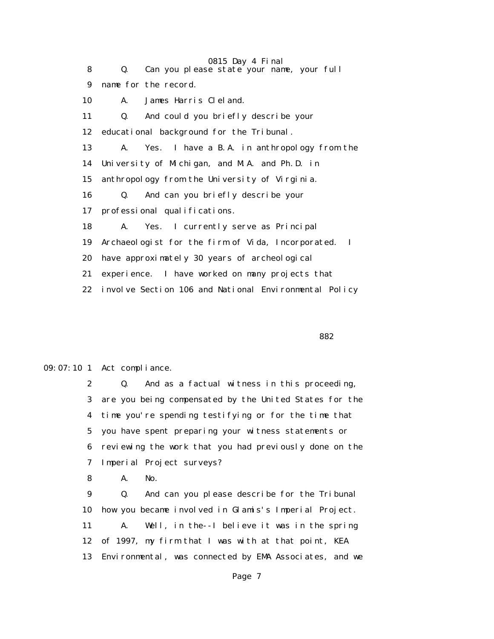|    | 0815 Day 4 Final                                                 |
|----|------------------------------------------------------------------|
| 8  | Can you please state your name, your full<br>Q.                  |
| 9  | name for the record.                                             |
| 10 | James Harris Cleland.<br>A.                                      |
| 11 | And could you briefly describe your<br>Q.                        |
| 12 | educational background for the Tribunal.                         |
| 13 | Yes. I have a B.A. in anthropology from the<br>A.                |
| 14 | University of Michigan, and M.A. and Ph.D. in                    |
| 15 | anthropology from the University of Virginia.                    |
| 16 | And can you briefly describe your<br>Q.                          |
| 17 | professional qualifications.                                     |
| 18 | Yes. I currently serve as Principal<br>A.                        |
| 19 | Archaeologist for the firm of Vida, Incorporated.<br>$\mathbf I$ |
| 20 | have approximately 30 years of archeological                     |
| 21 | experience. I have worked on many projects that                  |
| 22 | involve Section 106 and National Environmental Policy            |
|    |                                                                  |

<u>and the state of the state of the state of the state of the state of the state of the state of the state of the state of the state of the state of the state of the state of the state of the state of the state of the state</u>

09:07:10 1 Act compliance.

 2 Q. And as a factual witness in this proceeding, 3 are you being compensated by the United States for the 4 time you're spending testifying or for the time that 5 you have spent preparing your witness statements or 6 reviewing the work that you had previously done on the 7 Imperial Project surveys?

8 A. No.

 9 Q. And can you please describe for the Tribunal 10 how you became involved in Glamis's Imperial Project. 11 A. Well, in the--I believe it was in the spring 12 of 1997, my firm that I was with at that point, KEA 13 Environmental, was connected by EMA Associates, and we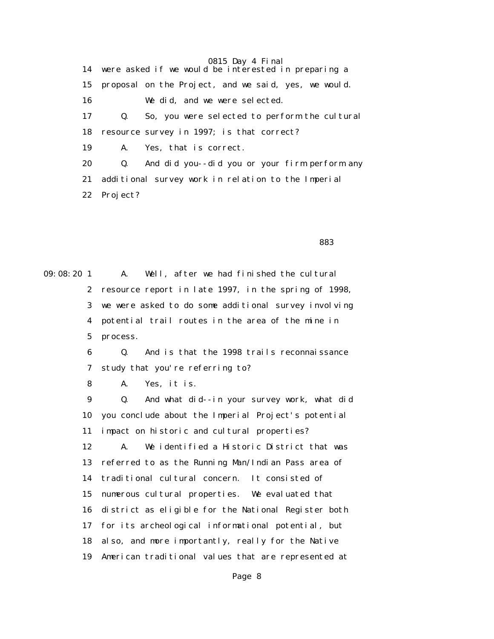0815 Day 4 Final 14 were asked if we would be interested in preparing a 15 proposal on the Project, and we said, yes, we would. 16 We did, and we were selected. 17 Q. So, you were selected to perform the cultural 18 resource survey in 1997; is that correct? 19 A. Yes, that is correct. 20 Q. And did you--did you or your firm perform any 21 additional survey work in relation to the Imperial 22 Project?

<u>and the state of the state of the state of the state of the state of the state of the state of the state of the state of the state of the state of the state of the state of the state of the state of the state of the state</u>

09:08:20 1 A. Well, after we had finished the cultural 2 resource report in late 1997, in the spring of 1998, 3 we were asked to do some additional survey involving 4 potential trail routes in the area of the mine in 5 process.

> 6 Q. And is that the 1998 trails reconnaissance 7 study that you're referring to?

8 A. Yes, it is.

 9 Q. And what did--in your survey work, what did 10 you conclude about the Imperial Project's potential 11 impact on historic and cultural properties? 12 A. We identified a Historic District that was 13 referred to as the Running Man/Indian Pass area of 14 traditional cultural concern. It consisted of 15 numerous cultural properties. We evaluated that 16 district as eligible for the National Register both 17 for its archeological informational potential, but 18 also, and more importantly, really for the Native 19 American traditional values that are represented at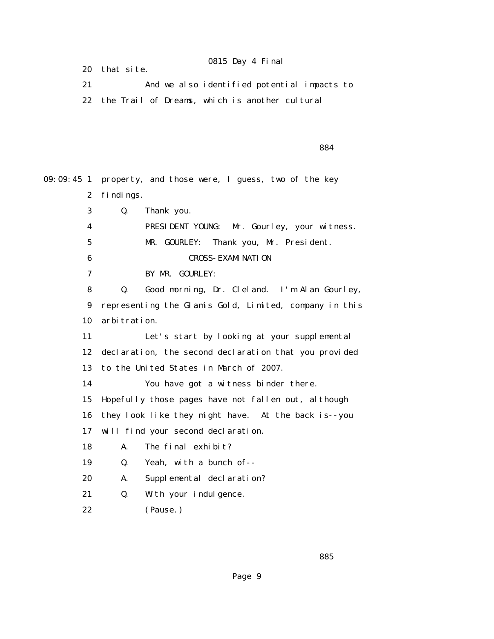20 that site.

 21 And we also identified potential impacts to 22 the Trail of Dreams, which is another cultural

<u>and the state of the state of the state of the state of the state of the state of the state of the state of the state of the state of the state of the state of the state of the state of the state of the state of the state</u>

09:09:45 1 property, and those were, I guess, two of the key 2 findings. 3 Q. Thank you. 4 PRESIDENT YOUNG: Mr. Gourley, your witness. 5 MR. GOURLEY: Thank you, Mr. President. 6 CROSS-EXAMINATION 7 BY MR. GOURLEY: 8 Q. Good morning, Dr. Cleland. I'm Alan Gourley, 9 representing the Glamis Gold, Limited, company in this 10 arbitration. 11 Let's start by looking at your supplemental 12 declaration, the second declaration that you provided 13 to the United States in March of 2007. 14 You have got a witness binder there. 15 Hopefully those pages have not fallen out, although 16 they look like they might have. At the back is--you 17 will find your second declaration. 18 A. The final exhibit? 19 Q. Yeah, with a bunch of-- 20 A. Supplemental declaration? 21 Q. With your indulgence. 22 (Pause.)

<u>and the state of the state of the state of the state of the state of the state of the state of the state of the state of the state of the state of the state of the state of the state of the state of the state of the state</u>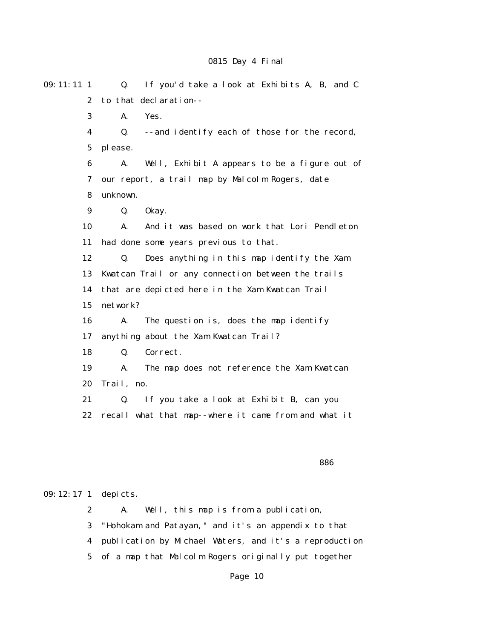| $09:11:11$ 1     | If you'd take a look at Exhibits A, B, and C<br>Q.   |
|------------------|------------------------------------------------------|
| $\boldsymbol{2}$ | to that declaration--                                |
| 3                | Yes.<br>A.                                           |
| $\boldsymbol{4}$ | -- and identify each of those for the record,<br>Q.  |
| $\mathbf 5$      | please.                                              |
| $\bf{6}$         | Well, Exhibit A appears to be a figure out of<br>А.  |
| 7                | our report, a trail map by Malcolm Rogers, date      |
| 8                | unknown.                                             |
| 9                | Q.<br>0kay.                                          |
| 10               | And it was based on work that Lori Pendleton<br>A.   |
| 11               | had done some years previous to that.                |
| 12               | Q.<br>Does anything in this map identify the Xam     |
| 13               | Kwatcan Trail or any connection between the trails   |
| 14               | that are depicted here in the Xam Kwatcan Trail      |
| 15               | network?                                             |
| 16               | The question is, does the map identify<br>A.         |
| 17               | anything about the Xam Kwatcan Trail?                |
| 18               | Q.<br>Correct.                                       |
| 19               | The map does not reference the Xam Kwatcan<br>А.     |
| 20               | Trail, no.                                           |
| 21               | If you take a look at Exhibit B, can you<br>Q.       |
| 22               | recall what that map--where it came from and what it |
|                  |                                                      |
|                  |                                                      |
|                  | 886                                                  |

09:12:17 1 depicts.

 2 A. Well, this map is from a publication, 3 "Hohokam and Patayan," and it's an appendix to that 4 publication by Michael Waters, and it's a reproduction 5 of a map that Malcolm Rogers originally put together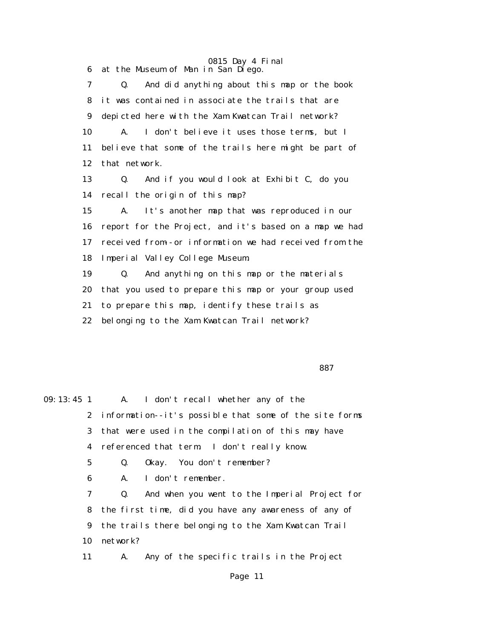0815 Day 4 Final 6 at the Museum of Man in San Diego. 7 Q. And did anything about this map or the book 8 it was contained in associate the trails that are 9 depicted here with the Xam Kwatcan Trail network? 10 A. I don't believe it uses those terms, but I 11 believe that some of the trails here might be part of 12 that network. 13 Q. And if you would look at Exhibit C, do you 14 recall the origin of this map? 15 A. It's another map that was reproduced in our 16 report for the Project, and it's based on a map we had 17 received from--or information we had received from the 18 Imperial Valley College Museum. 19 Q. And anything on this map or the materials 20 that you used to prepare this map or your group used 21 to prepare this map, identify these trails as 22 belonging to the Xam Kwatcan Trail network?

<u>and the state of the state of the state of the state of the state of the state of the state of the state of the state of the state of the state of the state of the state of the state of the state of the state of the state</u>

09:13:45 1 A. I don't recall whether any of the 2 information--it's possible that some of the site forms 3 that were used in the compilation of this may have 4 referenced that term. I don't really know. 5 Q. Okay. You don't remember? 6 A. I don't remember. 7 Q. And when you went to the Imperial Project for 8 the first time, did you have any awareness of any of 9 the trails there belonging to the Xam Kwatcan Trail 10 network? 11 A. Any of the specific trails in the Project Page 11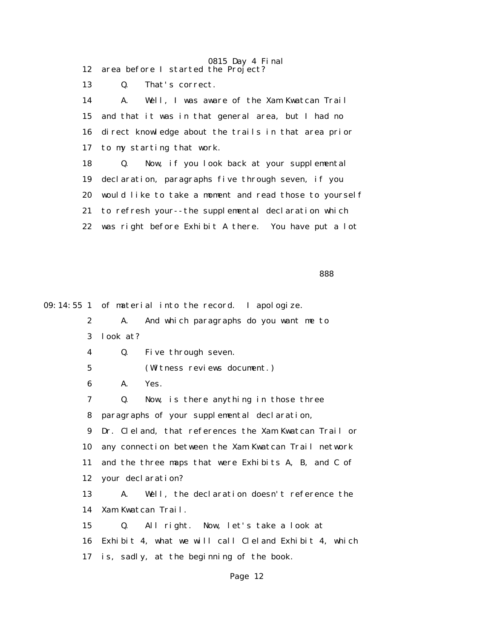0815 Day 4 Final 12 area before I started the Project?

13 Q. That's correct.

 14 A. Well, I was aware of the Xam Kwatcan Trail 15 and that it was in that general area, but I had no 16 direct knowledge about the trails in that area prior 17 to my starting that work. 18 Q. Now, if you look back at your supplemental 19 declaration, paragraphs five through seven, if you 20 would like to take a moment and read those to yourself 21 to refresh your--the supplemental declaration which 22 was right before Exhibit A there. You have put a lot

<u>and the contract of the contract of the contract of the contract of the contract of the contract of the contract of the contract of the contract of the contract of the contract of the contract of the contract of the contr</u>

09:14:55 1 of material into the record. I apologize.

 2 A. And which paragraphs do you want me to 3 look at? 4 Q. Five through seven. 5 (Witness reviews document.) 6 A. Yes. 7 Q. Now, is there anything in those three 8 paragraphs of your supplemental declaration, 9 Dr. Cleland, that references the Xam Kwatcan Trail or 10 any connection between the Xam Kwatcan Trail network 11 and the three maps that were Exhibits A, B, and C of 12 your declaration? 13 A. Well, the declaration doesn't reference the 14 Xam Kwatcan Trail. 15 Q. All right. Now, let's take a look at 16 Exhibit 4, what we will call Cleland Exhibit 4, which 17 is, sadly, at the beginning of the book.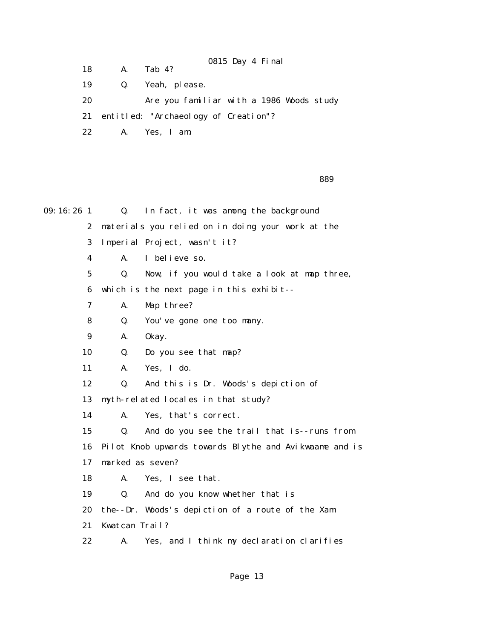18 A. Tab 4?

19 Q. Yeah, please.

 20 Are you familiar with a 1986 Woods study 21 entitled: "Archaeology of Creation"?

0815 Day 4 Final

22 A. Yes, I am.

<u>and the state of the state of the state of the state of the state of the state of the state of the state of the state of the state of the state of the state of the state of the state of the state of the state of the state</u>

| $09:16:26$ 1    | $\mathbf{Q}$ .   | In fact, it was among the background                   |
|-----------------|------------------|--------------------------------------------------------|
| $\mathbf{2}$    |                  | materials you relied on in doing your work at the      |
| 3               |                  | Imperial Project, wasn't it?                           |
| 4               | A.               | I believe so.                                          |
| $5\overline{ }$ | Q.               | Now, if you would take a look at map three,            |
| 6               |                  | which is the next page in this exhibit--               |
| 7               | A.               | Map three?                                             |
| 8               | Q.               | You've gone one too many.                              |
| 9               | A.               | 0kay.                                                  |
| 10              | Q.               | Do you see that map?                                   |
| 11              | A.               | Yes, I do.                                             |
| 12              | Q.               | And this is Dr. Woods's depiction of                   |
| 13              |                  | myth-related locales in that study?                    |
| 14              | A.               | Yes, that's correct.                                   |
| 15              | Q.               | And do you see the trail that is--runs from            |
| 16              |                  | Pilot Knob upwards towards Blythe and Avikwaame and is |
| 17              | marked as seven? |                                                        |
| 18              | A.               | Yes, I see that.                                       |
| 19              | Q.               | And do you know whether that is                        |
| 20              |                  | the--Dr. Woods's depiction of a route of the Xam       |
| 21              | Kwatcan Trail?   |                                                        |
| 22              | A.               | Yes, and I think my declaration clarifies              |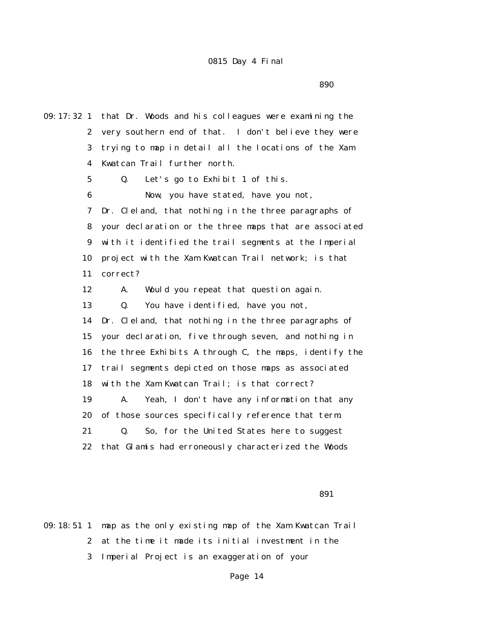<u>1990 - San Amerikaanse konstantine († 1958)</u>

09:17:32 1 that Dr. Woods and his colleagues were examining the 2 very southern end of that. I don't believe they were 3 trying to map in detail all the locations of the Xam 4 Kwatcan Trail further north. 5 Q. Let's go to Exhibit 1 of this. 6 Now, you have stated, have you not, 7 Dr. Cleland, that nothing in the three paragraphs of 8 your declaration or the three maps that are associated 9 with it identified the trail segments at the Imperial 10 project with the Xam Kwatcan Trail network; is that 11 correct? 12 A. Would you repeat that question again. 13 Q. You have identified, have you not, 14 Dr. Cleland, that nothing in the three paragraphs of 15 your declaration, five through seven, and nothing in 16 the three Exhibits A through C, the maps, identify the 17 trail segments depicted on those maps as associated 18 with the Xam Kwatcan Trail; is that correct? 19 A. Yeah, I don't have any information that any 20 of those sources specifically reference that term. 21 Q. So, for the United States here to suggest 22 that Glamis had erroneously characterized the Woods

 $891$ 

09:18:51 1 map as the only existing map of the Xam Kwatcan Trail 2 at the time it made its initial investment in the 3 Imperial Project is an exaggeration of your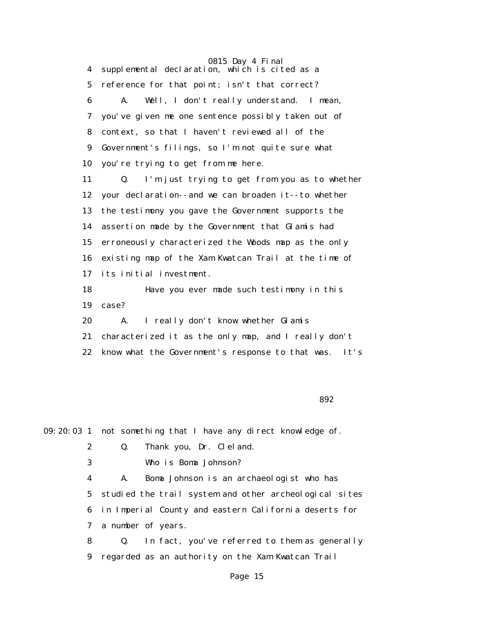0815 Day 4 Final 4 supplemental declaration, which is cited as a 5 reference for that point; isn't that correct? 6 A. Well, I don't really understand. I mean, 7 you've given me one sentence possibly taken out of 8 context, so that I haven't reviewed all of the 9 Government's filings, so I'm not quite sure what 10 you're trying to get from me here. 11 Q. I'm just trying to get from you as to whether 12 your declaration--and we can broaden it--to whether 13 the testimony you gave the Government supports the 14 assertion made by the Government that Glamis had 15 erroneously characterized the Woods map as the only 16 existing map of the Xam Kwatcan Trail at the time of 17 its initial investment. 18 Have you ever made such testimony in this 19 case? 20 A. I really don't know whether Glamis 21 characterized it as the only map, and I really don't 22 know what the Government's response to that was. It's

 $892$ 

09:20:03 1 not something that I have any direct knowledge of.

- 2 Q. Thank you, Dr. Cleland.
- 3 Who is Boma Johnson?

 4 A. Boma Johnson is an archaeologist who has 5 studied the trail system and other archeological sites 6 in Imperial County and eastern California deserts for 7 a number of years.

 8 Q. In fact, you've referred to them as generally 9 regarded as an authority on the Xam Kwatcan Trail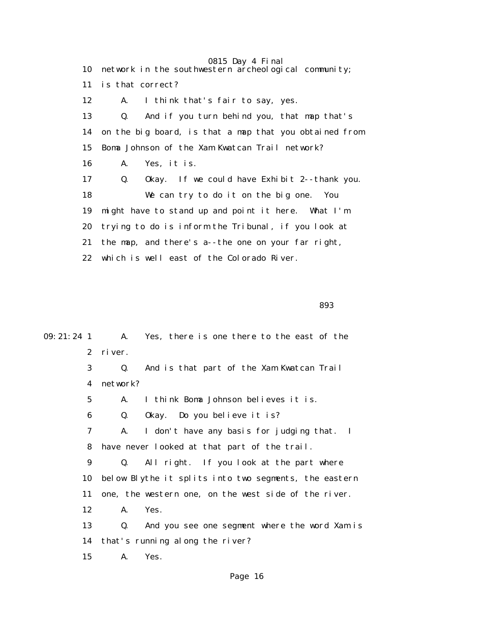0815 Day 4 Final 10 network in the southwestern archeological community; 11 is that correct? 12 A. I think that's fair to say, yes. 13 Q. And if you turn behind you, that map that's 14 on the big board, is that a map that you obtained from 15 Boma Johnson of the Xam Kwatcan Trail network? 16 A. Yes, it is. 17 Q. Okay. If we could have Exhibit 2--thank you. 18 We can try to do it on the big one. You 19 might have to stand up and point it here. What I'm 20 trying to do is inform the Tribunal, if you look at 21 the map, and there's a--the one on your far right, 22 which is well east of the Colorado River.

<u>893 - Andrea Stadt Brazil, amerikan amerikan antzera (h. 1893).</u>

| $09: 21: 24$ 1 |             | A. Yes, there is one there to the east of the         |
|----------------|-------------|-------------------------------------------------------|
|                | $2^{\circ}$ | river.                                                |
|                | 3           | And is that part of the Xam Kwatcan Trail<br>Q.       |
|                | 4           | network?                                              |
|                | $5^{\circ}$ | I think Boma Johnson believes it is.<br>A.            |
|                | 6           | Q.<br>Okay. Do you believe it is?                     |
|                | 7           | I don't have any basis for judging that. I<br>A.      |
|                | 8           | have never looked at that part of the trail.          |
|                | 9           | All right. If you look at the part where<br>Q.        |
|                | 10          | below Blythe it splits into two segments, the eastern |
|                | 11          | one, the western one, on the west side of the river.  |
|                | 12          | A.<br>Yes.                                            |
|                | 13          | And you see one segment where the word Xam is<br>Q.   |
|                | 14          | that's running along the river?                       |
|                | 15          | A.<br>Yes.                                            |
|                |             |                                                       |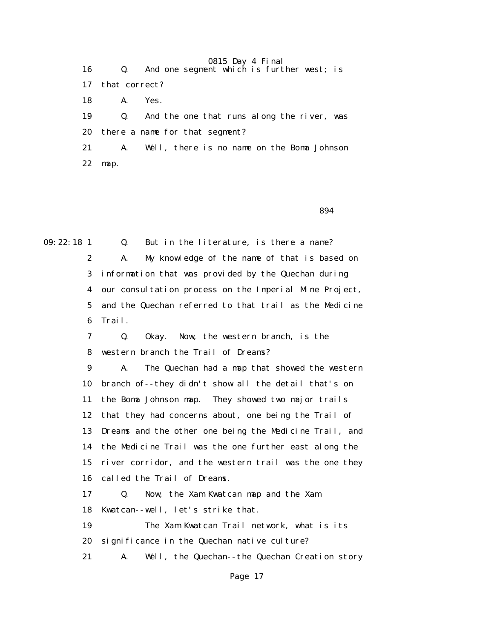16 Q. And one segment which is further west; is 17 that correct? 18 A. Yes. 19 Q. And the one that runs along the river, was 20 there a name for that segment? 21 A. Well, there is no name on the Boma Johnson 22 map.

 $894$ 

09:22:18 1 Q. But in the literature, is there a name?

 2 A. My knowledge of the name of that is based on 3 information that was provided by the Quechan during 4 our consultation process on the Imperial Mine Project, 5 and the Quechan referred to that trail as the Medicine 6 Trail.

 7 Q. Okay. Now, the western branch, is the 8 western branch the Trail of Dreams?

 9 A. The Quechan had a map that showed the western 10 branch of--they didn't show all the detail that's on 11 the Boma Johnson map. They showed two major trails 12 that they had concerns about, one being the Trail of 13 Dreams and the other one being the Medicine Trail, and 14 the Medicine Trail was the one further east along the 15 river corridor, and the western trail was the one they 16 called the Trail of Dreams.

 17 Q. Now, the Xam Kwatcan map and the Xam 18 Kwatcan--well, let's strike that.

 19 The Xam Kwatcan Trail network, what is its 20 significance in the Quechan native culture?

21 A. Well, the Quechan--the Quechan Creation story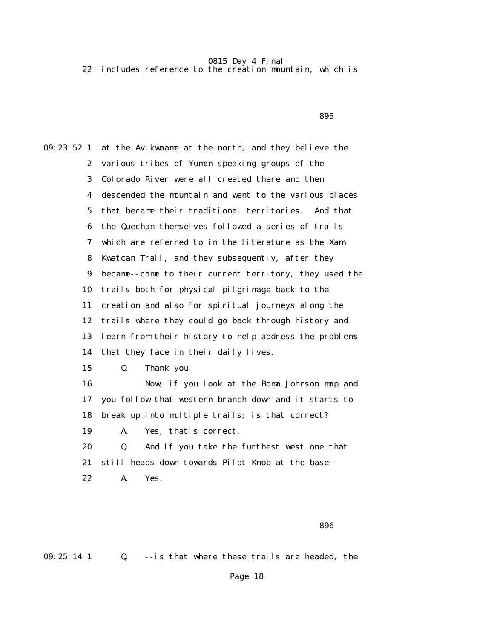22 includes reference to the creation mountain, which is

<u>1995 - Andrea Stadt British, amerikan beste beste beste beste beste beste beste beste beste beste bes</u>

09:23:52 1 at the Avikwaame at the north, and they believe the 2 various tribes of Yuman-speaking groups of the 3 Colorado River were all created there and then 4 descended the mountain and went to the various places 5 that became their traditional territories. And that 6 the Quechan themselves followed a series of trails 7 which are referred to in the literature as the Xam 8 Kwatcan Trail, and they subsequently, after they 9 became--came to their current territory, they used the 10 trails both for physical pilgrimage back to the 11 creation and also for spiritual journeys along the 12 trails where they could go back through history and 13 learn from their history to help address the problems 14 that they face in their daily lives. 15 Q. Thank you. 16 Now, if you look at the Boma Johnson map and 17 you follow that western branch down and it starts to 18 break up into multiple trails; is that correct? 19 A. Yes, that's correct. 20 Q. And If you take the furthest west one that 21 still heads down towards Pilot Knob at the base-- 22 A. Yes.

<u>1986 - Andrej Sterne Sterne Sterne Sterne Sterne Sterne Sterne Sterne Sterne Sterne Sterne Sterne Sterne Ste</u>

09:25:14 1 Q. --is that where these trails are headed, the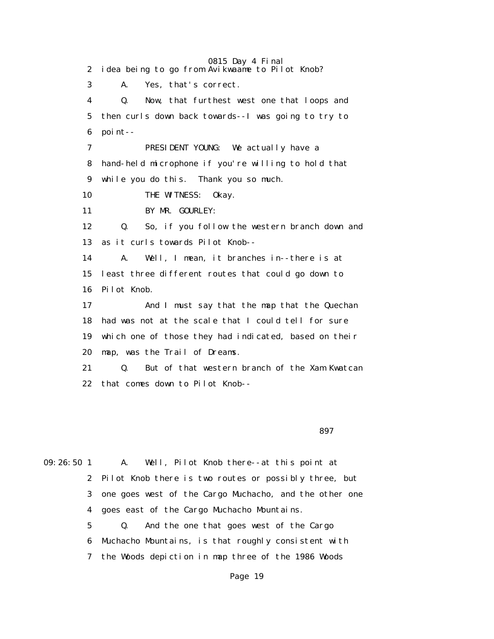0815 Day 4 Final 2 idea being to go from Avikwaame to Pilot Knob? 3 A. Yes, that's correct. 4 Q. Now, that furthest west one that loops and 5 then curls down back towards--I was going to try to 6 point-- 7 PRESIDENT YOUNG: We actually have a 8 hand-held microphone if you're willing to hold that 9 while you do this. Thank you so much. 10 THE WITNESS: 0kay. 11 BY MR. GOURLEY: 12 Q. So, if you follow the western branch down and 13 as it curls towards Pilot Knob-- 14 A. Well, I mean, it branches in--there is at 15 least three different routes that could go down to 16 Pilot Knob. 17 And I must say that the map that the Quechan 18 had was not at the scale that I could tell for sure 19 which one of those they had indicated, based on their 20 map, was the Trail of Dreams. 21 Q. But of that western branch of the Xam Kwatcan 22 that comes down to Pilot Knob--

 $897$ 

09:26:50 1 A. Well, Pilot Knob there--at this point at 2 Pilot Knob there is two routes or possibly three, but 3 one goes west of the Cargo Muchacho, and the other one 4 goes east of the Cargo Muchacho Mountains. 5 Q. And the one that goes west of the Cargo 6 Muchacho Mountains, is that roughly consistent with 7 the Woods depiction in map three of the 1986 Woods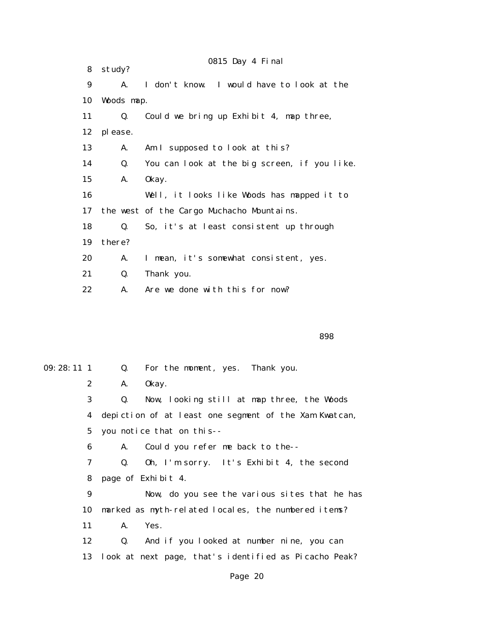|    |            | 0815 Day 4 Final                             |
|----|------------|----------------------------------------------|
| 8  | study?     |                                              |
| 9  | A.         | I don't know. I would have to look at the    |
| 10 | Woods map. |                                              |
| 11 | Q.         | Could we bring up Exhibit 4, map three,      |
| 12 | please.    |                                              |
| 13 | A.         | Am I supposed to look at this?               |
| 14 | Q.         | You can look at the big screen, if you like. |
| 15 | A.         | 0kay.                                        |
| 16 |            | Well, it looks like Woods has mapped it to   |
| 17 |            | the west of the Cargo Muchacho Mountains.    |
| 18 | Q.         | So, it's at least consistent up through      |
| 19 | there?     |                                              |
| 20 | A.         | I mean, it's somewhat consistent, yes.       |
| 21 | Q.         | Thank you.                                   |
| 22 | A.         | Are we done with this for now?               |
|    |            |                                              |

<u>898 - Andrea Stadt Bronze, amerikan basar dan berasal di sebagai sebagai sebagai sebagai sebagai sebagai seba</u>

09:28:11 1 Q. For the moment, yes. Thank you. 2 A. Okay. 3 Q. Now, looking still at map three, the Woods 4 depiction of at least one segment of the Xam Kwatcan, 5 you notice that on this-- 6 A. Could you refer me back to the-- 7 Q. Oh, I'm sorry. It's Exhibit 4, the second 8 page of Exhibit 4. 9 Now, do you see the various sites that he has 10 marked as myth-related locales, the numbered items? 11 A. Yes. 12 Q. And if you looked at number nine, you can 13 look at next page, that's identified as Picacho Peak?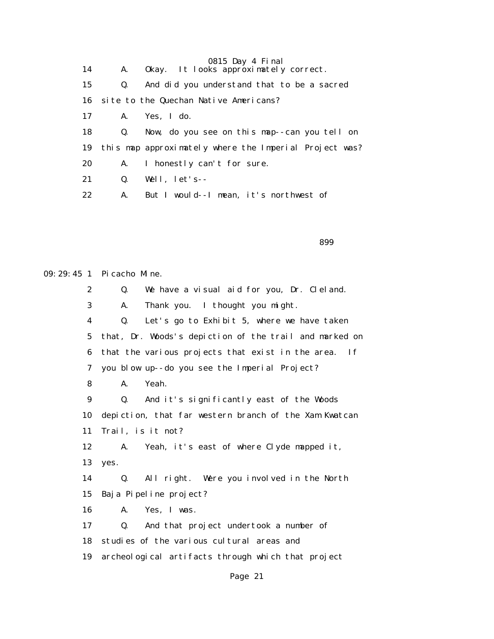|    |                | 0815 Day 4 Final                                       |
|----|----------------|--------------------------------------------------------|
| 14 | A.             | Okay. It looks approximately correct.                  |
| 15 | Q.             | And did you understand that to be a sacred             |
| 16 |                | site to the Quechan Native Americans?                  |
| 17 |                | A. Yes, I do.                                          |
| 18 | $\mathbf{Q}$ . | Now, do you see on this map--can you tell on           |
| 19 |                | this map approximately where the Imperial Project was? |
| 20 | A.             | I honestly can't for sure.                             |
| 21 | Q.             | Well, $let's--$                                        |
| 22 | A.             | But I would--I mean, it's northwest of                 |

<u>1999 - Andrej Sterne Sterne Sterne Sterne Sterne Sterne Sterne Sterne Sterne Sterne Sterne Sterne Sterne Ste</u>

09:29:45 1 Picacho Mine. 2 Q. We have a visual aid for you, Dr. Cleland. 3 A. Thank you. I thought you might. 4 Q. Let's go to Exhibit 5, where we have taken 5 that, Dr. Woods's depiction of the trail and marked on 6 that the various projects that exist in the area. If 7 you blow up--do you see the Imperial Project? 8 A. Yeah. 9 Q. And it's significantly east of the Woods 10 depiction, that far western branch of the Xam Kwatcan 11 Trail, is it not? 12 A. Yeah, it's east of where Clyde mapped it, 13 yes. 14 Q. All right. Were you involved in the North 15 Baja Pipeline project? 16 A. Yes, I was. 17 Q. And that project undertook a number of 18 studies of the various cultural areas and 19 archeological artifacts through which that project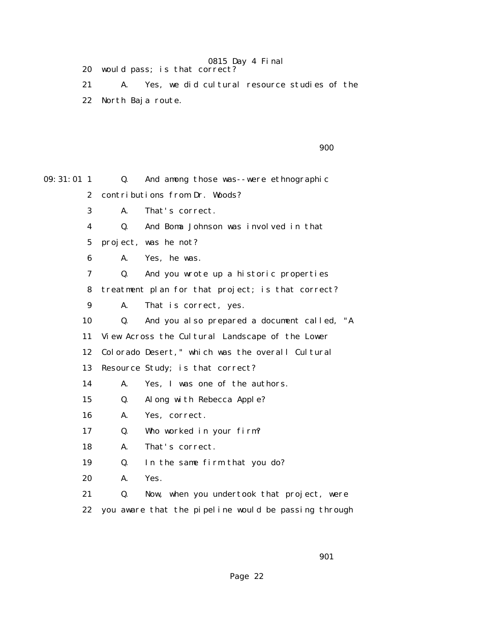20 would pass; is that correct?

 21 A. Yes, we did cultural resource studies of the 22 North Baja route.

900

| $09:31:01$ 1 | Q. | And among those was--were ethnographic               |
|--------------|----|------------------------------------------------------|
| $\mathbf{2}$ |    | contributions from Dr. Woods?                        |
| 3            | А. | That's correct.                                      |
| 4            | Q. | And Boma Johnson was involved in that                |
| 5            |    | project, was he not?                                 |
| 6            | A. | Yes, he was.                                         |
| 7            | Q. | And you wrote up a historic properties               |
| 8            |    | treatment plan for that project; is that correct?    |
| 9            | A. | That is correct, yes.                                |
| 10           | Q. | And you also prepared a document called, "A          |
| 11           |    | View Across the Cultural Landscape of the Lower      |
| 12           |    | Colorado Desert, " which was the overall Cultural    |
| 13           |    | Resource Study; is that correct?                     |
| 14           | A. | Yes, I was one of the authors.                       |
| 15           | Q. | Along with Rebecca Apple?                            |
| 16           | A. | Yes, correct.                                        |
| 17           | Q. | Who worked in your firm?                             |
| 18           | A. | That's correct.                                      |
| 19           | Q. | In the same firm that you do?                        |
| 20           | A. | Yes.                                                 |
| 21           | Q. | Now, when you undertook that project, were           |
| 22           |    | you aware that the pipeline would be passing through |

901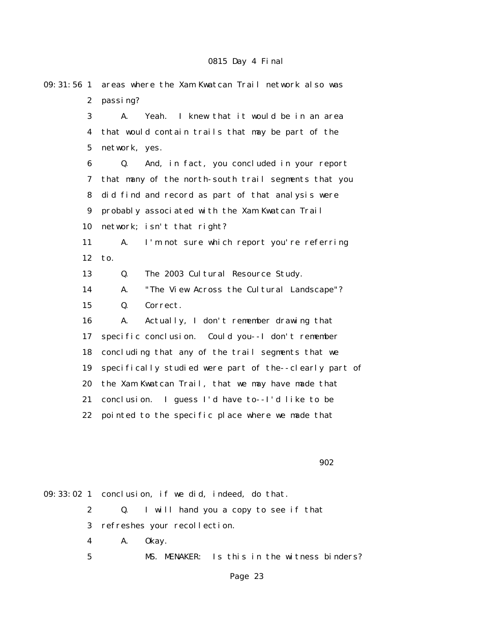| $09:31:56$ 1     | areas where the Xam Kwatcan Trail network also was     |
|------------------|--------------------------------------------------------|
| $\boldsymbol{2}$ | passing?                                               |
| 3                | I knew that it would be in an area<br>A.<br>Yeah.      |
| $\boldsymbol{4}$ | that would contain trails that may be part of the      |
| $\mathbf 5$      | network, yes.                                          |
| 6                | And, in fact, you concluded in your report<br>Q.       |
| 7                | that many of the north-south trail segments that you   |
| 8                | did find and record as part of that analysis were      |
| $\boldsymbol{9}$ | probably associated with the Xam Kwatcan Trail         |
| 10               | network; isn't that right?                             |
| 11               | I'm not sure which report you're referring<br>A.       |
| 12               | to.                                                    |
| 13               | Q.<br>The 2003 Cultural Resource Study.                |
| 14               | "The View Across the Cultural Landscape"?<br>A.        |
| 15               | Q.<br>Correct.                                         |
| 16               | Actually, I don't remember drawing that<br>A.          |
| 17               | specific conclusion. Could you--I don't remember       |
| 18               | concluding that any of the trail segments that we      |
| 19               | specifically studied were part of the--clearly part of |
| 20               | the Xam Kwatcan Trail, that we may have made that      |
| 21               | conclusion. I guess I'd have to--I'd like to be        |
| 22               | pointed to the specific place where we made that       |
|                  |                                                        |
|                  |                                                        |
|                  | 902                                                    |

09:33:02 1 conclusion, if we did, indeed, do that. 2 Q. I will hand you a copy to see if that 3 refreshes your recollection. 4 A. Okay. 5 MS. MENAKER: Is this in the witness binders?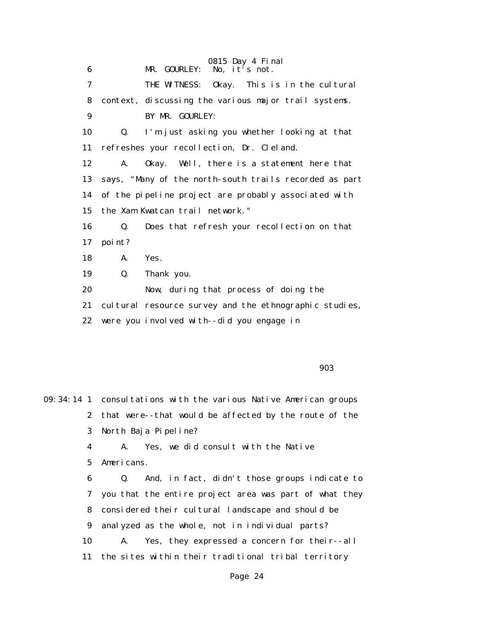| 6  | 0815 Day 4 Final<br>No, it's not.<br>MR. GOURLEY:      |
|----|--------------------------------------------------------|
| 7  | THE WITNESS: Okay. This is in the cultural             |
| 8  | context, discussing the various major trail systems.   |
| 9  | BY MR. GOURLEY:                                        |
| 10 | I'm just asking you whether looking at that<br>Q.      |
| 11 | refreshes your recollection, Dr. Cleland.              |
| 12 | A.<br>Okay. Well, there is a statement here that       |
| 13 | says, "Many of the north-south trails recorded as part |
| 14 | of the pipeline project are probably associated with   |
| 15 | the Xam Kwatcan trail network."                        |
| 16 | Q.<br>Does that refresh your recollection on that      |
| 17 | point?                                                 |
| 18 | Yes.<br>A.                                             |
| 19 | Q.<br>Thank you.                                       |
| 20 | Now, during that process of doing the                  |
| 21 | cultural resource survey and the ethnographic studies, |
| 22 | were you involved with--did you engage in              |
|    |                                                        |
|    |                                                        |

en 1990 de la construcción de la construcción de la construcción de la construcción de la construcción de la c

09:34:14 1 consultations with the various Native American groups 2 that were--that would be affected by the route of the 3 North Baja Pipeline? 4 A. Yes, we did consult with the Native 5 Americans. 6 Q. And, in fact, didn't those groups indicate to 7 you that the entire project area was part of what they 8 considered their cultural landscape and should be 9 analyzed as the whole, not in individual parts? 10 A. Yes, they expressed a concern for their--all 11 the sites within their traditional tribal territory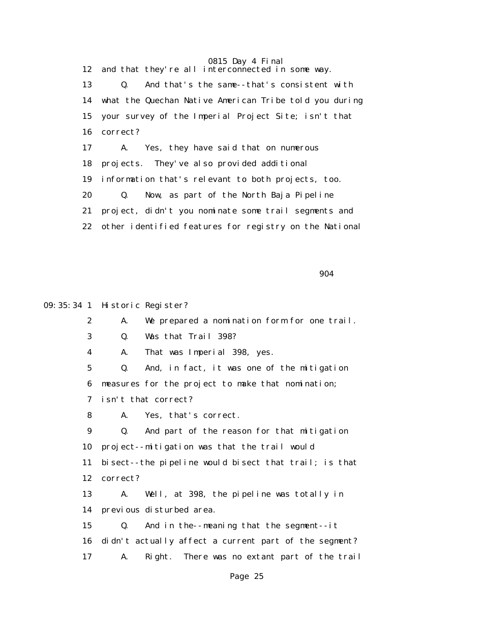12 and that they're all interconnected in some way. 13 Q. And that's the same--that's consistent with 14 what the Quechan Native American Tribe told you during 15 your survey of the Imperial Project Site; isn't that 16 correct? 17 A. Yes, they have said that on numerous 18 projects. They've also provided additional 19 information that's relevant to both projects, too. 20 Q. Now, as part of the North Baja Pipeline 21 project, didn't you nominate some trail segments and 22 other identified features for registry on the National

 $\sim$  904  $\sim$  904  $\sim$  904  $\sim$ 

09:35:34 1 Historic Register?

 2 A. We prepared a nomination form for one trail. 3 Q. Was that Trail 398? 4 A. That was Imperial 398, yes. 5 Q. And, in fact, it was one of the mitigation 6 measures for the project to make that nomination; 7 isn't that correct? 8 A. Yes, that's correct. 9 Q. And part of the reason for that mitigation 10 project--mitigation was that the trail would 11 bisect--the pipeline would bisect that trail; is that 12 correct? 13 A. Well, at 398, the pipeline was totally in 14 previous disturbed area. 15 Q. And in the--meaning that the segment--it 16 didn't actually affect a current part of the segment? 17 A. Right. There was no extant part of the trail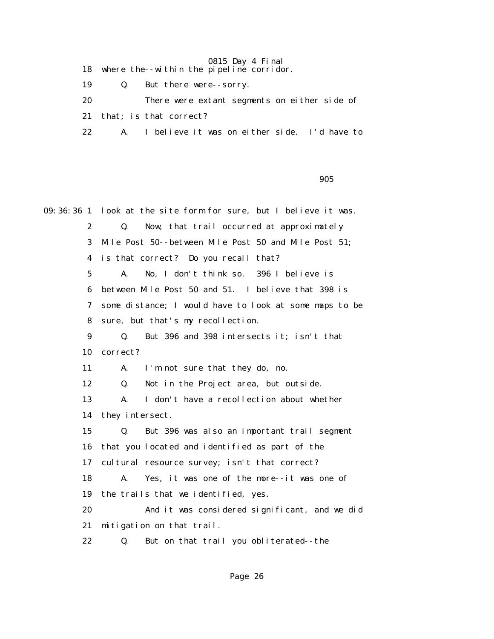18 where the--within the pipeline corridor.

19 Q. But there were--sorry.

20 There were extant segments on either side of

21 that; is that correct?

22 A. I believe it was on either side. I'd have to

en 1990 de la construcción de la construcción de la construcción de la construcción de la construcción de la c<br>1905 de la construcción de la construcción de la construcción de la construcción de la construcción de la cons

09:36:36 1 look at the site form for sure, but I believe it was. 2 Q. Now, that trail occurred at approximately 3 Mile Post 50--between Mile Post 50 and Mile Post 51; 4 is that correct? Do you recall that? 5 A. No, I don't think so. 396 I believe is 6 between Mile Post 50 and 51. I believe that 398 is 7 some distance; I would have to look at some maps to be 8 sure, but that's my recollection. 9 Q. But 396 and 398 intersects it; isn't that 10 correct? 11 A. I'm not sure that they do, no. 12 Q. Not in the Project area, but outside. 13 A. I don't have a recollection about whether 14 they intersect. 15 Q. But 396 was also an important trail segment 16 that you located and identified as part of the 17 cultural resource survey; isn't that correct? 18 A. Yes, it was one of the more--it was one of 19 the trails that we identified, yes. 20 And it was considered significant, and we did 21 mitigation on that trail. 22 Q. But on that trail you obliterated--the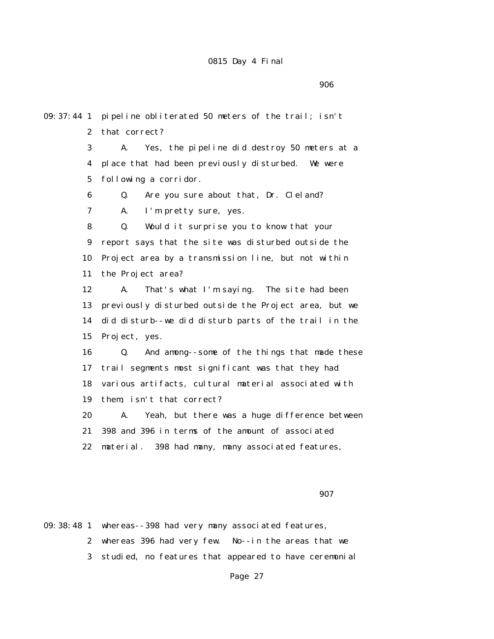en de la construcción de la construcción de la construcción de la construcción de la construcción de la constr

09:37:44 1 pipeline obliterated 50 meters of the trail; isn't 2 that correct? 3 A. Yes, the pipeline did destroy 50 meters at a 4 place that had been previously disturbed. We were 5 following a corridor. 6 Q. Are you sure about that, Dr. Cleland? 7 A. I'm pretty sure, yes. 8 Q. Would it surprise you to know that your 9 report says that the site was disturbed outside the 10 Project area by a transmission line, but not within 11 the Project area? 12 A. That's what I'm saying. The site had been 13 previously disturbed outside the Project area, but we 14 did disturb--we did disturb parts of the trail in the 15 Project, yes. 16 Q. And among--some of the things that made these 17 trail segments most significant was that they had 18 various artifacts, cultural material associated with 19 them; isn't that correct? 20 A. Yeah, but there was a huge difference between 21 398 and 396 in terms of the amount of associated 22 material. 398 had many, many associated features, 907

09:38:48 1 whereas--398 had very many associated features, 2 whereas 396 had very few. No--in the areas that we 3 studied, no features that appeared to have ceremonial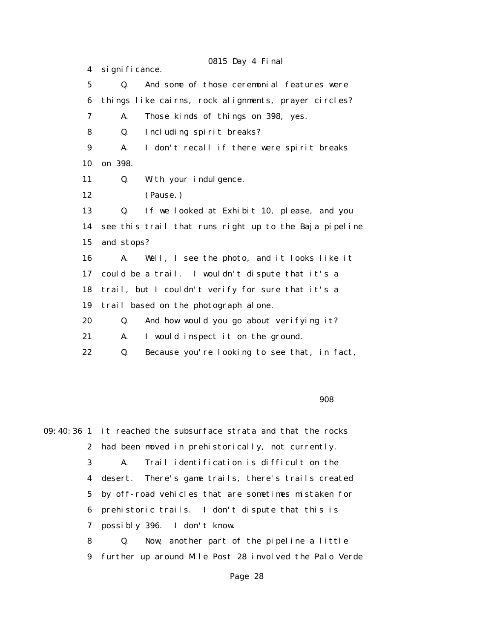0815 Day 4 Final 4 significance. 5 Q. And some of those ceremonial features were 6 things like cairns, rock alignments, prayer circles? 7 A. Those kinds of things on 398, yes. 8 Q. Including spirit breaks? 9 A. I don't recall if there were spirit breaks 10 on 398. 11 Q. With your indulgence. 12 (Pause.) 13 Q. If we looked at Exhibit 10, please, and you 14 see this trail that runs right up to the Baja pipeline 15 and stops? 16 A. Well, I see the photo, and it looks like it 17 could be a trail. I wouldn't dispute that it's a 18 trail, but I couldn't verify for sure that it's a 19 trail based on the photograph alone. 20 Q. And how would you go about verifying it? 21 A. I would inspect it on the ground. 22 Q. Because you're looking to see that, in fact,

en de la construcción de la construcción de la construcción de la construcción de la construcción de la constr

09:40:36 1 it reached the subsurface strata and that the rocks 2 had been moved in prehistorically, not currently. 3 A. Trail identification is difficult on the 4 desert. There's game trails, there's trails created 5 by off-road vehicles that are sometimes mistaken for 6 prehistoric trails. I don't dispute that this is 7 possibly 396. I don't know. 8 Q. Now, another part of the pipeline a little 9 further up around Mile Post 28 involved the Palo Verde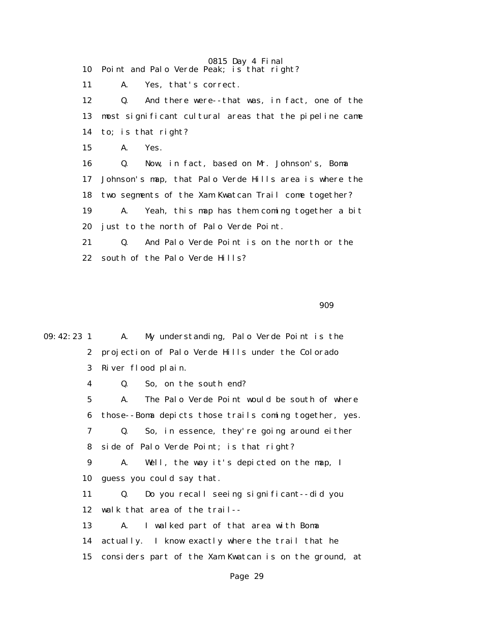10 Point and Palo Verde Peak; is that right?

11 A. Yes, that's correct.

 12 Q. And there were--that was, in fact, one of the 13 most significant cultural areas that the pipeline came 14 to; is that right? 15 A. Yes. 16 Q. Now, in fact, based on Mr. Johnson's, Boma

 17 Johnson's map, that Palo Verde Hills area is where the 18 two segments of the Xam Kwatcan Trail come together? 19 A. Yeah, this map has them coming together a bit 20 just to the north of Palo Verde Point.

 21 Q. And Palo Verde Point is on the north or the 22 south of the Palo Verde Hills?

909

09:42:23 1 A. My understanding, Palo Verde Point is the 2 projection of Palo Verde Hills under the Colorado 3 River flood plain. 4 Q. So, on the south end? 5 A. The Palo Verde Point would be south of where 6 those--Boma depicts those trails coming together, yes. 7 Q. So, in essence, they're going around either 8 side of Palo Verde Point; is that right? 9 A. Well, the way it's depicted on the map, I 10 guess you could say that. 11 Q. Do you recall seeing significant--did you 12 walk that area of the trail-- 13 A. I walked part of that area with Boma 14 actually. I know exactly where the trail that he 15 considers part of the Xam Kwatcan is on the ground, at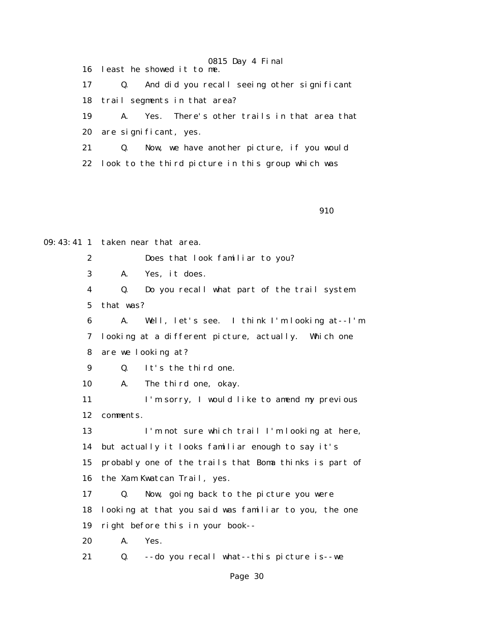16 least he showed it to me.

 17 Q. And did you recall seeing other significant 18 trail segments in that area?

19 A. Yes. There's other trails in that area that

20 are significant, yes.

 21 Q. Now, we have another picture, if you would 22 look to the third picture in this group which was

910

09:43:41 1 taken near that area.

2 Does that look familiar to you?

3 A. Yes, it does.

 4 Q. Do you recall what part of the trail system 5 that was?

 6 A. Well, let's see. I think I'm looking at--I'm 7 looking at a different picture, actually. Which one 8 are we looking at?

9 Q. It's the third one.

10 A. The third one, okay.

11 I'm sorry, I would like to amend my previous 12 comments.

 13 I'm not sure which trail I'm looking at here, 14 but actually it looks familiar enough to say it's 15 probably one of the trails that Boma thinks is part of 16 the Xam Kwatcan Trail, yes.

 17 Q. Now, going back to the picture you were 18 looking at that you said was familiar to you, the one 19 right before this in your book--

20 A. Yes.

21 Q. --do you recall what--this picture is--we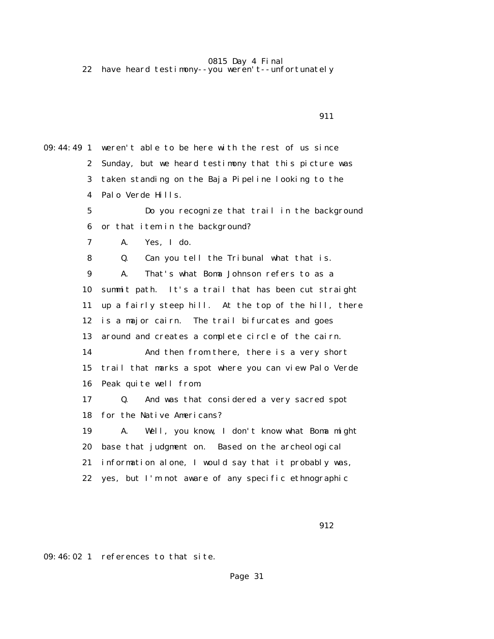22 have heard testimony--you weren't--unfortunately

 911 09:44:49 1 weren't able to be here with the rest of us since 2 Sunday, but we heard testimony that this picture was 3 taken standing on the Baja Pipeline looking to the 4 Palo Verde Hills. 5 Do you recognize that trail in the background 6 or that item in the background? 7 A. Yes, I do. 8 Q. Can you tell the Tribunal what that is. 9 A. That's what Boma Johnson refers to as a 10 summit path. It's a trail that has been cut straight 11 up a fairly steep hill. At the top of the hill, there 12 is a major cairn. The trail bifurcates and goes 13 around and creates a complete circle of the cairn. 14 And then from there, there is a very short 15 trail that marks a spot where you can view Palo Verde 16 Peak quite well from. 17 Q. And was that considered a very sacred spot 18 for the Native Americans? 19 A. Well, you know, I don't know what Boma might 20 base that judgment on. Based on the archeological 21 information alone, I would say that it probably was, 22 yes, but I'm not aware of any specific ethnographic

912

09:46:02 1 references to that site.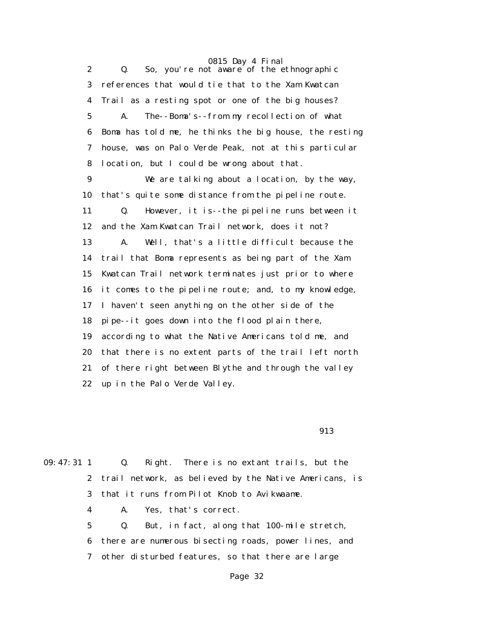2 Q. So, you're not aware of the ethnographic 3 references that would tie that to the Xam Kwatcan 4 Trail as a resting spot or one of the big houses? 5 A. The--Boma's--from my recollection of what 6 Boma has told me, he thinks the big house, the resting 7 house, was on Palo Verde Peak, not at this particular 8 location, but I could be wrong about that. 9 We are talking about a location, by the way, 10 that's quite some distance from the pipeline route. 11 Q. However, it is--the pipeline runs between it 12 and the Xam Kwatcan Trail network, does it not? 13 A. Well, that's a little difficult because the 14 trail that Boma represents as being part of the Xam 15 Kwatcan Trail network terminates just prior to where 16 it comes to the pipeline route; and, to my knowledge, 17 I haven't seen anything on the other side of the 18 pipe--it goes down into the flood plain there, 19 according to what the Native Americans told me, and 20 that there is no extent parts of the trail left north 21 of there right between Blythe and through the valley 22 up in the Palo Verde Valley.

913

| $09:47:31$ 1 | Q. Right. There is no extant trails, but the                 |
|--------------|--------------------------------------------------------------|
|              | 2 trail network, as believed by the Native Americans, is     |
|              | 3 that it runs from Pilot Knob to Avikwaame.                 |
|              | A. Yes, that's correct.<br>$\overline{\mathbf{4}}$           |
| $5-$         | But, in fact, along that 100-mile stretch,<br>$\mathbf{Q}$ . |
|              | 6 there are numerous bisecting roads, power lines, and       |
|              | 7 other disturbed features, so that there are large          |
|              |                                                              |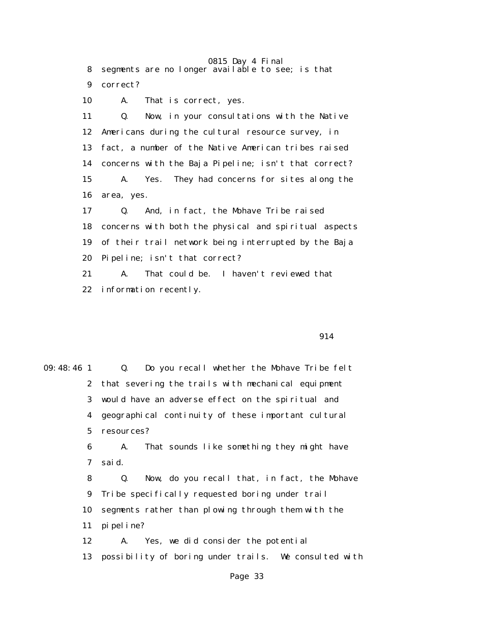0815 Day 4 Final 8 segments are no longer available to see; is that 9 correct? 10 A. That is correct, yes. 11 Q. Now, in your consultations with the Native 12 Americans during the cultural resource survey, in 13 fact, a number of the Native American tribes raised

 14 concerns with the Baja Pipeline; isn't that correct? 15 A. Yes. They had concerns for sites along the 16 area, yes.

 17 Q. And, in fact, the Mohave Tribe raised 18 concerns with both the physical and spiritual aspects 19 of their trail network being interrupted by the Baja 20 Pipeline; isn't that correct?

 21 A. That could be. I haven't reviewed that 22 information recently.

914

| $09:48:46$ 1   | $\mathbf{Q}$ .<br>Do you recall whether the Mohave Tribe felt |  |  |  |
|----------------|---------------------------------------------------------------|--|--|--|
|                | 2 that severing the trails with mechanical equipment          |  |  |  |
|                | 3 would have an adverse effect on the spiritual and           |  |  |  |
|                | 4 geographical continuity of these important cultural         |  |  |  |
| 5 <sup>5</sup> | resources?                                                    |  |  |  |
| 6              | That sounds like something they might have<br>A.              |  |  |  |
| 7              | sai d.                                                        |  |  |  |
| 8              | Now, do you recall that, in fact, the Mohave<br>Q.            |  |  |  |
| 9              | Tribe specifically requested boring under trail               |  |  |  |
| 10             | segments rather than plowing through them with the            |  |  |  |
| 11             | pi pel i ne?                                                  |  |  |  |
| 12             | Yes, we did consider the potential<br>A.                      |  |  |  |
| 13             | possibility of boring under trails. We consulted with         |  |  |  |
|                |                                                               |  |  |  |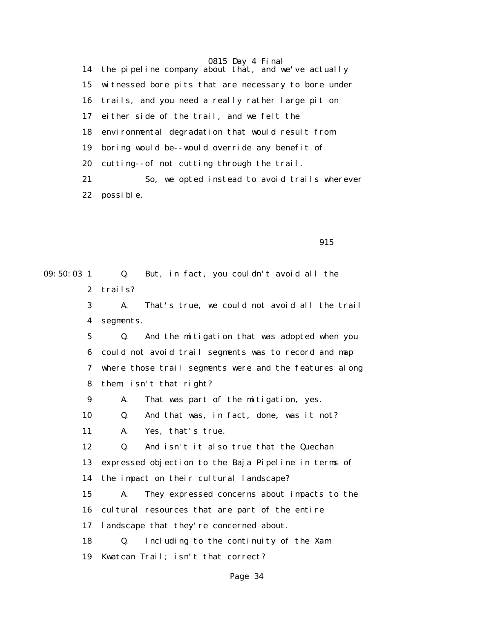14 the pipeline company about that, and we've actually 15 witnessed bore pits that are necessary to bore under 16 trails, and you need a really rather large pit on 17 either side of the trail, and we felt the 18 environmental degradation that would result from 19 boring would be--would override any benefit of 20 cutting--of not cutting through the trail. 21 So, we opted instead to avoid trails wherever 22 possible.

915

09:50:03 1 Q. But, in fact, you couldn't avoid all the 2 trails? 3 A. That's true, we could not avoid all the trail 4 segments. 5 Q. And the mitigation that was adopted when you 6 could not avoid trail segments was to record and map 7 where those trail segments were and the features along 8 them; isn't that right? 9 A. That was part of the mitigation, yes. 10 Q. And that was, in fact, done, was it not? 11 A. Yes, that's true. 12 Q. And isn't it also true that the Quechan 13 expressed objection to the Baja Pipeline in terms of 14 the impact on their cultural landscape? 15 A. They expressed concerns about impacts to the 16 cultural resources that are part of the entire 17 landscape that they're concerned about. 18 Q. Including to the continuity of the Xam 19 Kwatcan Trail; isn't that correct?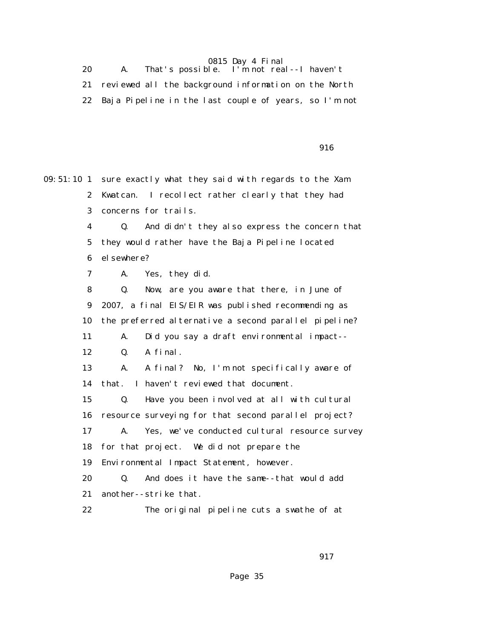0815 Day 4 Final<br>That's possible. I'm not rea 20 A. That's possible. I'm not real--I haven't 21 reviewed all the background information on the North 22 Baja Pipeline in the last couple of years, so I'm not

916

09:51:10 1 sure exactly what they said with regards to the Xam 2 Kwatcan. I recollect rather clearly that they had 3 concerns for trails. 4 Q. And didn't they also express the concern that 5 they would rather have the Baja Pipeline located 6 elsewhere? 7 A. Yes, they did. 8 Q. Now, are you aware that there, in June of 9 2007, a final EIS/EIR was published recommending as 10 the preferred alternative a second parallel pipeline? 11 A. Did you say a draft environmental impact-- 12 Q. A final. 13 A. A final? No, I'm not specifically aware of 14 that. I haven't reviewed that document. 15 Q. Have you been involved at all with cultural 16 resource surveying for that second parallel project? 17 A. Yes, we've conducted cultural resource survey 18 for that project. We did not prepare the 19 Environmental Impact Statement, however. 20 Q. And does it have the same--that would add 21 another--strike that. 22 The original pipeline cuts a swathe of at

<u>917</u>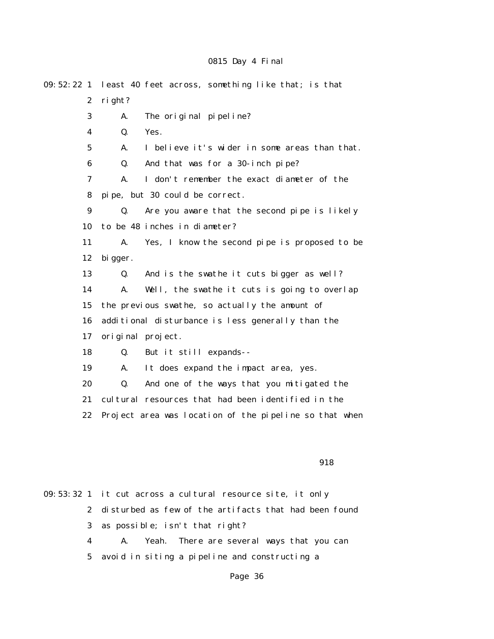| 09:52:221        |                                                   | least 40 feet across, something like that; is that     |  |
|------------------|---------------------------------------------------|--------------------------------------------------------|--|
| $\boldsymbol{2}$ | right?                                            |                                                        |  |
| 3                | A.                                                | The original pipeline?                                 |  |
| $\boldsymbol{4}$ | Q.                                                | Yes.                                                   |  |
| $\mathbf 5$      | A.                                                | I believe it's wider in some areas than that.          |  |
| 6                | Q.                                                | And that was for a 30-inch pipe?                       |  |
| 7                | A.                                                | I don't remember the exact diameter of the             |  |
| 8                |                                                   | pipe, but 30 could be correct.                         |  |
| $\boldsymbol{9}$ | Q.                                                | Are you aware that the second pipe is likely           |  |
| 10               |                                                   | to be 48 inches in diameter?                           |  |
| 11               | A.                                                | Yes, I know the second pipe is proposed to be          |  |
| 12               | bi gger.                                          |                                                        |  |
| 13               | Q.                                                | And is the swathe it cuts bigger as well?              |  |
| 14               | A.                                                | Well, the swathe it cuts is going to overlap           |  |
| 15               | the previous swathe, so actually the amount of    |                                                        |  |
| 16               | additional disturbance is less generally than the |                                                        |  |
| 17               |                                                   | original project.                                      |  |
| 18               | Q.                                                | But it still expands--                                 |  |
| 19               | A.                                                | It does expand the impact area, yes.                   |  |
| 20               | Q.                                                | And one of the ways that you mitigated the             |  |
| 21               |                                                   | cultural resources that had been identified in the     |  |
| 22               |                                                   | Project area was location of the pipeline so that when |  |
|                  |                                                   |                                                        |  |
|                  |                                                   |                                                        |  |

### 918

09:53:32 1 it cut across a cultural resource site, it only 2 disturbed as few of the artifacts that had been found 3 as possible; isn't that right? 4 A. Yeah. There are several ways that you can 5 avoid in siting a pipeline and constructing a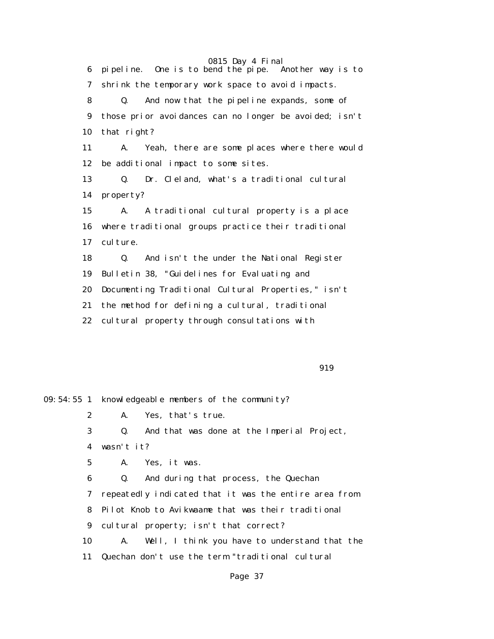0815 Day 4 Final<br>end the pipe. Another way is to 6 pipeline. One is to bend the pipe. 7 shrink the temporary work space to avoid impacts. 8 Q. And now that the pipeline expands, some of 9 those prior avoidances can no longer be avoided; isn't 10 that right? 11 A. Yeah, there are some places where there would 12 be additional impact to some sites. 13 Q. Dr. Cleland, what's a traditional cultural 14 property? 15 A. A traditional cultural property is a place 16 where traditional groups practice their traditional 17 culture. 18 Q. And isn't the under the National Register 19 Bulletin 38, "Guidelines for Evaluating and 20 Documenting Traditional Cultural Properties," isn't 21 the method for defining a cultural, traditional 22 cultural property through consultations with

919

09:54:55 1 knowledgeable members of the community? 2 A. Yes, that's true.

> 3 Q. And that was done at the Imperial Project, 4 wasn't it?

5 A. Yes, it was.

 6 Q. And during that process, the Quechan 7 repeatedly indicated that it was the entire area from 8 Pilot Knob to Avikwaame that was their traditional 9 cultural property; isn't that correct? 10 A. Well, I think you have to understand that the 11 Quechan don't use the term "traditional cultural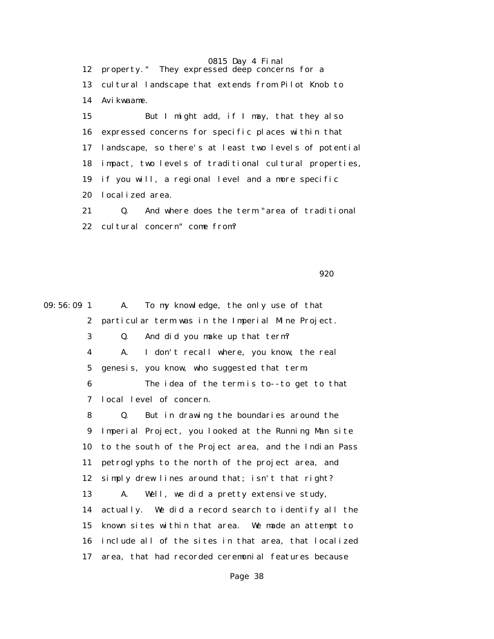0815 Day 4 Final 12 property." They expressed deep concerns for a 13 cultural landscape that extends from Pilot Knob to 14 Avikwaame. 15 But I might add, if I may, that they also 16 expressed concerns for specific places within that 17 landscape, so there's at least two levels of potential 18 impact, two levels of traditional cultural properties, 19 if you will, a regional level and a more specific 20 localized area. 21 Q. And where does the term "area of traditional

22 cultural concern" come from?

920

09:56:09 1 A. To my knowledge, the only use of that 2 particular term was in the Imperial Mine Project. 3 Q. And did you make up that term? 4 A. I don't recall where, you know, the real 5 genesis, you know, who suggested that term. 6 The idea of the term is to--to get to that 7 local level of concern. 8 Q. But in drawing the boundaries around the 9 Imperial Project, you looked at the Running Man site 10 to the south of the Project area, and the Indian Pass 11 petroglyphs to the north of the project area, and 12 simply drew lines around that; isn't that right? 13 A. Well, we did a pretty extensive study, 14 actually. We did a record search to identify all the 15 known sites within that area. We made an attempt to 16 include all of the sites in that area, that localized 17 area, that had recorded ceremonial features because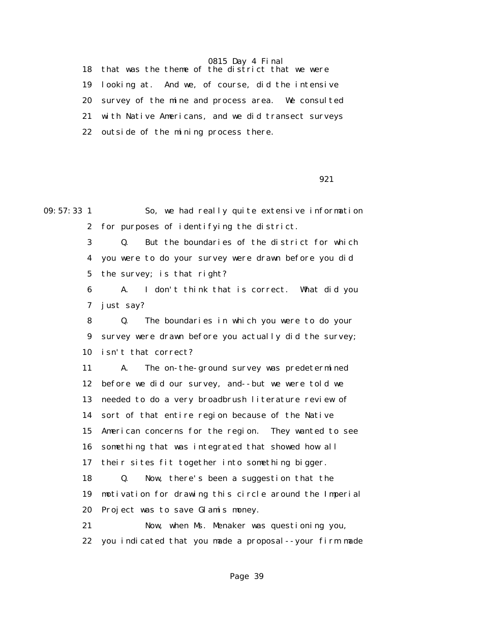18 that was the theme of the district that we were 19 looking at. And we, of course, did the intensive 20 survey of the mine and process area. We consulted 21 with Native Americans, and we did transect surveys 22 outside of the mining process there.

 $921$ 

09:57:33 1 So, we had really quite extensive information 2 for purposes of identifying the district. 3 Q. But the boundaries of the district for which 4 you were to do your survey were drawn before you did 5 the survey; is that right? 6 A. I don't think that is correct. What did you 7 just say? 8 Q. The boundaries in which you were to do your 9 survey were drawn before you actually did the survey; 10 isn't that correct? 11 A. The on-the-ground survey was predetermined 12 before we did our survey, and--but we were told we 13 needed to do a very broadbrush literature review of 14 sort of that entire region because of the Native 15 American concerns for the region. They wanted to see 16 something that was integrated that showed how all 17 their sites fit together into something bigger. 18 Q. Now, there's been a suggestion that the 19 motivation for drawing this circle around the Imperial 20 Project was to save Glamis money. 21 Now, when Ms. Menaker was questioning you, 22 you indicated that you made a proposal--your firm made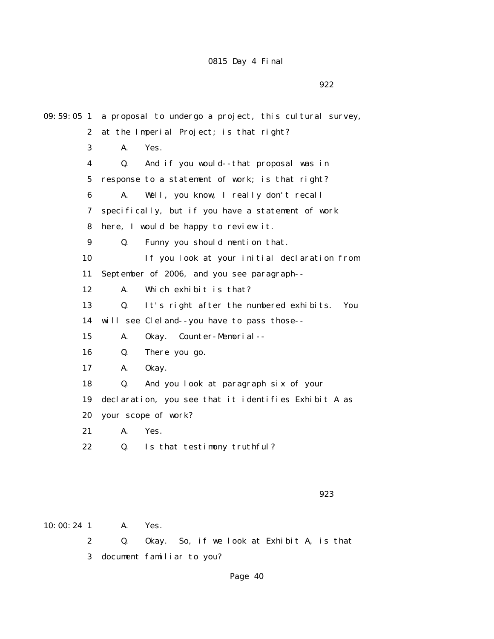922

| $09:59:05$ 1     | a proposal to undergo a project, this cultural survey, |  |  |
|------------------|--------------------------------------------------------|--|--|
| $\boldsymbol{2}$ | at the Imperial Project; is that right?                |  |  |
| 3                | Yes.<br>A.                                             |  |  |
| 4                | And if you would--that proposal was in<br>Q.           |  |  |
| $5\overline{ }$  | response to a statement of work; is that right?        |  |  |
| 6                | A.<br>Well, you know, I really don't recall            |  |  |
| 7                | specifically, but if you have a statement of work      |  |  |
| 8                | here, I would be happy to review it.                   |  |  |
| 9                | Q.<br>Funny you should mention that.                   |  |  |
| 10               | If you look at your initial declaration from           |  |  |
| 11               | September of 2006, and you see paragraph--             |  |  |
| 12               | Which exhibit is that?<br>A.                           |  |  |
| 13               | It's right after the numbered exhibits.<br>Q.<br>You   |  |  |
| 14               | will see Cleland--you have to pass those--             |  |  |
| 15               | A.<br>Okay. Counter-Memorial--                         |  |  |
| 16               | There you go.<br>Q.                                    |  |  |
| 17               | A.<br>0kay.                                            |  |  |
| 18               | And you look at paragraph six of your<br>Q.            |  |  |
| 19               | declaration, you see that it identifies Exhibit A as   |  |  |
| 20               | your scope of work?                                    |  |  |
| 21               | Yes.<br>А.                                             |  |  |
| 22               | Is that testimony truthful?<br>Q.                      |  |  |
|                  |                                                        |  |  |
|                  |                                                        |  |  |

 $\sim$  923

10:00:24 1 A. Yes. 2 Q. Okay. So, if we look at Exhibit A, is that

3 document familiar to you?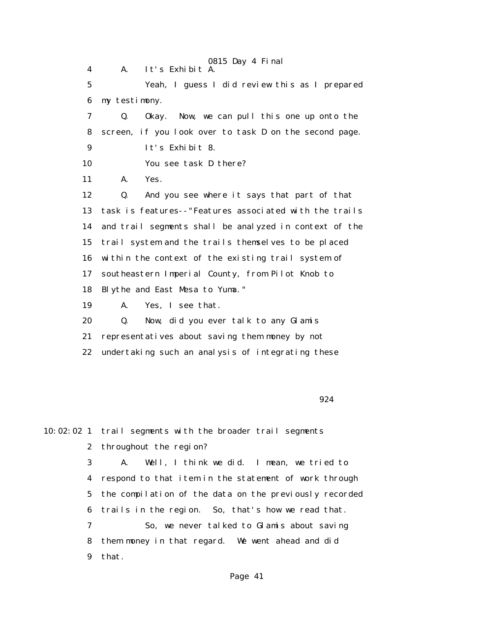0815 Day 4 Final 4 A. It's Exhibit A. 5 Yeah, I guess I did review this as I prepared 6 my testimony. 7 Q. Okay. Now, we can pull this one up onto the 8 screen, if you look over to task D on the second page. 9 It's Exhibit 8. 10 You see task D there? 11 A. Yes. 12 Q. And you see where it says that part of that 13 task is features--"Features associated with the trails 14 and trail segments shall be analyzed in context of the 15 trail system and the trails themselves to be placed 16 within the context of the existing trail system of 17 southeastern Imperial County, from Pilot Knob to 18 Blythe and East Mesa to Yuma." 19 A. Yes, I see that. 20 Q. Now, did you ever talk to any Glamis 21 representatives about saving them money by not 22 undertaking such an analysis of integrating these

924

10:02:02 1 trail segments with the broader trail segments 2 throughout the region? 3 A. Well, I think we did. I mean, we tried to 4 respond to that item in the statement of work through 5 the compilation of the data on the previously recorded 6 trails in the region. So, that's how we read that. 7 So, we never talked to Glamis about saving 8 them money in that regard. We went ahead and did

9 that.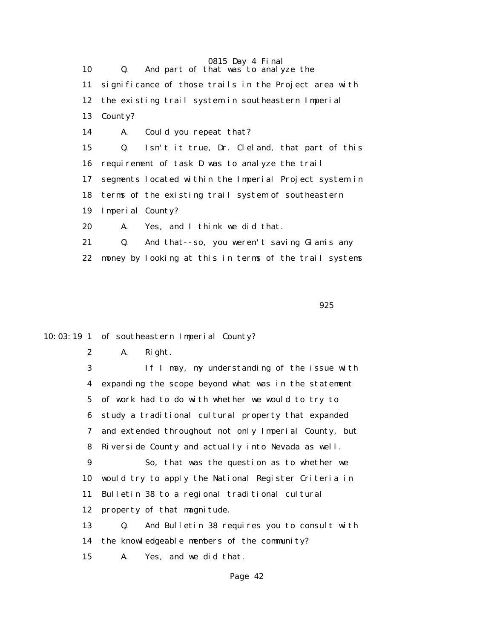0815 Day 4 Final 10 Q. And part of that was to analyze the 11 significance of those trails in the Project area with 12 the existing trail system in southeastern Imperial 13 County? 14 A. Could you repeat that? 15 Q. Isn't it true, Dr. Cleland, that part of this 16 requirement of task D was to analyze the trail 17 segments located within the Imperial Project system in 18 terms of the existing trail system of southeastern 19 Imperial County? 20 A. Yes, and I think we did that. 21 Q. And that--so, you weren't saving Glamis any 22 money by looking at this in terms of the trail systems

 $\sim$  925

10:03:19 1 of southeastern Imperial County?

 2 A. Right. 3 If I may, my understanding of the issue with 4 expanding the scope beyond what was in the statement 5 of work had to do with whether we would to try to 6 study a traditional cultural property that expanded 7 and extended throughout not only Imperial County, but 8 Riverside County and actually into Nevada as well. 9 So, that was the question as to whether we 10 would try to apply the National Register Criteria in 11 Bulletin 38 to a regional traditional cultural 12 property of that magnitude. 13 Q. And Bulletin 38 requires you to consult with 14 the knowledgeable members of the community?

15 A. Yes, and we did that.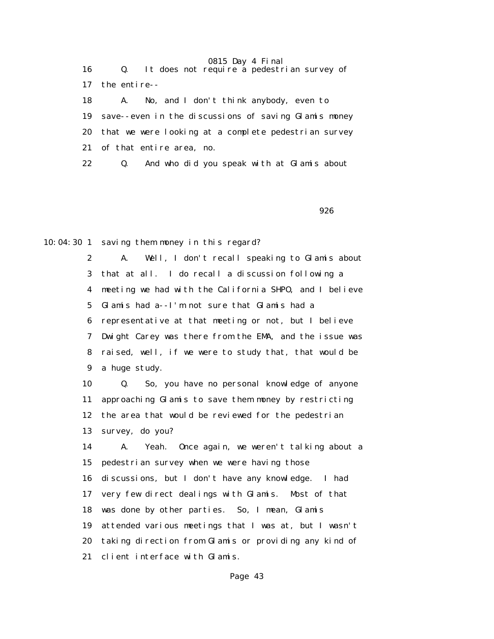| 16 | Q. It does not require a pedestrian survey of        |
|----|------------------------------------------------------|
| 17 | the entire--                                         |
| 18 | No, and I don't think anybody, even to<br><b>A.</b>  |
| 19 | save--even in the discussions of saving Glamis money |
| 20 | that we were looking at a complete pedestrian survey |
| 21 | of that entire area, no.                             |
| 22 | And who did you speak with at Glamis about<br>Q.     |

 $\sim$  926

10:04:30 1 saving them money in this regard?

 2 A. Well, I don't recall speaking to Glamis about 3 that at all. I do recall a discussion following a 4 meeting we had with the California SHPO, and I believe 5 Glamis had a--I'm not sure that Glamis had a 6 representative at that meeting or not, but I believe 7 Dwight Carey was there from the EMA, and the issue was 8 raised, well, if we were to study that, that would be 9 a huge study.

 10 Q. So, you have no personal knowledge of anyone 11 approaching Glamis to save them money by restricting 12 the area that would be reviewed for the pedestrian 13 survey, do you?

 14 A. Yeah. Once again, we weren't talking about a 15 pedestrian survey when we were having those 16 discussions, but I don't have any knowledge. I had 17 very few direct dealings with Glamis. Most of that 18 was done by other parties. So, I mean, Glamis 19 attended various meetings that I was at, but I wasn't 20 taking direction from Glamis or providing any kind of 21 client interface with Glamis.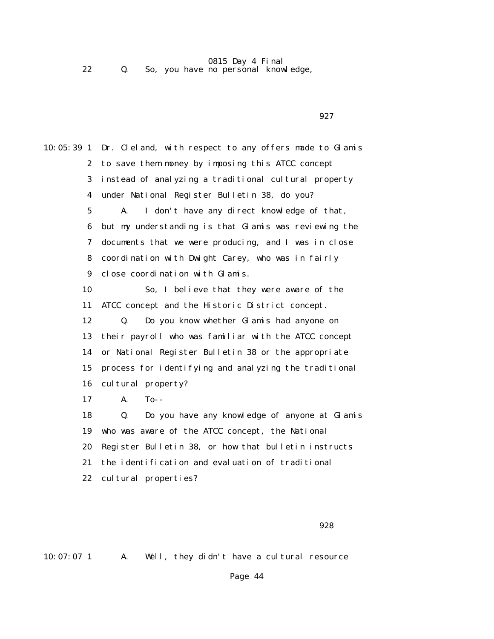22 Q. So, you have no personal knowledge,

 $\sim$  927

10:05:39 1 Dr. Cleland, with respect to any offers made to Glamis 2 to save them money by imposing this ATCC concept 3 instead of analyzing a traditional cultural property 4 under National Register Bulletin 38, do you? 5 A. I don't have any direct knowledge of that, 6 but my understanding is that Glamis was reviewing the 7 documents that we were producing, and I was in close 8 coordination with Dwight Carey, who was in fairly 9 close coordination with Glamis. 10 So, I believe that they were aware of the 11 ATCC concept and the Historic District concept. 12 Q. Do you know whether Glamis had anyone on 13 their payroll who was familiar with the ATCC concept 14 or National Register Bulletin 38 or the appropriate 15 process for identifying and analyzing the traditional 16 cultural property? 17 A. To-- 18 Q. Do you have any knowledge of anyone at Glamis 19 who was aware of the ATCC concept, the National 20 Register Bulletin 38, or how that bulletin instructs 21 the identification and evaluation of traditional 22 cultural properties?

928

10:07:07 1 A. Well, they didn't have a cultural resource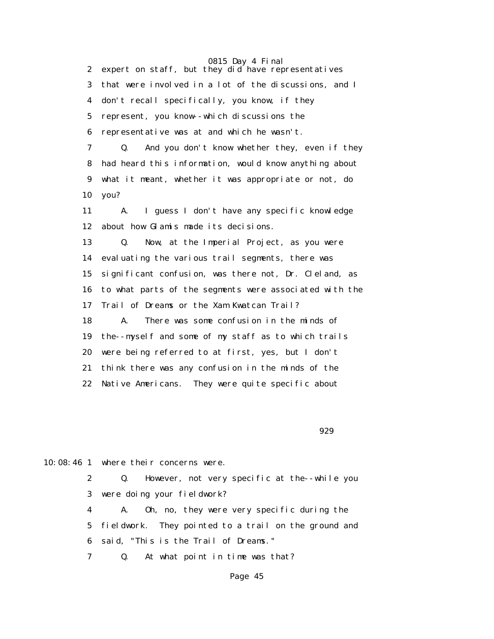0815 Day 4 Final 2 expert on staff, but they did have representatives 3 that were involved in a lot of the discussions, and I 4 don't recall specifically, you know, if they 5 represent, you know--which discussions the 6 representative was at and which he wasn't. 7 Q. And you don't know whether they, even if they 8 had heard this information, would know anything about 9 what it meant, whether it was appropriate or not, do 10 you? 11 A. I guess I don't have any specific knowledge 12 about how Glamis made its decisions. 13 Q. Now, at the Imperial Project, as you were 14 evaluating the various trail segments, there was 15 significant confusion, was there not, Dr. Cleland, as 16 to what parts of the segments were associated with the 17 Trail of Dreams or the Xam Kwatcan Trail? 18 A. There was some confusion in the minds of 19 the--myself and some of my staff as to which trails 20 were being referred to at first, yes, but I don't 21 think there was any confusion in the minds of the 22 Native Americans. They were quite specific about

929

10:08:46 1 where their concerns were.

 2 Q. However, not very specific at the--while you 3 were doing your fieldwork?

 4 A. Oh, no, they were very specific during the 5 fieldwork. They pointed to a trail on the ground and 6 said, "This is the Trail of Dreams."

7 Q. At what point in time was that?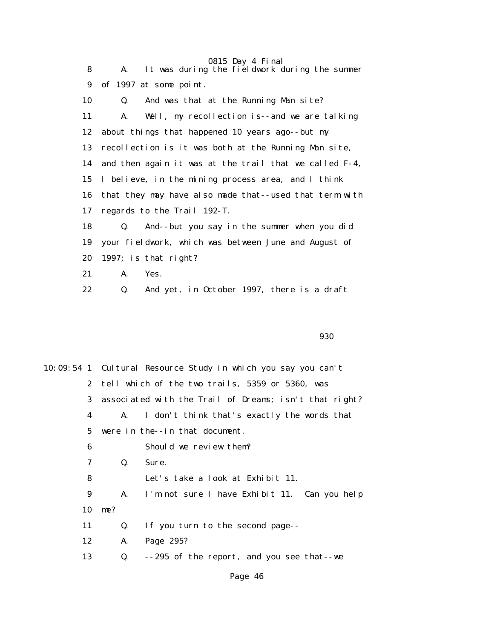| 8  | 0815 Day 4 Final<br>It was during the fieldwork during the summer<br>A. |
|----|-------------------------------------------------------------------------|
| 9  | of 1997 at some point.                                                  |
| 10 | And was that at the Running Man site?<br>Q.                             |
| 11 | Well, my recollection is--and we are talking<br>A.                      |
| 12 | about things that happened 10 years ago--but my                         |
| 13 | recollection is it was both at the Running Man site,                    |
| 14 | and then again it was at the trail that we called F-4,                  |
| 15 | I believe, in the mining process area, and I think                      |
| 16 | that they may have also made that--used that term with                  |
| 17 | regards to the Trail 192-T.                                             |
| 18 | And--but you say in the summer when you did<br>Q.                       |
| 19 | your fieldwork, which was between June and August of                    |
| 20 | 1997; is that right?                                                    |
| 21 | A.<br>Yes.                                                              |
| 22 | Q.<br>And yet, in October 1997, there is a draft                        |

en 1930 en 1930 en 1930 en 1930 en 1930 en 1930 en 1930 en 1930 en 1930 en 1930 en 1930 en 1930 en 1930 en 19

|             |     | 10:09:54 1 Cultural Resource Study in which you say you can't |
|-------------|-----|---------------------------------------------------------------|
|             |     | 2 tell which of the two trails, 5359 or 5360, was             |
| 3           |     | associated with the Trail of Dreams; isn't that right?        |
| 4           | A.  | I don't think that's exactly the words that                   |
| $5^{\circ}$ |     | were in the--in that document.                                |
| 6           |     | Should we review them?                                        |
| 7           | Q.  | Sure.                                                         |
| 8           |     | Let's take a look at Exhibit 11.                              |
| 9           | A.  | I'm not sure I have Exhibit 11. Can you help                  |
| 10          | me? |                                                               |
| 11          | Q.  | If you turn to the second page--                              |
| 12          | A.  | Page 295?                                                     |
| 13          | Q.  | --295 of the report, and you see that--we                     |
|             |     | Page 46                                                       |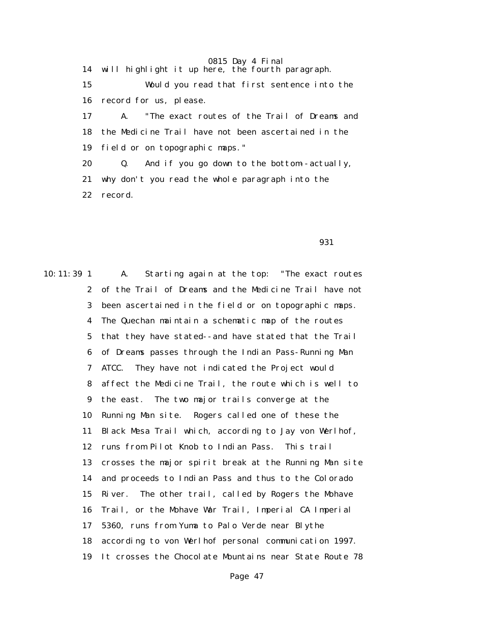14 will highlight it up here, the fourth paragraph. 15 Would you read that first sentence into the 16 record for us, please. 17 A. "The exact routes of the Trail of Dreams and 18 the Medicine Trail have not been ascertained in the 19 field or on topographic maps." 20 Q. And if you go down to the bottom--actually, 21 why don't you read the whole paragraph into the 22 record.

 $\sim$  931

10:11:39 1 A. Starting again at the top: "The exact routes 2 of the Trail of Dreams and the Medicine Trail have not 3 been ascertained in the field or on topographic maps. 4 The Quechan maintain a schematic map of the routes 5 that they have stated--and have stated that the Trail 6 of Dreams passes through the Indian Pass-Running Man 7 ATCC. They have not indicated the Project would 8 affect the Medicine Trail, the route which is well to 9 the east. The two major trails converge at the 10 Running Man site. Rogers called one of these the 11 Black Mesa Trail which, according to Jay von Werlhof, 12 runs from Pilot Knob to Indian Pass. This trail 13 crosses the major spirit break at the Running Man site 14 and proceeds to Indian Pass and thus to the Colorado 15 River. The other trail, called by Rogers the Mohave 16 Trail, or the Mohave War Trail, Imperial CA Imperial 17 5360, runs from Yuma to Palo Verde near Blythe 18 according to von Werlhof personal communication 1997. 19 It crosses the Chocolate Mountains near State Route 78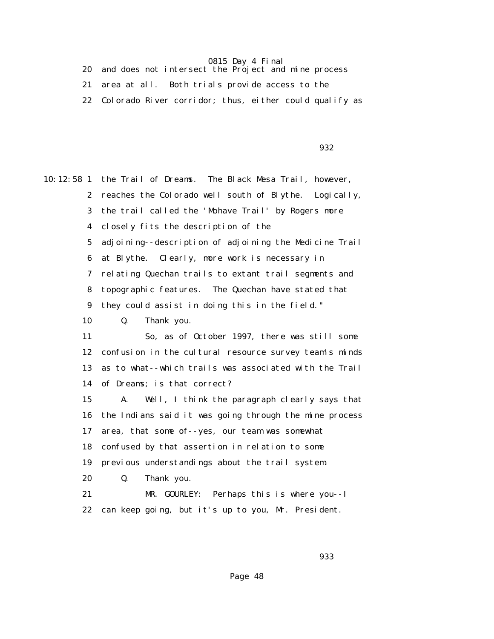20 and does not intersect the Project and mine process 21 area at all. Both trials provide access to the 22 Colorado River corridor; thus, either could qualify as

 $\sim$  932

10:12:58 1 the Trail of Dreams. The Black Mesa Trail, however, 2 reaches the Colorado well south of Blythe. Logically, 3 the trail called the 'Mohave Trail' by Rogers more 4 closely fits the description of the 5 adjoining--description of adjoining the Medicine Trail 6 at Blythe. Clearly, more work is necessary in 7 relating Quechan trails to extant trail segments and 8 topographic features. The Quechan have stated that 9 they could assist in doing this in the field." 10 Q. Thank you. 11 So, as of October 1997, there was still some 12 confusion in the cultural resource survey team's minds 13 as to what--which trails was associated with the Trail 14 of Dreams; is that correct? 15 A. Well, I think the paragraph clearly says that 16 the Indians said it was going through the mine process 17 area, that some of--yes, our team was somewhat 18 confused by that assertion in relation to some 19 previous understandings about the trail system. 20 Q. Thank you. 21 MR. GOURLEY: Perhaps this is where you--I 22 can keep going, but it's up to you, Mr. President.

en 1983 en 1984 en 1986 en 1986 en 1986 en 1986 en 1986 en 1986 en 1986 en 1986 en 1986 en 1986 en 1986 en 19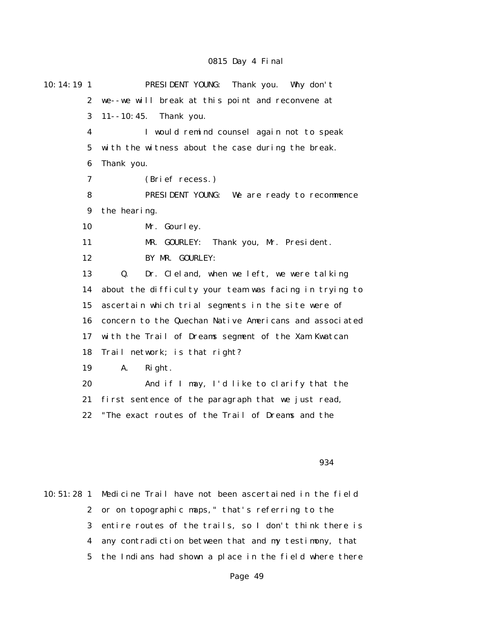| 10:14:19 1       | PRESIDENT YOUNG: Thank you. Why don't                  |
|------------------|--------------------------------------------------------|
| $\boldsymbol{2}$ | we--we will break at this point and reconvene at       |
| 3                | $11 - 10:45.$<br>Thank you.                            |
| $\boldsymbol{4}$ | I would remind counsel again not to speak              |
| $5\phantom{.0}$  | with the witness about the case during the break.      |
| 6                | Thank you.                                             |
| 7                | (Brief recess.)                                        |
| 8                | PRESIDENT YOUNG: We are ready to recommence            |
| 9                | the hearing.                                           |
| 10               | Mr. Gourley.                                           |
| 11               | Thank you, Mr. President.<br>MR. GOURLEY:              |
| 12               | BY MR. GOURLEY:                                        |
| 13               | Dr. Cleland, when we left, we were talking<br>Q.       |
| 14               | about the difficulty your team was facing in trying to |
| 15               | ascertain which trial segments in the site were of     |
| 16               | concern to the Quechan Native Americans and associated |
| 17               | with the Trail of Dreams segment of the Xam Kwatcan    |
| 18               | Trail network; is that right?                          |
| 19               | A.<br>Right.                                           |
| 20               | And if I may, I'd like to clarify that the             |
| 21               | first sentence of the paragraph that we just read,     |
| 22               | "The exact routes of the Trail of Dreams and the       |
|                  |                                                        |
|                  |                                                        |

#### $\sim$  934

10:51:28 1 Medicine Trail have not been ascertained in the field 2 or on topographic maps," that's referring to the 3 entire routes of the trails, so I don't think there is 4 any contradiction between that and my testimony, that 5 the Indians had shown a place in the field where there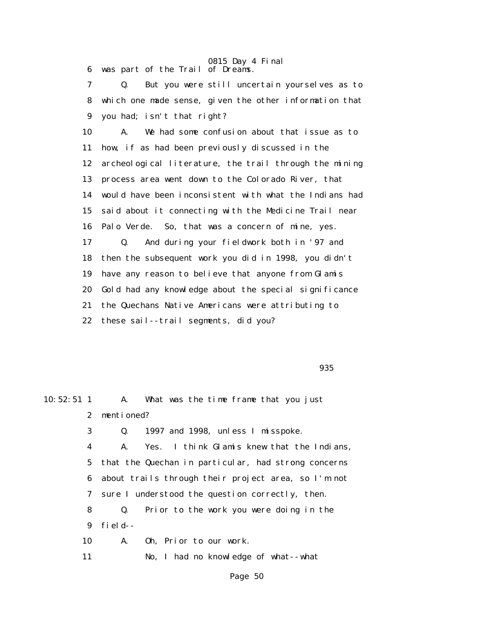0815 Day 4 Final 6 was part of the Trail of Dreams.

 7 Q. But you were still uncertain yourselves as to 8 which one made sense, given the other information that

9 you had; isn't that right?

 10 A. We had some confusion about that issue as to 11 how, if as had been previously discussed in the 12 archeological literature, the trail through the mining 13 process area went down to the Colorado River, that 14 would have been inconsistent with what the Indians had 15 said about it connecting with the Medicine Trail near 16 Palo Verde. So, that was a concern of mine, yes. 17 Q. And during your fieldwork both in '97 and 18 then the subsequent work you did in 1998, you didn't 19 have any reason to believe that anyone from Glamis 20 Gold had any knowledge about the special significance 21 the Quechans Native Americans were attributing to 22 these sail--trail segments, did you?

experience of the contract of the contract of the contract of the contract of the contract of the contract of the contract of the contract of the contract of the contract of the contract of the contract of the contract of

10:52:51 1 A. What was the time frame that you just 2 mentioned? 3 Q. 1997 and 1998, unless I misspoke. 4 A. Yes. I think Glamis knew that the Indians, 5 that the Quechan in particular, had strong concerns 6 about trails through their project area, so I'm not 7 sure I understood the question correctly, then. 8 Q. Prior to the work you were doing in the 9 field-- 10 A. Oh, Prior to our work. 11 No, I had no knowledge of what--what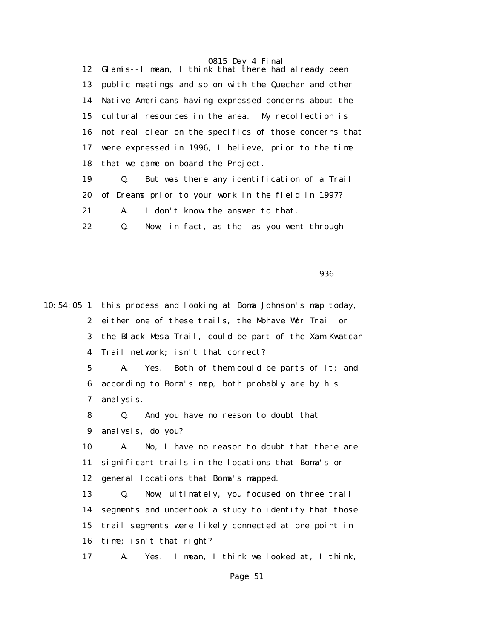0815 Day 4 Final 12 Glamis--I mean, I think that there had already been 13 public meetings and so on with the Quechan and other 14 Native Americans having expressed concerns about the 15 cultural resources in the area. My recollection is 16 not real clear on the specifics of those concerns that 17 were expressed in 1996, I believe, prior to the time 18 that we came on board the Project. 19 Q. But was there any identification of a Trail 20 of Dreams prior to your work in the field in 1997? 21 A. I don't know the answer to that.

22 Q. Now, in fact, as the--as you went through

en 1996 en 1996 en 1997 en 1998 en 1998 en 1998 en 1998 en 1998 en 1998 en 1998 en 1998 en 1998 en 1998 en 19

10:54:05 1 this process and looking at Boma Johnson's map today, 2 either one of these trails, the Mohave War Trail or 3 the Black Mesa Trail, could be part of the Xam Kwatcan 4 Trail network; isn't that correct? 5 A. Yes. Both of them could be parts of it; and 6 according to Boma's map, both probably are by his 7 analysis. 8 Q. And you have no reason to doubt that 9 analysis, do you? 10 A. No, I have no reason to doubt that there are 11 significant trails in the locations that Boma's or 12 general locations that Boma's mapped. 13 Q. Now, ultimately, you focused on three trail 14 segments and undertook a study to identify that those 15 trail segments were likely connected at one point in 16 time; isn't that right? 17 A. Yes. I mean, I think we looked at, I think,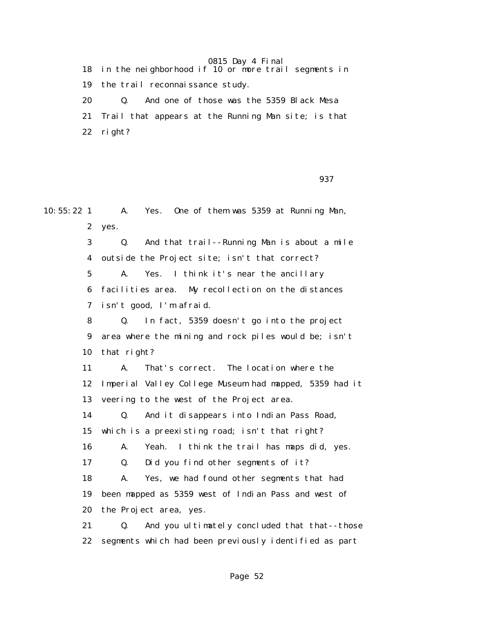18 in the neighborhood if 10 or more trail segments in 19 the trail reconnaissance study. 20 Q. And one of those was the 5359 Black Mesa 21 Trail that appears at the Running Man site; is that 22 right?

 $\sim$  937  $\sim$  937  $\sim$  937  $\sim$ 

10:55:22 1 A. Yes. One of them was 5359 at Running Man, 2 yes. 3 Q. And that trail--Running Man is about a mile 4 outside the Project site; isn't that correct? 5 A. Yes. I think it's near the ancillary 6 facilities area. My recollection on the distances 7 isn't good, I'm afraid. 8 Q. In fact, 5359 doesn't go into the project 9 area where the mining and rock piles would be; isn't 10 that right? 11 A. That's correct. The location where the 12 Imperial Valley College Museum had mapped, 5359 had it 13 veering to the west of the Project area. 14 Q. And it disappears into Indian Pass Road, 15 which is a preexisting road; isn't that right? 16 A. Yeah. I think the trail has maps did, yes. 17 Q. Did you find other segments of it? 18 A. Yes, we had found other segments that had 19 been mapped as 5359 west of Indian Pass and west of 20 the Project area, yes. 21 Q. And you ultimately concluded that that--those 22 segments which had been previously identified as part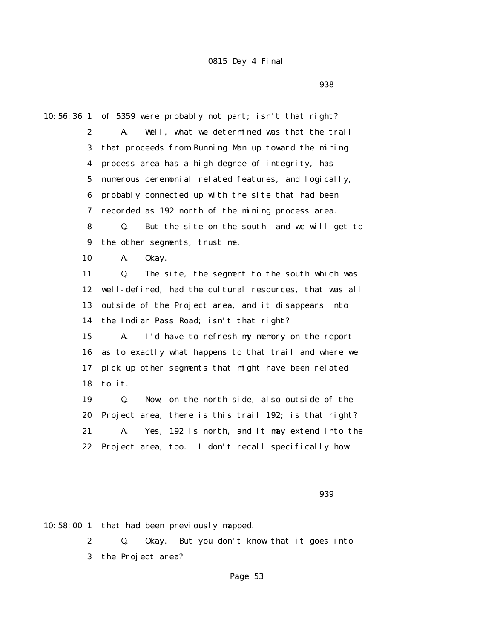en 1993 en 1994 en 1994 en 1994 en 1995 en 1996 en 1996 en 1997 en 1998 en 1998 en 1998 en 1998 en 1998 en 19

10:56:36 1 of 5359 were probably not part; isn't that right? 2 A. Well, what we determined was that the trail 3 that proceeds from Running Man up toward the mining 4 process area has a high degree of integrity, has 5 numerous ceremonial related features, and logically, 6 probably connected up with the site that had been 7 recorded as 192 north of the mining process area. 8 Q. But the site on the south--and we will get to 9 the other segments, trust me. 10 A. Okay. 11 Q. The site, the segment to the south which was 12 well-defined, had the cultural resources, that was all 13 outside of the Project area, and it disappears into 14 the Indian Pass Road; isn't that right? 15 A. I'd have to refresh my memory on the report 16 as to exactly what happens to that trail and where we 17 pick up other segments that might have been related 18 to it. 19 Q. Now, on the north side, also outside of the 20 Project area, there is this trail 192; is that right? 21 A. Yes, 192 is north, and it may extend into the 22 Project area, too. I don't recall specifically how

 $\sim$  939 $\sim$ 

10:58:00 1 that had been previously mapped.

 2 Q. Okay. But you don't know that it goes into 3 the Project area?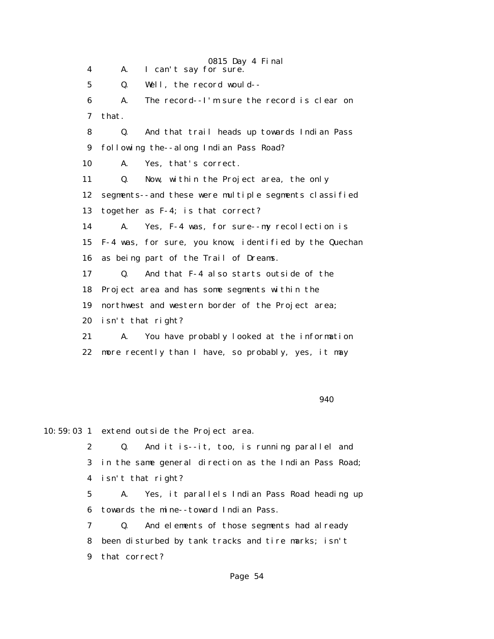0815 Day 4 Final 4 A. I can't say for sure. 5 Q. Well, the record would-- 6 A. The record--I'm sure the record is clear on 7 that. 8 Q. And that trail heads up towards Indian Pass 9 following the--along Indian Pass Road? 10 A. Yes, that's correct. 11 Q. Now, within the Project area, the only 12 segments--and these were multiple segments classified 13 together as F-4; is that correct? 14 A. Yes, F-4 was, for sure--my recollection is 15 F-4 was, for sure, you know, identified by the Quechan 16 as being part of the Trail of Dreams. 17 Q. And that F-4 also starts outside of the 18 Project area and has some segments within the 19 northwest and western border of the Project area; 20 isn't that right? 21 A. You have probably looked at the information 22 more recently than I have, so probably, yes, it may

 $\sim$  940

10:59:03 1 extend outside the Project area.

 2 Q. And it is--it, too, is running parallel and 3 in the same general direction as the Indian Pass Road; 4 isn't that right?

 5 A. Yes, it parallels Indian Pass Road heading up 6 towards the mine--toward Indian Pass.

 7 Q. And elements of those segments had already 8 been disturbed by tank tracks and tire marks; isn't 9 that correct?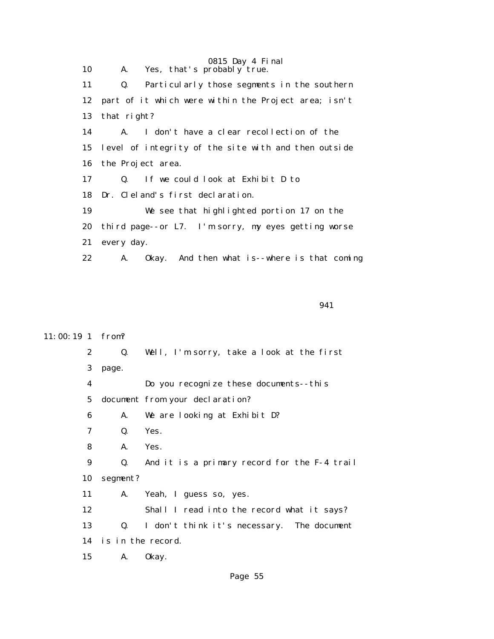0815 Day 4 Final 10 A. Yes, that's probably true. 11 Q. Particularly those segments in the southern 12 part of it which were within the Project area; isn't 13 that right? 14 A. I don't have a clear recollection of the 15 level of integrity of the site with and then outside 16 the Project area. 17 Q. If we could look at Exhibit D to 18 Dr. Cleland's first declaration. 19 We see that highlighted portion 17 on the 20 third page--or L7. I'm sorry, my eyes getting worse 21 every day. 22 A. Okay. And then what is--where is that coming

```
 941
```
#### 11:00:19 1 from?

 2 Q. Well, I'm sorry, take a look at the first 3 page. 4 Do you recognize these documents--this 5 document from your declaration? 6 A. We are looking at Exhibit D? 7 Q. Yes. 8 A. Yes. 9 Q. And it is a primary record for the F-4 trail 10 segment? 11 A. Yeah, I guess so, yes. 12 Shall I read into the record what it says? 13 Q. I don't think it's necessary. The document 14 is in the record. 15 A. Okay.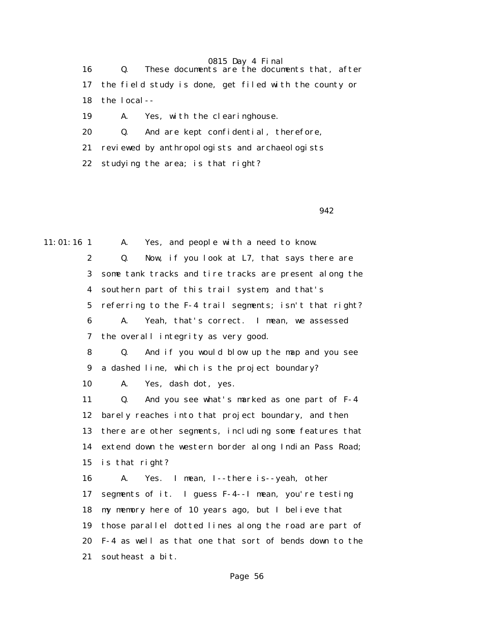| 16   | These documents are the documents that, after            |
|------|----------------------------------------------------------|
|      | 17 the field study is done, get filed with the county or |
|      | $18$ the local--                                         |
| 19 - | A. Yes, with the clearinghouse.                          |
| 20   | And are kept confidential, therefore,<br>$\mathbf{Q}$ .  |

21 reviewed by anthropologists and archaeologists

22 studying the area; is that right?

 $\sim$  942

11:01:16 1 A. Yes, and people with a need to know.

 2 Q. Now, if you look at L7, that says there are 3 some tank tracks and tire tracks are present along the 4 southern part of this trail system, and that's 5 referring to the F-4 trail segments; isn't that right? 6 A. Yeah, that's correct. I mean, we assessed

7 the overall integrity as very good.

 8 Q. And if you would blow up the map and you see 9 a dashed line, which is the project boundary?

10 A. Yes, dash dot, yes.

 11 Q. And you see what's marked as one part of F-4 12 barely reaches into that project boundary, and then 13 there are other segments, including some features that 14 extend down the western border along Indian Pass Road; 15 is that right?

 16 A. Yes. I mean, I--there is--yeah, other 17 segments of it. I guess F-4--I mean, you're testing 18 my memory here of 10 years ago, but I believe that 19 those parallel dotted lines along the road are part of 20 F-4 as well as that one that sort of bends down to the 21 southeast a bit.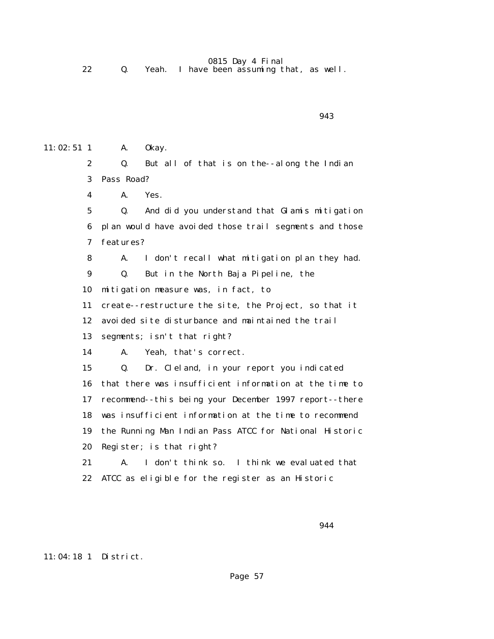22 Q. Yeah. I have been assuming that, as well.

11:02:51 1 A. 0 kay. 2 Q. But all of that is on the--along the Indian 3 Pass Road? 4 A. Yes. 5 Q. And did you understand that Glamis mitigation 6 plan would have avoided those trail segments and those 7 features? 8 A. I don't recall what mitigation plan they had. 9 Q. But in the North Baja Pipeline, the 10 mitigation measure was, in fact, to 11 create--restructure the site, the Project, so that it 12 avoided site disturbance and maintained the trail 13 segments; isn't that right? 14 A. Yeah, that's correct. 15 Q. Dr. Cleland, in your report you indicated 16 that there was insufficient information at the time to 17 recommend--this being your December 1997 report--there 18 was insufficient information at the time to recommend 19 the Running Man Indian Pass ATCC for National Historic 20 Register; is that right? 21 A. I don't think so. I think we evaluated that 22 ATCC as eligible for the register as an Historic

## 11:04:18 1 District.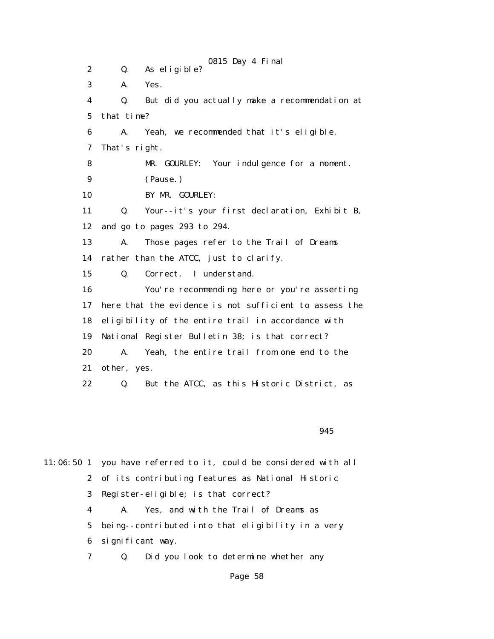0815 Day 4 Final 2 Q. As eligible? 3 A. Yes. 4 Q. But did you actually make a recommendation at 5 that time? 6 A. Yeah, we recommended that it's eligible. 7 That's right. 8 MR. GOURLEY: Your indulgence for a moment. 9 (Pause.) 10 BY MR. GOURLEY: 11 Q. Your--it's your first declaration, Exhibit B, 12 and go to pages 293 to 294. 13 A. Those pages refer to the Trail of Dreams 14 rather than the ATCC, just to clarify. 15 Q. Correct. I understand. 16 You're recommending here or you're asserting 17 here that the evidence is not sufficient to assess the 18 eligibility of the entire trail in accordance with 19 National Register Bulletin 38; is that correct? 20 A. Yeah, the entire trail from one end to the 21 other, yes. 22 Q. But the ATCC, as this Historic District, as

 $\sim$  945

11:06:50 1 you have referred to it, could be considered with all 2 of its contributing features as National Historic 3 Register-eligible; is that correct? 4 A. Yes, and with the Trail of Dreams as 5 being--contributed into that eligibility in a very 6 significant way. 7 Q. Did you look to determine whether any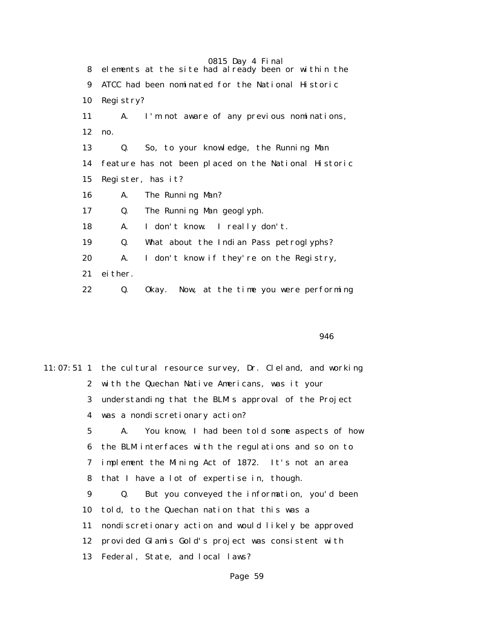|    | 0815 Day 4 Final                                     |
|----|------------------------------------------------------|
| 8. | elements at the site had already been or within the  |
| 9  | ATCC had been nominated for the National Historic    |
| 10 | Registry?                                            |
| 11 | I'm not aware of any previous nominations,<br>A.     |
| 12 | no.                                                  |
| 13 | So, to your knowledge, the Running Man<br>Q.         |
| 14 | feature has not been placed on the National Historic |
| 15 | Register, has it?                                    |
| 16 | The Running Man?<br>A.                               |
| 17 | The Running Man geoglyph.<br>Q.                      |
| 18 | I don't know. I really don't.<br>A.                  |
| 19 | What about the Indian Pass petroglyphs?<br>Q.        |
| 20 | I don't know if they're on the Registry,<br>A.       |
| 21 | ei ther.                                             |
| 22 | Now, at the time you were performing<br>Q.<br>0kay.  |

 $\sim$  946

|             | 11:07:51 1 the cultural resource survey, Dr. Cleland, and working |
|-------------|-------------------------------------------------------------------|
|             | 2 with the Quechan Native Americans, was it your                  |
|             | 3 understanding that the BLM's approval of the Project            |
|             | 4 was a nondiscretionary action?                                  |
| $5^{\circ}$ | You know, I had been told some aspects of how<br>A.               |
|             | 6 the BLM interfaces with the regulations and so on to            |
| 7           | implement the Mining Act of 1872. It's not an area                |
| 8           | that I have a lot of expertise in, though.                        |
| 9           | But you conveyed the information, you'd been<br>Q.                |
| 10          | told, to the Quechan nation that this was a                       |
| 11          | nondiscretionary action and would likely be approved              |
| 12          | provided Glamis Gold's project was consistent with                |
| 13          | Federal, State, and local laws?                                   |
|             |                                                                   |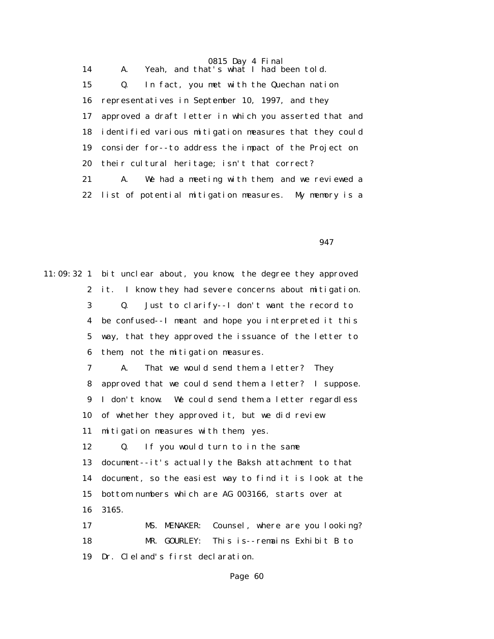14 A. Yeah, and that's what I had been told. 15 Q. In fact, you met with the Quechan nation 16 representatives in September 10, 1997, and they 17 approved a draft letter in which you asserted that and 18 identified various mitigation measures that they could 19 consider for--to address the impact of the Project on 20 their cultural heritage; isn't that correct? 21 A. We had a meeting with them, and we reviewed a 22 list of potential mitigation measures. My memory is a

 $\sim$  947

11:09:32 1 bit unclear about, you know, the degree they approved 2 it. I know they had severe concerns about mitigation. 3 Q. Just to clarify--I don't want the record to 4 be confused--I meant and hope you interpreted it this 5 way, that they approved the issuance of the letter to 6 them, not the mitigation measures.

 7 A. That we would send them a letter? They 8 approved that we could send them a letter? I suppose. 9 I don't know. We could send them a letter regardless 10 of whether they approved it, but we did review 11 mitigation measures with them, yes.

 12 Q. If you would turn to in the same 13 document--it's actually the Baksh attachment to that 14 document, so the easiest way to find it is look at the 15 bottom numbers which are AG 003166, starts over at 16 3165.

 17 MS. MENAKER: Counsel, where are you looking? 18 MR. GOURLEY: This is--remains Exhibit B to 19 Dr. Cleland's first declaration.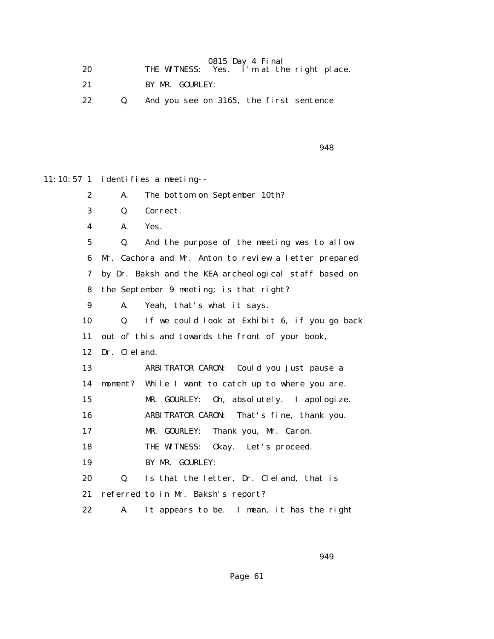| 20 | THE WITNESS: Yes. I'm at the right place. | 0815 Day 4 Final |  |
|----|-------------------------------------------|------------------|--|
|    | BY MR. GOURLEY:                           |                  |  |

22 Q. And you see on 3165, the first sentence

 $\sim$  948

11:10:57 1 identifies a meeting--

2 A. The bottom on September 10th?

- 3 Q. Correct.
- 4 A. Yes.

 5 Q. And the purpose of the meeting was to allow 6 Mr. Cachora and Mr. Anton to review a letter prepared 7 by Dr. Baksh and the KEA archeological staff based on 8 the September 9 meeting; is that right?

9 A. Yeah, that's what it says.

 10 Q. If we could look at Exhibit 6, if you go back 11 out of this and towards the front of your book, 12 Dr. Cleland. 13 ARBITRATOR CARON: Could you just pause a 14 moment? While I want to catch up to where you are. 15 MR. GOURLEY: Oh, absolutely. I apologize. 16 ARBITRATOR CARON: That's fine, thank you. 17 MR. GOURLEY: Thank you, Mr. Caron. 18 THE WITNESS: 0kay. Let's proceed. 19 BY MR. GOURLEY: 20 Q. Is that the letter, Dr. Cleland, that is 21 referred to in Mr. Baksh's report?

22 A. It appears to be. I mean, it has the right

 $\sim$  949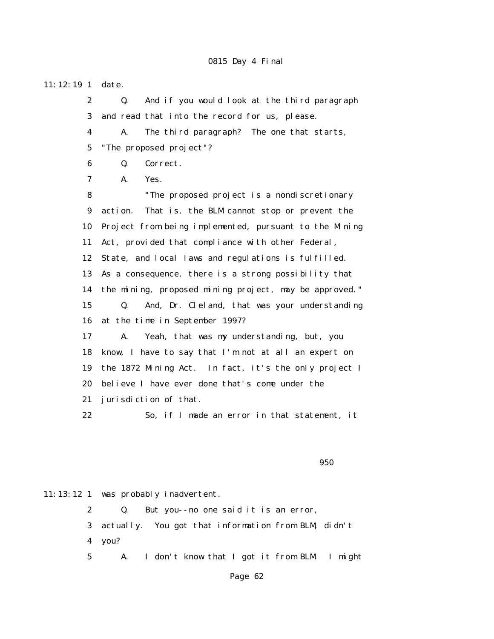11:12:19 1 date. 2 Q. And if you would look at the third paragraph 3 and read that into the record for us, please. 4 A. The third paragraph? The one that starts, 5 "The proposed project"? 6 Q. Correct. 7 A. Yes. 8 "The proposed project is a nondiscretionary 9 action. That is, the BLM cannot stop or prevent the 10 Project from being implemented, pursuant to the Mining 11 Act, provided that compliance with other Federal, 12 State, and local laws and regulations is fulfilled. 13 As a consequence, there is a strong possibility that 14 the mining, proposed mining project, may be approved." 15 Q. And, Dr. Cleland, that was your understanding 16 at the time in September 1997? 17 A. Yeah, that was my understanding, but, you 18 know, I have to say that I'm not at all an expert on 19 the 1872 Mining Act. In fact, it's the only project I 20 believe I have ever done that's come under the 21 jurisdiction of that. 22 So, if I made an error in that statement, it

 $\sim$  950  $\sim$  950  $\sim$  950  $\sim$ 

11:13:12 1 was probably inadvertent.

 2 Q. But you--no one said it is an error, 3 actually. You got that information from BLM, didn't 4 you?

5 A. I don't know that I got it from BLM. I might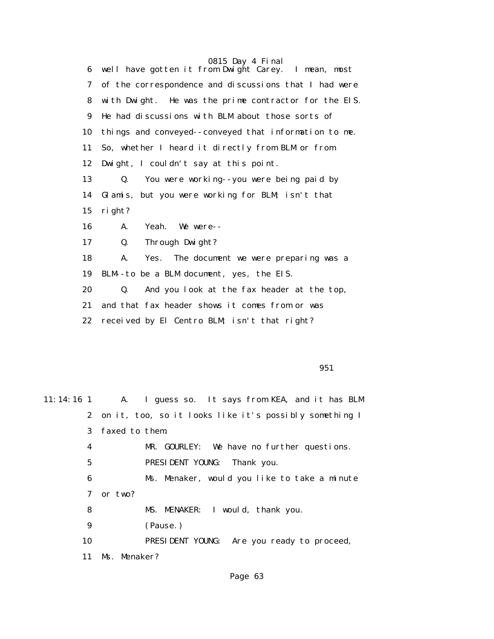0815 Day 4 Final 6 well have gotten it from Dwight Carey. I mean, most 7 of the correspondence and discussions that I had were 8 with Dwight. He was the prime contractor for the EIS. 9 He had discussions with BLM about those sorts of 10 things and conveyed--conveyed that information to me. 11 So, whether I heard it directly from BLM or from 12 Dwight, I couldn't say at this point. 13 Q. You were working--you were being paid by 14 Glamis, but you were working for BLM; isn't that 15 right? 16 A. Yeah. We were-- 17 Q. Through Dwight? 18 A. Yes. The document we were preparing was a 19 BLM--to be a BLM document, yes, the EIS. 20 Q. And you look at the fax header at the top, 21 and that fax header shows it comes from or was 22 received by El Centro BLM; isn't that right?

 $951$ 

| $11:14:16$ 1    | A. I guess so. It says from KEA, and it has BLM          |
|-----------------|----------------------------------------------------------|
|                 | 2 on it, too, so it looks like it's possibly something I |
| 3               | faxed to them.                                           |
| 4               | MR. GOURLEY: We have no further questions.               |
| $5\overline{ }$ | PRESIDENT YOUNG: Thank you.                              |
| 6               | Ms. Menaker, would you like to take a minute             |
| 7               | or two?                                                  |
| 8               | MS. MENAKER: I would, thank you.                         |
| 9               | (Pause.)                                                 |
| 10              | PRESIDENT YOUNG: Are you ready to proceed,               |
| 11              | Ms. Menaker?                                             |
|                 |                                                          |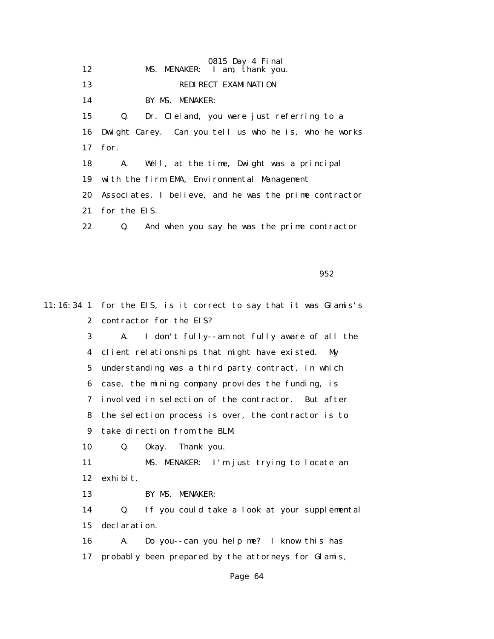0815 Day 4 Final 12 MS. MENAKER: I am, thank you. 13 REDIRECT EXAMINATION 14 BY MS. MENAKER: 15 Q. Dr. Cleland, you were just referring to a 16 Dwight Carey. Can you tell us who he is, who he works 17 for. 18 A. Well, at the time, Dwight was a principal 19 with the firm EMA, Environmental Management 20 Associates, I believe, and he was the prime contractor 21 for the EIS. 22 Q. And when you say he was the prime contractor

 $952$ 

11:16:34 1 for the EIS, is it correct to say that it was Glamis's 2 contractor for the EIS? 3 A. I don't fully--am not fully aware of all the 4 client relationships that might have existed. My 5 understanding was a third party contract, in which 6 case, the mining company provides the funding, is 7 involved in selection of the contractor. But after 8 the selection process is over, the contractor is to 9 take direction from the BLM. 10 Q. Okay. Thank you. 11 MS. MENAKER: I'm just trying to locate an 12 exhibit. 13 BY MS. MENAKER: 14 Q. If you could take a look at your supplemental 15 declaration. 16 A. Do you--can you help me? I know this has 17 probably been prepared by the attorneys for Glamis,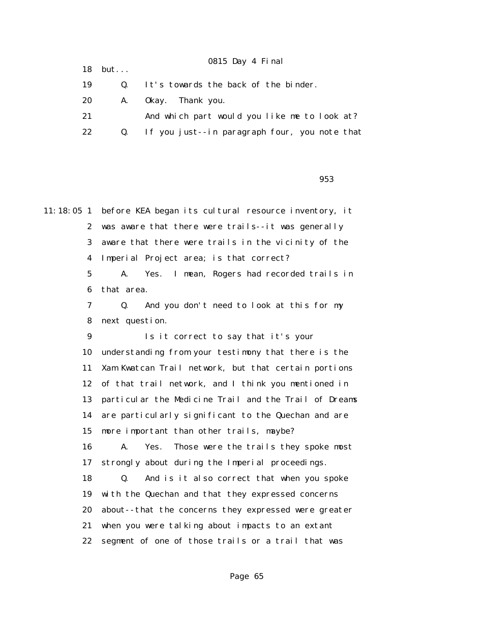|    | $18$ but       | 0815 Day 4 Final                              |
|----|----------------|-----------------------------------------------|
| 19 | $\mathbf{0}$ . | It's towards the back of the binder.          |
| 20 |                | A. Okay. Thank you.                           |
| 21 |                | And which part would you like me to look at?  |
| 22 | $\mathbf{Q}$ . | If you just--in paragraph four, you note that |
|    |                |                                               |

 $\sim$  953

11:18:05 1 before KEA began its cultural resource inventory, it 2 was aware that there were trails--it was generally 3 aware that there were trails in the vicinity of the 4 Imperial Project area; is that correct? 5 A. Yes. I mean, Rogers had recorded trails in 6 that area. 7 Q. And you don't need to look at this for my 8 next question. 9 Is it correct to say that it's your 10 understanding from your testimony that there is the 11 Xam Kwatcan Trail network, but that certain portions 12 of that trail network, and I think you mentioned in 13 particular the Medicine Trail and the Trail of Dreams 14 are particularly significant to the Quechan and are 15 more important than other trails, maybe? 16 A. Yes. Those were the trails they spoke most 17 strongly about during the Imperial proceedings. 18 Q. And is it also correct that when you spoke 19 with the Quechan and that they expressed concerns 20 about--that the concerns they expressed were greater 21 when you were talking about impacts to an extant 22 segment of one of those trails or a trail that was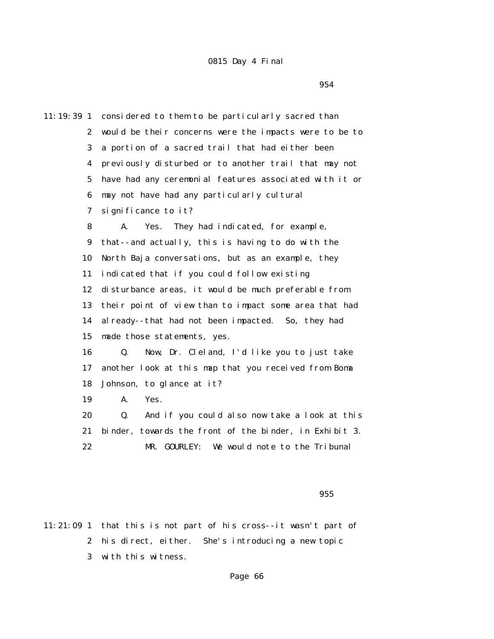$954$ 

11:19:39 1 considered to them to be particularly sacred than 2 would be their concerns were the impacts were to be to 3 a portion of a sacred trail that had either been 4 previously disturbed or to another trail that may not 5 have had any ceremonial features associated with it or 6 may not have had any particularly cultural 7 significance to it? 8 A. Yes. They had indicated, for example, 9 that--and actually, this is having to do with the 10 North Baja conversations, but as an example, they 11 indicated that if you could follow existing 12 disturbance areas, it would be much preferable from 13 their point of view than to impact some area that had 14 already--that had not been impacted. So, they had 15 made those statements, yes. 16 Q. Now, Dr. Cleland, I'd like you to just take 17 another look at this map that you received from Boma 18 Johnson, to glance at it? 19 A. Yes. 20 Q. And if you could also now take a look at this 21 binder, towards the front of the binder, in Exhibit 3. 22 MR. GOURLEY: We would note to the Tribunal

<u>955 and the set of the set of the set of the set of the set of the set of the set of the set of the set of the set of the set of the set of the set of the set of the set of the set of the set of the set of the set of the </u>

11:21:09 1 that this is not part of his cross--it wasn't part of 2 his direct, either. She's introducing a new topic 3 with this witness.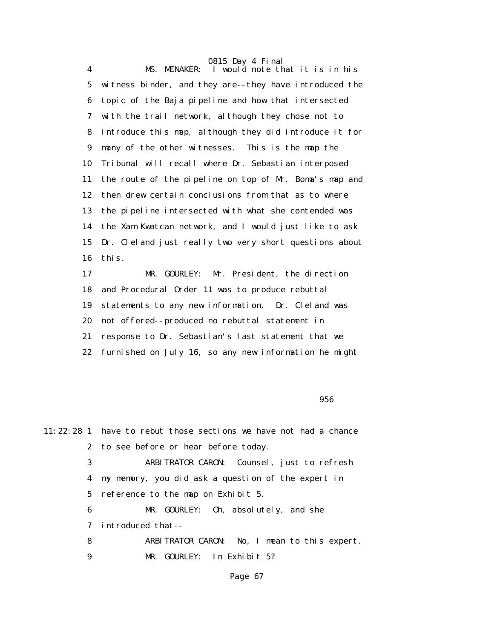4 MS. MENAKER: I would note that it is in his 5 witness binder, and they are--they have introduced the 6 topic of the Baja pipeline and how that intersected 7 with the trail network, although they chose not to 8 introduce this map, although they did introduce it for 9 many of the other witnesses. This is the map the 10 Tribunal will recall where Dr. Sebastian interposed 11 the route of the pipeline on top of Mr. Boma's map and 12 then drew certain conclusions from that as to where 13 the pipeline intersected with what she contended was 14 the Xam Kwatcan network, and I would just like to ask 15 Dr. Cleland just really two very short questions about 16 this.

 17 MR. GOURLEY: Mr. President, the direction 18 and Procedural Order 11 was to produce rebuttal 19 statements to any new information. Dr. Cleland was 20 not offered--produced no rebuttal statement in 21 response to Dr. Sebastian's last statement that we 22 furnished on July 16, so any new information he might

 $\sim$  956  $\sim$  956  $\sim$  956  $\sim$  956  $\sim$  956  $\sim$ 

|   | 11:22:28 1 have to rebut those sections we have not had a chance |
|---|------------------------------------------------------------------|
|   | 2 to see before or hear before today.                            |
| 3 | ARBITRATOR CARON: Counsel, just to refresh                       |
| 4 | my memory, you did ask a question of the expert in               |
|   | 5 reference to the map on Exhibit 5.                             |
| 6 | MR. GOURLEY: 0h, absolutely, and she                             |
| 7 | introduced that--                                                |
| 8 | ARBITRATOR CARON: No, I mean to this expert.                     |
| 9 | MR. GOURLEY: In Exhibit 5?                                       |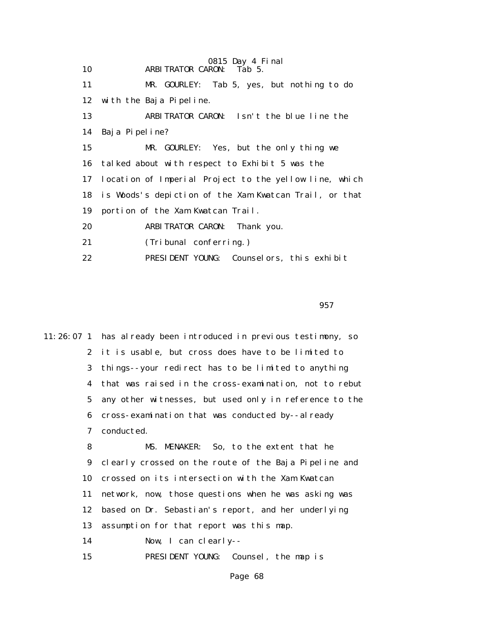|    | 0815 Day 4 Final                                       |
|----|--------------------------------------------------------|
| 10 | <b>ARBITRATOR CARON:</b><br>Tab 5.                     |
| 11 | MR. GOURLEY:<br>Tab 5, yes, but nothing to do          |
| 12 | with the Baja Pipeline.                                |
| 13 | ARBITRATOR CARON: Isn't the blue line the              |
| 14 | Baja Pipeline?                                         |
| 15 | MR. GOURLEY: Yes, but the only thing we                |
| 16 | talked about with respect to Exhibit 5 was the         |
| 17 | location of Imperial Project to the yellow line, which |
| 18 | is Woods's depiction of the Xam Kwatcan Trail, or that |
| 19 | portion of the Xam Kwatcan Trail.                      |
| 20 | ARBITRATOR CARON: Thank you.                           |
| 21 | (Tribunal conferring.)                                 |
| 22 | PRESIDENT YOUNG: Counselors, this exhibit              |

 $\sim$  957  $\sim$  957  $\sim$  957  $\sim$ 

11:26:07 1 has already been introduced in previous testimony, so 2 it is usable, but cross does have to be limited to 3 things--your redirect has to be limited to anything 4 that was raised in the cross-examination, not to rebut 5 any other witnesses, but used only in reference to the 6 cross-examination that was conducted by--already 7 conducted. 8 MS. MENAKER: So, to the extent that he 9 clearly crossed on the route of the Baja Pipeline and 10 crossed on its intersection with the Xam Kwatcan

> 11 network, now, those questions when he was asking was 12 based on Dr. Sebastian's report, and her underlying

13 assumption for that report was this map.

14 Now, I can clearly--

15 PRESIDENT YOUNG: Counsel, the map is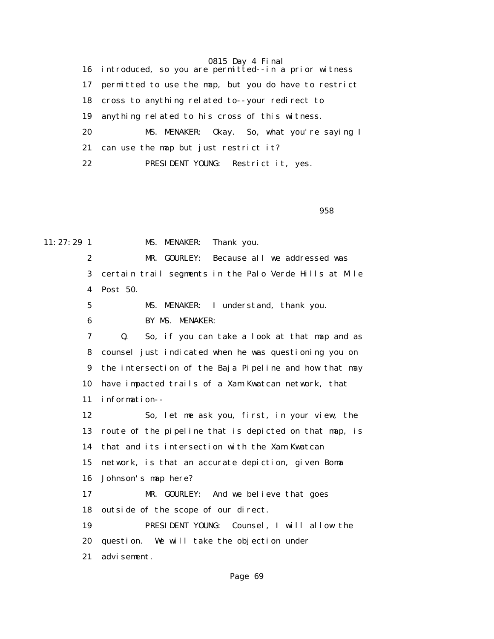16 introduced, so you are permitted--in a prior witness 17 permitted to use the map, but you do have to restrict 18 cross to anything related to--your redirect to 19 anything related to his cross of this witness. 20 MS. MENAKER: Okay. So, what you're saying I 21 can use the map but just restrict it? 22 PRESIDENT YOUNG: Restrict it, yes.

en 1996 en 1996 en 1997 en 1998 en 1998 en 1998 en 1998 en 1998 en 1998 en 1998 en 1998 en 1998 en 1998 en 19

11:27:29 1 MS. MENAKER: Thank you. 2 MR. GOURLEY: Because all we addressed was 3 certain trail segments in the Palo Verde Hills at Mile 4 Post 50. 5 MS. MENAKER: I understand, thank you. 6 BY MS. MENAKER: 7 Q. So, if you can take a look at that map and as 8 counsel just indicated when he was questioning you on 9 the intersection of the Baja Pipeline and how that may 10 have impacted trails of a Xam Kwatcan network, that 11 information-- 12 So, let me ask you, first, in your view, the 13 route of the pipeline that is depicted on that map, is 14 that and its intersection with the Xam Kwatcan 15 network, is that an accurate depiction, given Boma 16 Johnson's map here? 17 MR. GOURLEY: And we believe that goes 18 outside of the scope of our direct. 19 PRESIDENT YOUNG: Counsel, I will allow the 20 question. We will take the objection under 21 advisement.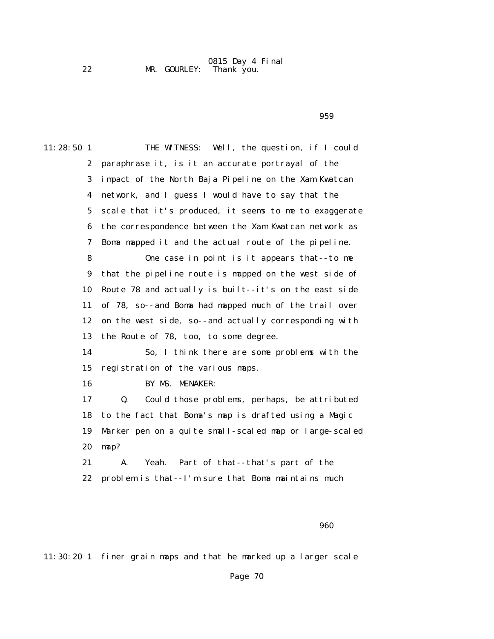#### 0815 Day 4 Final 22 MR. GOURLEY: Thank you.

 $\sim$  959 $\sim$ 

| $11:28:50$ 1     | THE WITNESS: Well, the question, if I could            |
|------------------|--------------------------------------------------------|
| $\boldsymbol{2}$ | paraphrase it, is it an accurate portrayal of the      |
| 3                | impact of the North Baja Pipeline on the Xam Kwatcan   |
| 4                | network, and I guess I would have to say that the      |
| $5\phantom{.0}$  | scale that it's produced, it seems to me to exaggerate |
| 6                | the correspondence between the Xam Kwatcan network as  |
| 7                | Boma mapped it and the actual route of the pipeline.   |
| 8                | One case in point is it appears that--to me            |
| $\boldsymbol{9}$ | that the pipeline route is mapped on the west side of  |
| 10               | Route 78 and actually is built--it's on the east side  |
| 11               | of 78, so--and Boma had mapped much of the trail over  |
| 12               | on the west side, so--and actually corresponding with  |
| 13               | the Route of 78, too, to some degree.                  |
| 14               | So, I think there are some problems with the           |
| 15               | registration of the various maps.                      |
| 16               | BY MS. MENAKER:                                        |
| 17               | Could those problems, perhaps, be attributed<br>Q.     |
| 18               | to the fact that Boma's map is drafted using a Magic   |
| 19               | Marker pen on a quite small-scaled map or large-scaled |
| 20               | map?                                                   |
| 21               | Part of that--that's part of the<br>Yeah.<br>A.        |
| 22               | problem is that--I'm sure that Boma maintains much     |
|                  |                                                        |

en de la construcción de la construcción de la construcción de la construcción de la construcción de la constr

11:30:20 1 finer grain maps and that he marked up a larger scale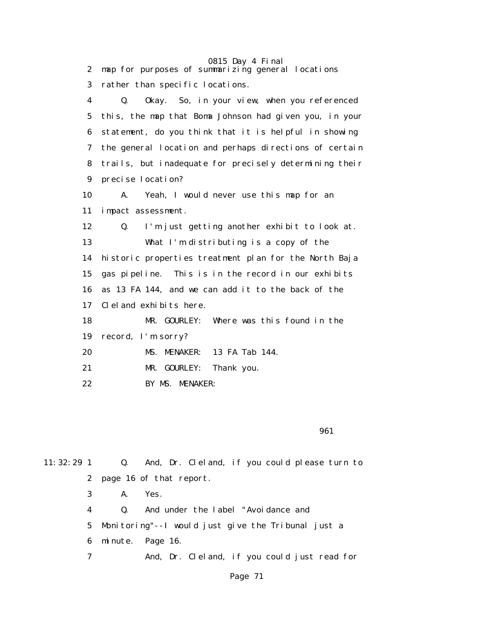| $\boldsymbol{2}$        | 0815 Day 4 Final<br>map for purposes of summarizing general locations |
|-------------------------|-----------------------------------------------------------------------|
| 3                       | rather than specific locations.                                       |
| $\overline{\mathbf{4}}$ | Okay. So, in your view, when you referenced<br>$\mathbf{0}$ .         |
| 5                       | this, the map that Boma Johnson had given you, in your                |
| 6                       | statement, do you think that it is helpful in showing                 |
| 7                       | the general location and perhaps directions of certain                |
| 8                       | trails, but inadequate for precisely determining their                |
| 9                       | precise location?                                                     |
| 10                      | Yeah, I would never use this map for an<br>A.                         |
| 11                      | impact assessment.                                                    |
| 12                      | I'm just getting another exhibit to look at.<br>Q.                    |
| 13                      | What I'm distributing is a copy of the                                |
| 14                      | historic properties treatment plan for the North Baja                 |
| 15                      | gas pipeline. This is in the record in our exhibits                   |
| 16                      | as 13 FA 144, and we can add it to the back of the                    |
| 17                      | Cleland exhibits here.                                                |
| 18                      | MR. GOURLEY:<br>Where was this found in the                           |
| 19                      | record, I'm sorry?                                                    |
| 20                      | MS. MENAKER:<br>13 FA Tab 144.                                        |
| 21                      | MR. GOURLEY:<br>Thank you.                                            |
| 22                      | BY MS. MENAKER:                                                       |

 $\sim$  961

| $11:32:29$ 1 |                           | Q. And, Dr. Cleland, if you could please turn to     |  |
|--------------|---------------------------|------------------------------------------------------|--|
|              | 2 page 16 of that report. |                                                      |  |
| 3            | A.                        | Yes.                                                 |  |
| 4            | $\mathbf{0}$ .            | And under the label "Avoidance and                   |  |
|              |                           | 5 Monitoring"--I would just give the Tribunal just a |  |
| 6            |                           | minute. Page 16.                                     |  |
| 7            |                           | And, Dr. Cleland, if you could just read for         |  |
|              |                           |                                                      |  |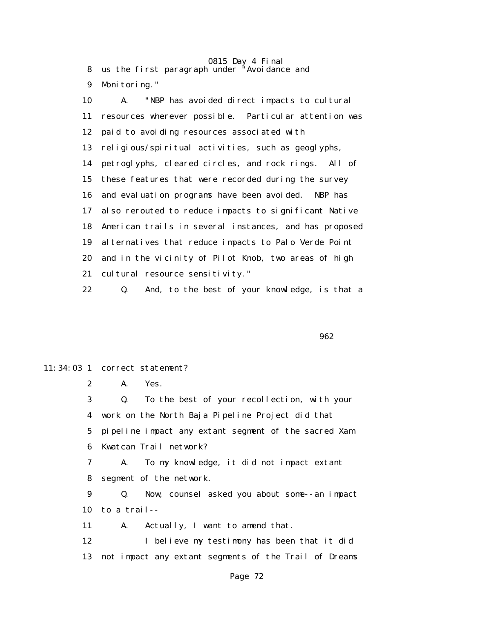8 us the first paragraph under "Avoidance and

9 Monitoring."

 10 A. "NBP has avoided direct impacts to cultural 11 resources wherever possible. Particular attention was 12 paid to avoiding resources associated with 13 religious/spiritual activities, such as geoglyphs, 14 petroglyphs, cleared circles, and rock rings. All of 15 these features that were recorded during the survey 16 and evaluation programs have been avoided. NBP has 17 also rerouted to reduce impacts to significant Native 18 American trails in several instances, and has proposed 19 alternatives that reduce impacts to Palo Verde Point 20 and in the vicinity of Pilot Knob, two areas of high 21 cultural resource sensitivity." 22 Q. And, to the best of your knowledge, is that a

 $\sim$  962

#### 11:34:03 1 correct statement?

2 A. Yes.

 3 Q. To the best of your recollection, with your 4 work on the North Baja Pipeline Project did that 5 pipeline impact any extant segment of the sacred Xam 6 Kwatcan Trail network?

 7 A. To my knowledge, it did not impact extant 8 segment of the network.

 9 Q. Now, counsel asked you about some--an impact 10 to a trail--

11 A. Actually, I want to amend that.

12 I believe my testimony has been that it did 13 not impact any extant segments of the Trail of Dreams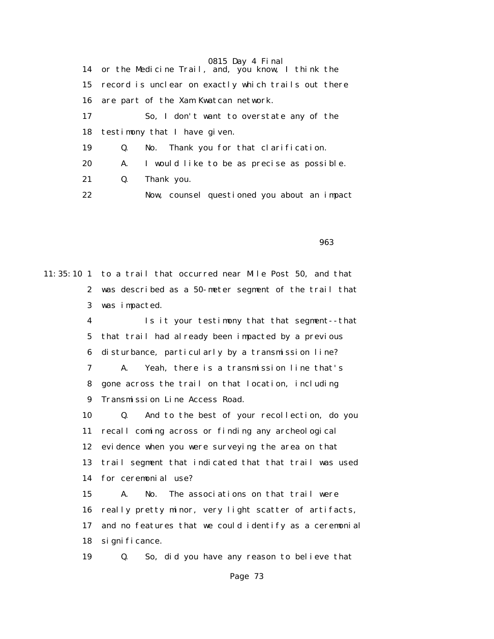|    |    | 0815 Day 4 Final                                       |
|----|----|--------------------------------------------------------|
|    |    | 14 or the Medicine Trail, and, you know, I think the   |
|    |    | 15 record is unclear on exactly which trails out there |
| 16 |    | are part of the Xam Kwatcan network.                   |
| 17 |    | So, I don't want to overstate any of the               |
| 18 |    | testimony that I have given.                           |
| 19 | Q. | No. Thank you for that clarification.                  |
| 20 | A. | I would like to be as precise as possible.             |
| 21 | Q. | Thank you.                                             |
| 22 |    | Now, counsel questioned you about an impact            |

en de la construcción de la construcción de la construcción de la construcción de la construcción de la constr

11:35:10 1 to a trail that occurred near Mile Post 50, and that 2 was described as a 50-meter segment of the trail that 3 was impacted.

> 4 Is it your testimony that that segment--that 5 that trail had already been impacted by a previous 6 disturbance, particularly by a transmission line? 7 A. Yeah, there is a transmission line that's 8 gone across the trail on that location, including 9 Transmission Line Access Road. 10 Q. And to the best of your recollection, do you 11 recall coming across or finding any archeological 12 evidence when you were surveying the area on that 13 trail segment that indicated that that trail was used 14 for ceremonial use? 15 A. No. The associations on that trail were 16 really pretty minor, very light scatter of artifacts, 17 and no features that we could identify as a ceremonial 18 significance. 19 Q. So, did you have any reason to believe that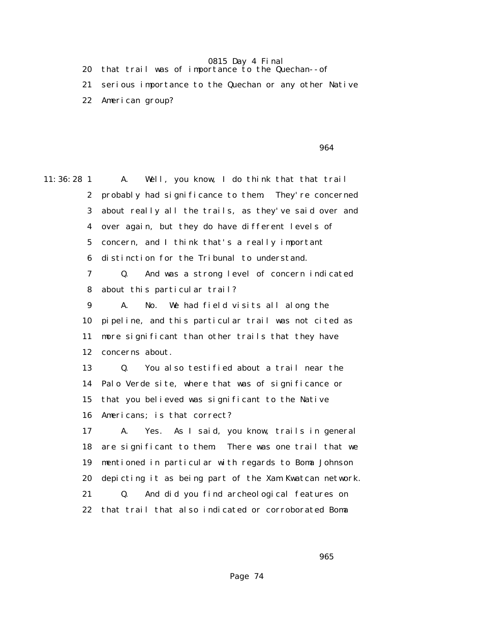20 that trail was of importance to the Quechan--of

 21 serious importance to the Quechan or any other Native 22 American group?

 $\sim$  964  $\sim$  964  $\sim$  964  $\sim$ 

11:36:28 1 A. Well, you know, I do think that that trail 2 probably had significance to them. They're concerned 3 about really all the trails, as they've said over and 4 over again, but they do have different levels of 5 concern, and I think that's a really important 6 distinction for the Tribunal to understand. 7 Q. And was a strong level of concern indicated 8 about this particular trail? 9 A. No. We had field visits all along the 10 pipeline, and this particular trail was not cited as 11 more significant than other trails that they have 12 concerns about. 13 Q. You also testified about a trail near the 14 Palo Verde site, where that was of significance or 15 that you believed was significant to the Native 16 Americans; is that correct? 17 A. Yes. As I said, you know, trails in general 18 are significant to them. There was one trail that we 19 mentioned in particular with regards to Boma Johnson 20 depicting it as being part of the Xam Kwatcan network. 21 Q. And did you find archeological features on 22 that trail that also indicated or corroborated Boma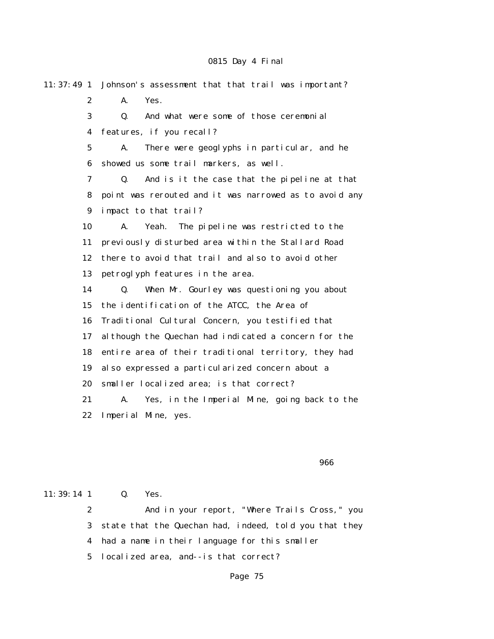11:37:49 1 Johnson's assessment that that trail was important? 2 A. Yes. 3 Q. And what were some of those ceremonial 4 features, if you recall? 5 A. There were geoglyphs in particular, and he 6 showed us some trail markers, as well. 7 Q. And is it the case that the pipeline at that 8 point was rerouted and it was narrowed as to avoid any 9 impact to that trail? 10 A. Yeah. The pipeline was restricted to the 11 previously disturbed area within the Stallard Road 12 there to avoid that trail and also to avoid other 13 petroglyph features in the area. 14 Q. When Mr. Gourley was questioning you about 15 the identification of the ATCC, the Area of 16 Traditional Cultural Concern, you testified that 17 although the Quechan had indicated a concern for the 18 entire area of their traditional territory, they had 19 also expressed a particularized concern about a 20 smaller localized area; is that correct? 21 A. Yes, in the Imperial Mine, going back to the 22 Imperial Mine, yes.

<u>966 - Johann Stein, amerikan besteht in de stein in de stein 1966 - Stein in de stein 1966 - Stein in de stei</u>

11:39:14 1 0. Yes.

 2 And in your report, "Where Trails Cross," you 3 state that the Quechan had, indeed, told you that they 4 had a name in their language for this smaller

5 localized area, and--is that correct?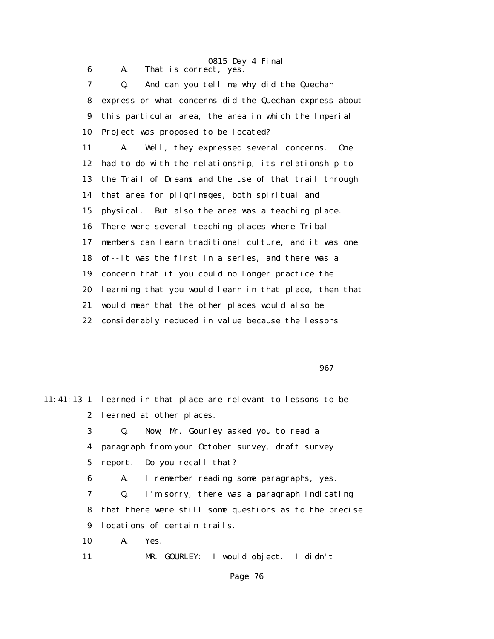0815 Day 4 Final 6 A. That is correct, yes. 7 Q. And can you tell me why did the Quechan 8 express or what concerns did the Quechan express about 9 this particular area, the area in which the Imperial 10 Project was proposed to be located? 11 A. Well, they expressed several concerns. One 12 had to do with the relationship, its relationship to 13 the Trail of Dreams and the use of that trail through 14 that area for pilgrimages, both spiritual and 15 physical. But also the area was a teaching place. 16 There were several teaching places where Tribal 17 members can learn traditional culture, and it was one 18 of--it was the first in a series, and there was a 19 concern that if you could no longer practice the 20 learning that you would learn in that place, then that 21 would mean that the other places would also be 22 considerably reduced in value because the lessons

 $\sim$  967  $\sim$  967  $\sim$  967  $\sim$  967  $\sim$ 

|    | 11:41:13 1 learned in that place are relevant to lessons to be |
|----|----------------------------------------------------------------|
|    | 2 learned at other places.                                     |
| 3  | Q. Now, Mr. Gourley asked you to read a                        |
|    | 4 paragraph from your October survey, draft survey             |
|    | 5 report. Do you recall that?                                  |
| 6  | A. I remember reading some paragraphs, yes.                    |
| 7  | I'm sorry, there was a paragraph indicating<br>$\mathbf{Q}_1$  |
|    | 8 that there were still some questions as to the precise       |
|    | 9 locations of certain trails.                                 |
|    | 10 A. Yes.                                                     |
| 11 | MR. GOURLEY: I would object. I didn't                          |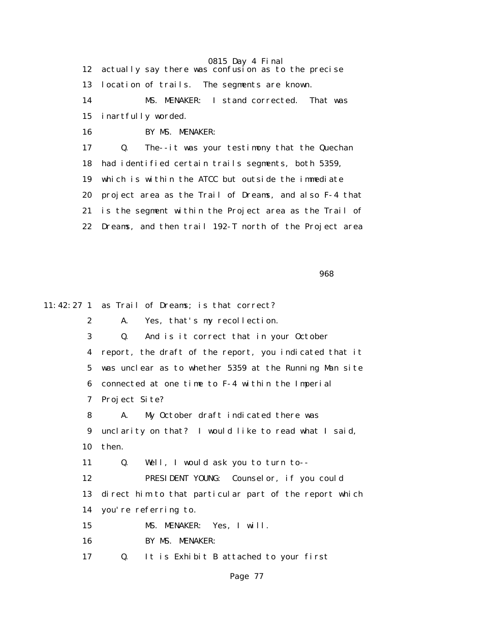12 actually say there was confusion as to the precise 13 location of trails. The segments are known. 14 MS. MENAKER: I stand corrected. That was 15 inartfully worded. 16 BY MS. MENAKER: 17 Q. The--it was your testimony that the Quechan 18 had identified certain trails segments, both 5359, 19 which is within the ATCC but outside the immediate 20 project area as the Trail of Dreams, and also F-4 that 21 is the segment within the Project area as the Trail of

22 Dreams, and then trail 192-T north of the Project area

en de la construcción de la construcción de la construcción de la construcción de la construcción de la constr

11:42:27 1 as Trail of Dreams; is that correct? 2 A. Yes, that's my recollection. 3 Q. And is it correct that in your October 4 report, the draft of the report, you indicated that it 5 was unclear as to whether 5359 at the Running Man site 6 connected at one time to F-4 within the Imperial 7 Project Site? 8 A. My October draft indicated there was 9 unclarity on that? I would like to read what I said, 10 then. 11 Q. Well, I would ask you to turn to-- 12 PRESIDENT YOUNG: Counselor, if you could 13 direct him to that particular part of the report which 14 you're referring to. 15 MS. MENAKER: Yes, I will. 16 BY MS. MENAKER: 17 Q. It is Exhibit B attached to your first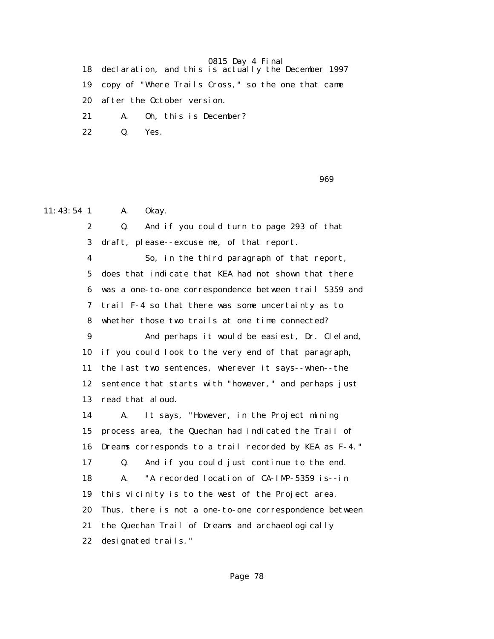18 declaration, and this is actually the December 1997

19 copy of "Where Trails Cross," so the one that came

20 after the October version.

21 A. Oh, this is December?

22 Q. Yes.

en de la construction de la construction de la construction de la construction de la construction de la constr

11:43:54 1 A. 0 kay.

 2 Q. And if you could turn to page 293 of that 3 draft, please--excuse me, of that report. 4 So, in the third paragraph of that report, 5 does that indicate that KEA had not shown that there 6 was a one-to-one correspondence between trail 5359 and 7 trail F-4 so that there was some uncertainty as to 8 whether those two trails at one time connected? 9 And perhaps it would be easiest, Dr. Cleland, 10 if you could look to the very end of that paragraph, 11 the last two sentences, wherever it says--when--the 12 sentence that starts with "however," and perhaps just 13 read that aloud. 14 A. It says, "However, in the Project mining 15 process area, the Quechan had indicated the Trail of 16 Dreams corresponds to a trail recorded by KEA as F-4." 17 Q. And if you could just continue to the end. 18 A. "A recorded location of CA-IMP-5359 is--in 19 this vicinity is to the west of the Project area. 20 Thus, there is not a one-to-one correspondence between 21 the Quechan Trail of Dreams and archaeologically 22 designated trails."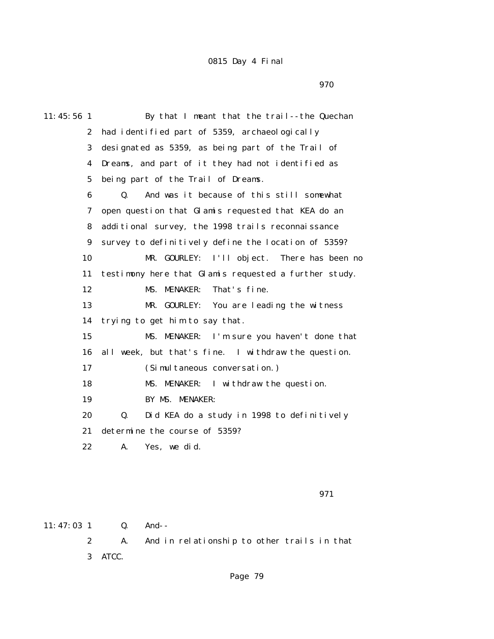<u>970</u>

| 11:45:56 1   | By that I meant that the trail--the Quechan                 |
|--------------|-------------------------------------------------------------|
| $\mathbf{2}$ | had identified part of 5359, archaeologically               |
| 3            | designated as 5359, as being part of the Trail of           |
| 4            | Dreams, and part of it they had not identified as           |
| $\mathbf 5$  | being part of the Trail of Dreams.                          |
| 6            | And was it because of this still somewhat<br>$\mathbf{0}$ . |
| 7            | open question that Glamis requested that KEA do an          |
| 8            | additional survey, the 1998 trails reconnaissance           |
| 9            | survey to definitively define the location of 5359?         |
| 10           | I'll object. There has been no<br>MR. GOURLEY:              |
| 11           | testimony here that Glamis requested a further study.       |
| 12           | That's fine.<br><b>MENAKER:</b><br>MS.                      |
| 13           | MR. GOURLEY:<br>You are leading the witness                 |
| 14           | trying to get him to say that.                              |
| 15           | MS. MENAKER: I'm sure you haven't done that                 |
| 16           | all week, but that's fine. I withdraw the question.         |
| 17           | (Simultaneous conversation.)                                |
| 18           | I withdraw the question.<br>MS. MENAKER:                    |
| 19           | BY MS. MENAKER:                                             |
| 20           | Did KEA do a study in 1998 to definitively<br>Q.            |
| 21           | determine the course of 5359?                               |
| 22           | A.<br>Yes, we did.                                          |
|              |                                                             |

971

11:47:03 1 Q. And-- 2 A. And in relationship to other trails in that 3 ATCC.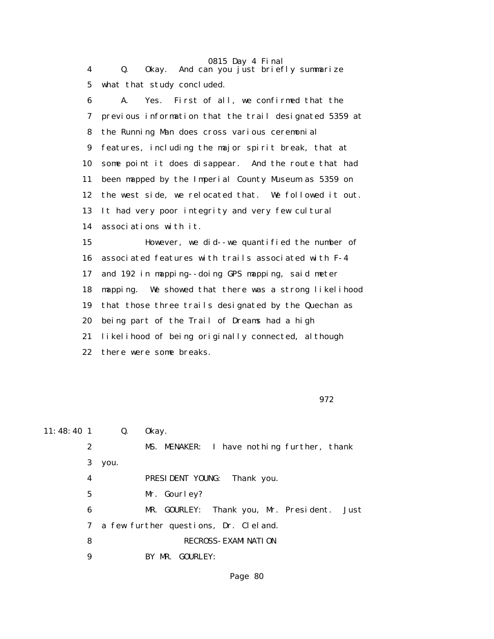| 4           | 0815 Day 4 Final<br>Okay. And can you just briefly summarize<br>$\mathbf{Q}$ . |
|-------------|--------------------------------------------------------------------------------|
| $\mathbf 5$ | what that study concluded.                                                     |
| 6           | Yes. First of all, we confirmed that the<br>A.                                 |
| 7           | previous information that the trail designated 5359 at                         |
| 8           | the Running Man does cross various ceremonial                                  |
| 9           | features, including the major spirit break, that at                            |
| 10          | some point it does disappear. And the route that had                           |
| 11          | been mapped by the Imperial County Museum as 5359 on                           |
| 12          | the west side, we relocated that. We followed it out.                          |
| 13          | It had very poor integrity and very few cultural                               |
| 14          | associations with it.                                                          |
| 15          | However, we did--we quantified the number of                                   |
| 16          | associated features with trails associated with F-4                            |
| 17          | and 192 in mapping--doing GPS mapping, said meter                              |
| 18          | mapping. We showed that there was a strong likelihood                          |
| 19          | that those three trails designated by the Quechan as                           |
| 20          | being part of the Trail of Dreams had a high                                   |
| 21          | likelihood of being originally connected, although                             |
| 22          | there were some breaks.                                                        |

972

| $11:48:40$ 1 |                  | Q.   | 0kay.                                          |
|--------------|------------------|------|------------------------------------------------|
|              | $\boldsymbol{2}$ |      | MS. MENAKER: I have nothing further, thank     |
|              | 3                | you. |                                                |
|              | 4                |      | <b>PRESIDENT YOUNG:</b><br>Thank you.          |
|              | $\mathbf 5$      |      | Mr. Gourley?                                   |
|              | 6                |      | MR. GOURLEY: Thank you, Mr. President.<br>Just |
|              | 7                |      | a few further questions, Dr. Cleland.          |
|              | 8                |      | <b>RECROSS- EXAMINATION</b>                    |
|              | 9                |      | BY MR. GOURLEY:                                |
|              |                  |      |                                                |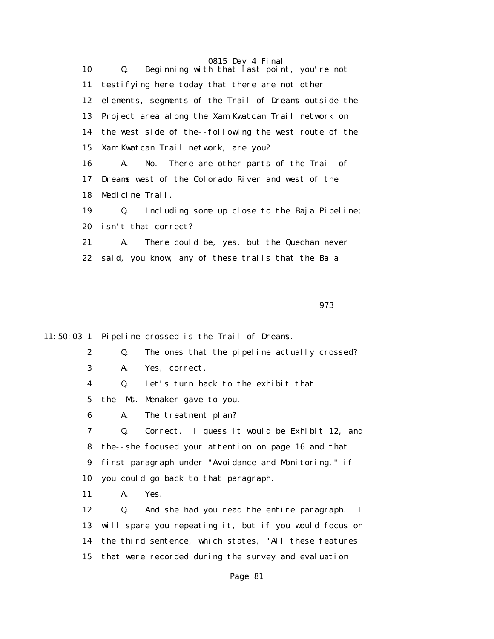0815 Day 4 Final 10 Q. Beginning with that last point, you're not 11 testifying here today that there are not other 12 elements, segments of the Trail of Dreams outside the 13 Project area along the Xam Kwatcan Trail network on 14 the west side of the--following the west route of the 15 Xam Kwatcan Trail network, are you? 16 A. No. There are other parts of the Trail of 17 Dreams west of the Colorado River and west of the 18 Medicine Trail. 19 Q. Including some up close to the Baja Pipeline; 20 isn't that correct? 21 A. There could be, yes, but the Quechan never 22 said, you know, any of these trails that the Baja

973

11:50:03 1 Pipeline crossed is the Trail of Dreams.

|  |  |  |  |  | The ones that the pipeline actually crossed? |  |
|--|--|--|--|--|----------------------------------------------|--|
|--|--|--|--|--|----------------------------------------------|--|

3 A. Yes, correct.

4 Q. Let's turn back to the exhibit that

- 5 the--Ms. Menaker gave to you.
- 6 A. The treatment plan?

 7 Q. Correct. I guess it would be Exhibit 12, and 8 the--she focused your attention on page 16 and that 9 first paragraph under "Avoidance and Monitoring," if 10 you could go back to that paragraph.

11 A. Yes.

 12 Q. And she had you read the entire paragraph. I 13 will spare you repeating it, but if you would focus on 14 the third sentence, which states, "All these features 15 that were recorded during the survey and evaluation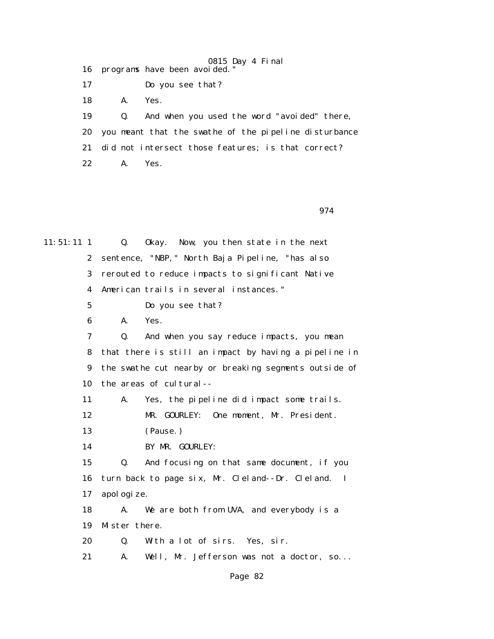0815 Day 4 Final 16 programs have been avoided." 17 Do you see that? 18 A. Yes. 19 Q. And when you used the word "avoided" there, 20 you meant that the swathe of the pipeline disturbance 21 did not intersect those features; is that correct? 22 A. Yes.

974

11:51:11 1 Q. Okay. Now, you then state in the next 2 sentence, "NBP," North Baja Pipeline, "has also 3 rerouted to reduce impacts to significant Native 4 American trails in several instances." 5 Do you see that? 6 A. Yes. 7 Q. And when you say reduce impacts, you mean 8 that there is still an impact by having a pipeline in 9 the swathe cut nearby or breaking segments outside of 10 the areas of cultural-- 11 A. Yes, the pipeline did impact some trails. 12 MR. GOURLEY: One moment, Mr. President. 13 (Pause.) 14 BY MR. GOURLEY: 15 Q. And focusing on that same document, if you 16 turn back to page six, Mr. Cleland--Dr. Cleland. I 17 apologize. 18 A. We are both from UVA, and everybody is a 19 Mister there. 20 Q. With a lot of sirs. Yes, sir. 21 A. Well, Mr. Jefferson was not a doctor, so...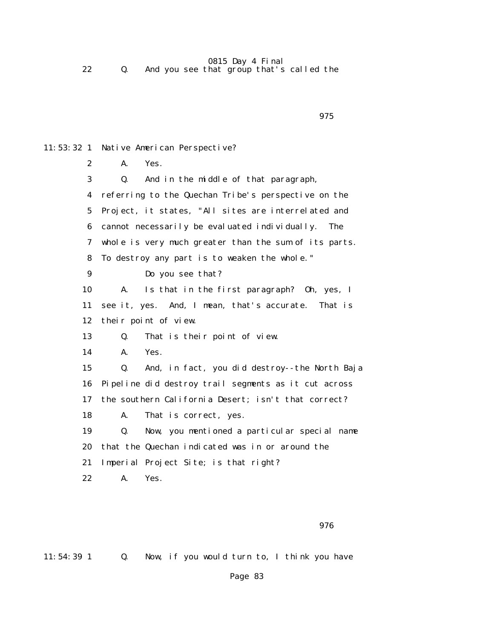11:53:32 1 Native American Perspective?

experience of the contract of the contract of the contract of the contract of the contract of the contract of the contract of the contract of the contract of the contract of the contract of the contract of the contract of

 2 A. Yes. 3 Q. And in the middle of that paragraph, 4 referring to the Quechan Tribe's perspective on the 5 Project, it states, "All sites are interrelated and 6 cannot necessarily be evaluated individually. The 7 whole is very much greater than the sum of its parts. 8 To destroy any part is to weaken the whole." 9 Do you see that? 10 A. Is that in the first paragraph? Oh, yes, I 11 see it, yes. And, I mean, that's accurate. That is 12 their point of view. 13 Q. That is their point of view. 14 A. Yes. 15 Q. And, in fact, you did destroy--the North Baja 16 Pipeline did destroy trail segments as it cut across 17 the southern California Desert; isn't that correct? 18 A. That is correct, yes. 19 Q. Now, you mentioned a particular special name 20 that the Quechan indicated was in or around the 21 Imperial Project Site; is that right? 22 A. Yes.

experience of the contract of the contract of the contract of the contract of the contract of the contract of the contract of the contract of the contract of the contract of the contract of the contract of the contract of

11:54:39 1 Q. Now, if you would turn to, I think you have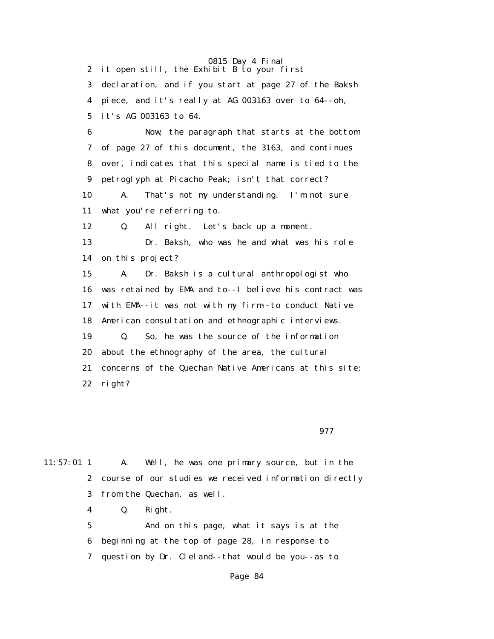2 it open still, the Exhibit B to your first

 3 declaration, and if you start at page 27 of the Baksh 4 piece, and it's really at AG 003163 over to 64--oh, 5 it's AG 003163 to 64.

 6 Now, the paragraph that starts at the bottom 7 of page 27 of this document, the 3163, and continues 8 over, indicates that this special name is tied to the 9 petroglyph at Picacho Peak; isn't that correct?

 10 A. That's not my understanding. I'm not sure 11 what you're referring to.

12 Q. All right. Let's back up a moment.

 13 Dr. Baksh, who was he and what was his role 14 on this project?

 15 A. Dr. Baksh is a cultural anthropologist who 16 was retained by EMA and to--I believe his contract was 17 with EMA--it was not with my firm--to conduct Native 18 American consultation and ethnographic interviews. 19 Q. So, he was the source of the information 20 about the ethnography of the area, the cultural 21 concerns of the Quechan Native Americans at this site; 22 right?

<u>977</u>

11:57:01 1 A. Well, he was one primary source, but in the 2 course of our studies we received information directly 3 from the Quechan, as well. 4 Q. Right. 5 And on this page, what it says is at the 6 beginning at the top of page 28, in response to 7 question by Dr. Cleland--that would be you--as to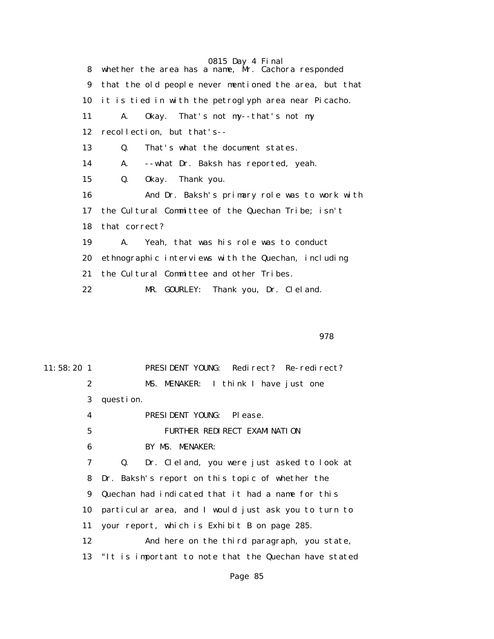0815 Day 4 Final 8 whether the area has a name, Mr. Cachora responded 9 that the old people never mentioned the area, but that 10 it is tied in with the petroglyph area near Picacho. 11 A. Okay. That's not my--that's not my 12 recollection, but that's-- 13 Q. That's what the document states. 14 A. --what Dr. Baksh has reported, yeah. 15 Q. Okay. Thank you. 16 And Dr. Baksh's primary role was to work with 17 the Cultural Committee of the Quechan Tribe; isn't 18 that correct? 19 A. Yeah, that was his role was to conduct 20 ethnographic interviews with the Quechan, including 21 the Cultural Committee and other Tribes. 22 MR. GOURLEY: Thank you, Dr. Cleland.

#### 978

11:58:20 1 PRESIDENT YOUNG: Redirect? Re-redirect? 2 MS. MENAKER: I think I have just one 3 question. 4 PRESIDENT YOUNG: Please. 5 FURTHER REDIRECT EXAMINATION 6 BY MS. MENAKER: 7 Q. Dr. Cleland, you were just asked to look at 8 Dr. Baksh's report on this topic of whether the 9 Quechan had indicated that it had a name for this 10 particular area, and I would just ask you to turn to 11 your report, which is Exhibit B on page 285. 12 And here on the third paragraph, you state, 13 "It is important to note that the Quechan have stated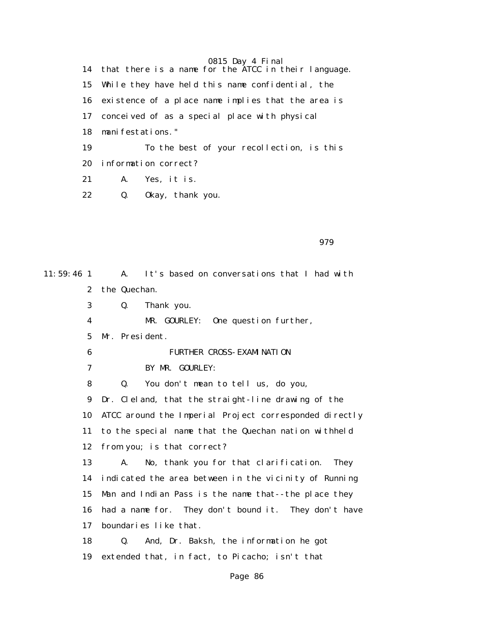0815 Day 4 Final 14 that there is a name for the ATCC in their language. 15 While they have held this name confidential, the 16 existence of a place name implies that the area is 17 conceived of as a special place with physical 18 manifestations." 19 To the best of your recollection, is this 20 information correct? 21 A. Yes, it is. 22 Q. Okay, thank you.

979

11:59:46 1 A. It's based on conversations that I had with 2 the Quechan. 3 Q. Thank you. 4 MR. GOURLEY: One question further, 5 Mr. President. 6 FURTHER CROSS-EXAMINATION 7 BY MR. GOURLEY: 8 Q. You don't mean to tell us, do you, 9 Dr. Cleland, that the straight-line drawing of the 10 ATCC around the Imperial Project corresponded directly 11 to the special name that the Quechan nation withheld 12 from you; is that correct? 13 A. No, thank you for that clarification. They 14 indicated the area between in the vicinity of Running 15 Man and Indian Pass is the name that--the place they 16 had a name for. They don't bound it. They don't have 17 boundaries like that. 18 Q. And, Dr. Baksh, the information he got 19 extended that, in fact, to Picacho; isn't that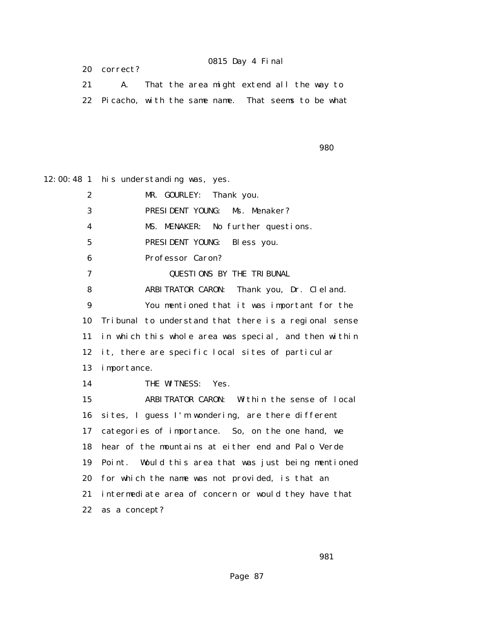20 correct?

#### 0815 Day 4 Final

|                                                       | That the area might extend all the way to |  |  |  |
|-------------------------------------------------------|-------------------------------------------|--|--|--|
| 22 Picacho, with the same name. That seems to be what |                                           |  |  |  |

en de la construcción de la construcción de la construcción de la construcción de la construcción de la constr

12:00:48 1 his understanding was, yes.

 2 MR. GOURLEY: Thank you. 3 PRESIDENT YOUNG: Ms. Menaker? 4 MS. MENAKER: No further questions. 5 PRESIDENT YOUNG: Bless you. 6 Professor Caron? 7 QUESTIONS BY THE TRIBUNAL 8 ARBITRATOR CARON: Thank you, Dr. Cleland. 9 You mentioned that it was important for the 10 Tribunal to understand that there is a regional sense 11 in which this whole area was special, and then within 12 it, there are specific local sites of particular 13 importance. 14 THE WITNESS: Yes. 15 ARBITRATOR CARON: Within the sense of local 16 sites, I guess I'm wondering, are there different 17 categories of importance. So, on the one hand, we 18 hear of the mountains at either end and Palo Verde 19 Point. Would this area that was just being mentioned 20 for which the name was not provided, is that an 21 intermediate area of concern or would they have that 22 as a concept?

 $\sim$  981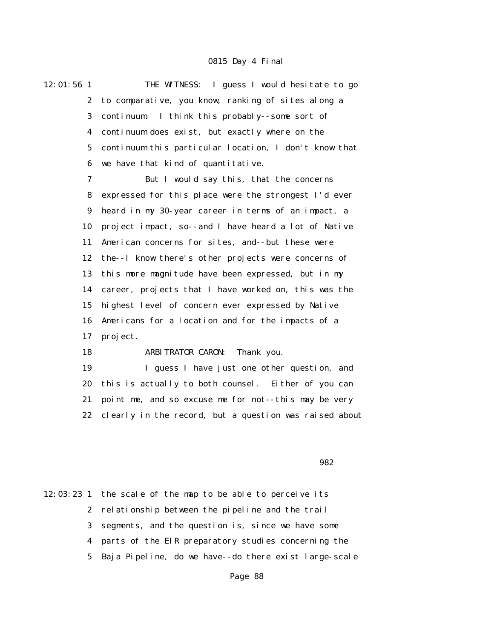12:01:56 1 THE WITNESS: I guess I would hesitate to go 2 to comparative, you know, ranking of sites along a 3 continuum. I think this probably--some sort of 4 continuum does exist, but exactly where on the 5 continuum this particular location, I don't know that 6 we have that kind of quantitative.

> 7 But I would say this, that the concerns 8 expressed for this place were the strongest I'd ever 9 heard in my 30-year career in terms of an impact, a 10 project impact, so--and I have heard a lot of Native 11 American concerns for sites, and--but these were 12 the--I know there's other projects were concerns of 13 this more magnitude have been expressed, but in my 14 career, projects that I have worked on, this was the 15 highest level of concern ever expressed by Native 16 Americans for a location and for the impacts of a 17 project.

18 ARBITRATOR CARON: Thank you.

 19 I guess I have just one other question, and 20 this is actually to both counsel. Either of you can 21 point me, and so excuse me for not--this may be very 22 clearly in the record, but a question was raised about

 $\sim$  982

12:03:23 1 the scale of the map to be able to perceive its 2 relationship between the pipeline and the trail 3 segments, and the question is, since we have some 4 parts of the EIR preparatory studies concerning the 5 Baja Pipeline, do we have--do there exist large-scale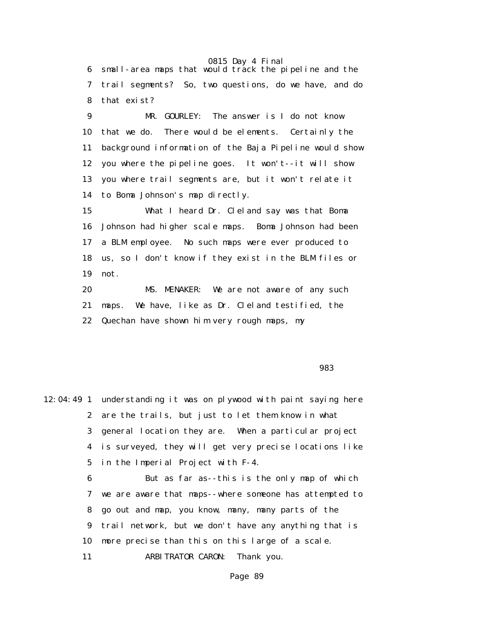6 small-area maps that would track the pipeline and the 7 trail segments? So, two questions, do we have, and do 8 that exist?

 9 MR. GOURLEY: The answer is I do not know 10 that we do. There would be elements. Certainly the 11 background information of the Baja Pipeline would show 12 you where the pipeline goes. It won't--it will show 13 you where trail segments are, but it won't relate it 14 to Boma Johnson's map directly.

 15 What I heard Dr. Cleland say was that Boma 16 Johnson had higher scale maps. Boma Johnson had been 17 a BLM employee. No such maps were ever produced to 18 us, so I don't know if they exist in the BLM files or 19 not.

 20 MS. MENAKER: We are not aware of any such 21 maps. We have, like as Dr. Cleland testified, the 22 Quechan have shown him very rough maps, my

en de la construcción de la construcción de la construcción de la construcción de la construcción de la constr

12:04:49 1 understanding it was on plywood with paint saying here 2 are the trails, but just to let them know in what 3 general location they are. When a particular project 4 is surveyed, they will get very precise locations like 5 in the Imperial Project with F-4.

> 6 But as far as--this is the only map of which 7 we are aware that maps--where someone has attempted to 8 go out and map, you know, many, many parts of the 9 trail network, but we don't have any anything that is 10 more precise than this on this large of a scale. 11 ARBITRATOR CARON: Thank you.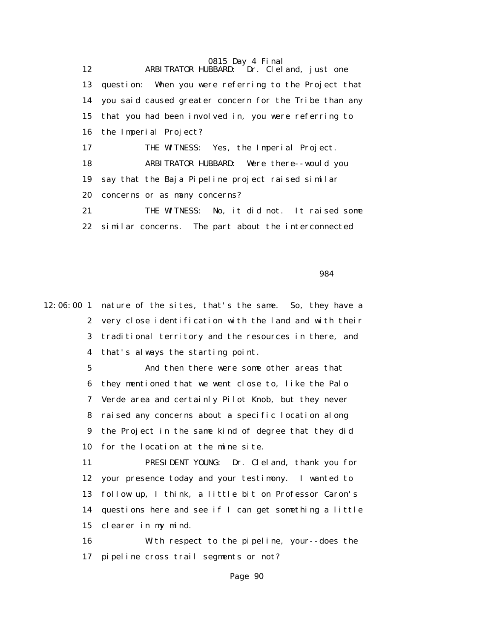0815 Day 4 Final 12 ARBITRATOR HUBBARD: Dr. Cleland, just one 13 question: When you were referring to the Project that 14 you said caused greater concern for the Tribe than any 15 that you had been involved in, you were referring to 16 the Imperial Project? 17 THE WITNESS: Yes, the Imperial Project. 18 ARBITRATOR HUBBARD: Were there--would you 19 say that the Baja Pipeline project raised similar 20 concerns or as many concerns? 21 THE WITNESS: No, it did not. It raised some 22 similar concerns. The part about the interconnected

 $\sim$  984

12:06:00 1 nature of the sites, that's the same. So, they have a 2 very close identification with the land and with their 3 traditional territory and the resources in there, and 4 that's always the starting point.

> 5 And then there were some other areas that 6 they mentioned that we went close to, like the Palo 7 Verde area and certainly Pilot Knob, but they never 8 raised any concerns about a specific location along 9 the Project in the same kind of degree that they did 10 for the location at the mine site.

 11 PRESIDENT YOUNG: Dr. Cleland, thank you for 12 your presence today and your testimony. I wanted to 13 follow up, I think, a little bit on Professor Caron's 14 questions here and see if I can get something a little 15 clearer in my mind.

 16 With respect to the pipeline, your--does the 17 pipeline cross trail segments or not?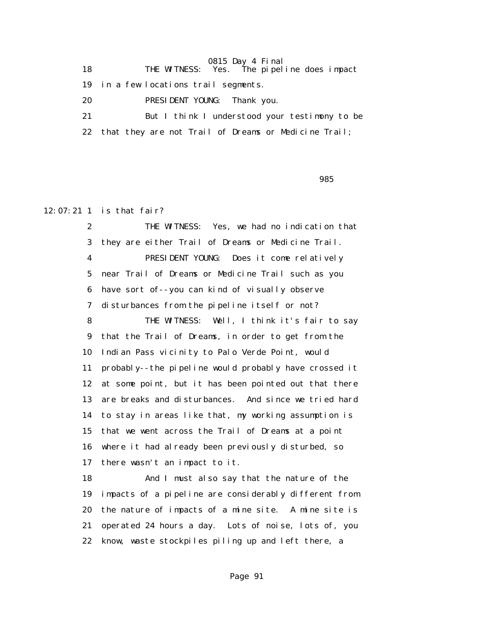18 THE WITNESS: Yes. The pipeline does impact

19 in a few locations trail segments.

20 PRESIDENT YOUNG: Thank you.

 21 But I think I understood your testimony to be 22 that they are not Trail of Dreams or Medicine Trail;

<u>985 - Johann Stein, amerikan besteht in den staatsmannen in de stein in de staatsmannen in de stein in de ste</u>

# 12:07:21 1 is that fair?

 2 THE WITNESS: Yes, we had no indication that 3 they are either Trail of Dreams or Medicine Trail. 4 PRESIDENT YOUNG: Does it come relatively 5 near Trail of Dreams or Medicine Trail such as you 6 have sort of--you can kind of visually observe 7 disturbances from the pipeline itself or not? 8 THE WITNESS: Well, I think it's fair to say 9 that the Trail of Dreams, in order to get from the 10 Indian Pass vicinity to Palo Verde Point, would 11 probably--the pipeline would probably have crossed it 12 at some point, but it has been pointed out that there 13 are breaks and disturbances. And since we tried hard 14 to stay in areas like that, my working assumption is 15 that we went across the Trail of Dreams at a point 16 where it had already been previously disturbed, so 17 there wasn't an impact to it. 18 And I must also say that the nature of the

 19 impacts of a pipeline are considerably different from 20 the nature of impacts of a mine site. A mine site is 21 operated 24 hours a day. Lots of noise, lots of, you 22 know, waste stockpiles piling up and left there, a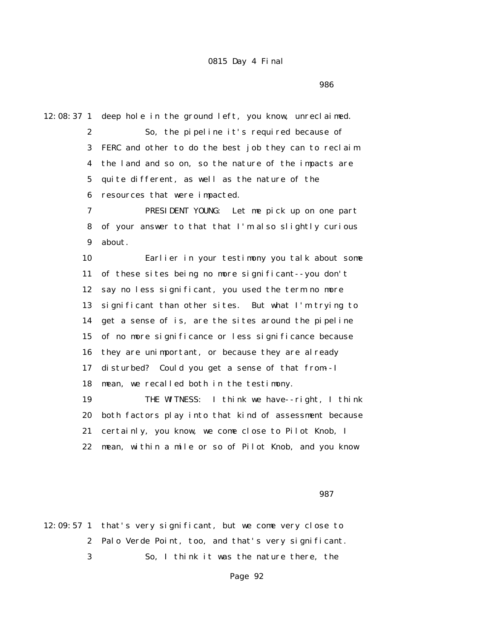<u>986 - Johann Stein, amerikan besteht in de staat 1986 - Stein Besteht in de staat 1986 - Stein Besteht in de s</u>

12:08:37 1 deep hole in the ground left, you know, unreclaimed.

 2 So, the pipeline it's required because of 3 FERC and other to do the best job they can to reclaim 4 the land and so on, so the nature of the impacts are 5 quite different, as well as the nature of the 6 resources that were impacted.

 7 PRESIDENT YOUNG: Let me pick up on one part 8 of your answer to that that I'm also slightly curious 9 about.

 10 Earlier in your testimony you talk about some 11 of these sites being no more significant--you don't 12 say no less significant, you used the term no more 13 significant than other sites. But what I'm trying to 14 get a sense of is, are the sites around the pipeline 15 of no more significance or less significance because 16 they are unimportant, or because they are already 17 disturbed? Could you get a sense of that from--I 18 mean, we recalled both in the testimony.

 19 THE WITNESS: I think we have--right, I think 20 both factors play into that kind of assessment because 21 certainly, you know, we come close to Pilot Knob, I 22 mean, within a mile or so of Pilot Knob, and you know

987

12:09:57 1 that's very significant, but we come very close to 2 Palo Verde Point, too, and that's very significant. 3 So, I think it was the nature there, the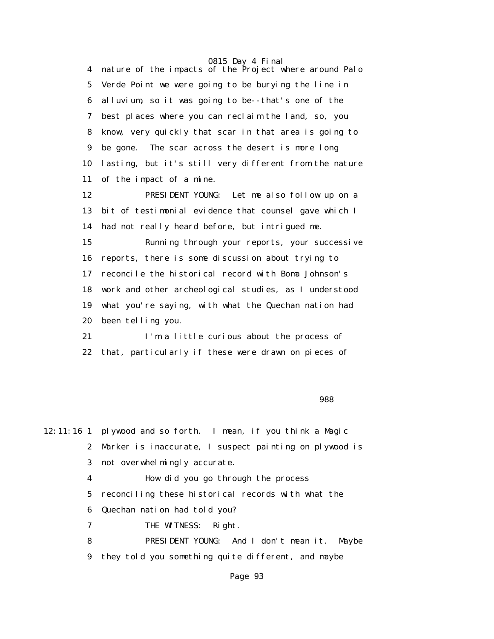4 nature of the impacts of the Project where around Palo 5 Verde Point we were going to be burying the line in 6 alluvium, so it was going to be--that's one of the 7 best places where you can reclaim the land, so, you 8 know, very quickly that scar in that area is going to 9 be gone. The scar across the desert is more long 10 lasting, but it's still very different from the nature 11 of the impact of a mine.

 12 PRESIDENT YOUNG: Let me also follow up on a 13 bit of testimonial evidence that counsel gave which I 14 had not really heard before, but intrigued me.

 15 Running through your reports, your successive 16 reports, there is some discussion about trying to 17 reconcile the historical record with Boma Johnson's 18 work and other archeological studies, as I understood 19 what you're saying, with what the Quechan nation had 20 been telling you.

 21 I'm a little curious about the process of 22 that, particularly if these were drawn on pieces of

en de la construcción de la construcción de la construcción de la construcción de la construcción de la constr

12:11:16 1 plywood and so forth. I mean, if you think a Magic 2 Marker is inaccurate, I suspect painting on plywood is 3 not overwhelmingly accurate.

4 How did you go through the process

5 reconciling these historical records with what the

6 Quechan nation had told you?

7 THE WITNESS: Right.

 8 PRESIDENT YOUNG: And I don't mean it. Maybe 9 they told you something quite different, and maybe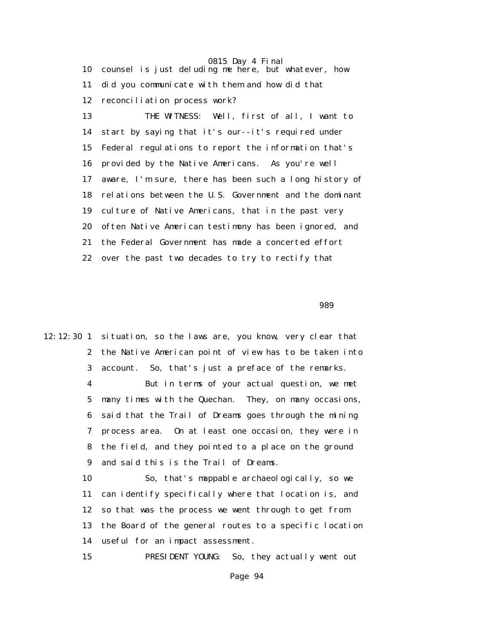0815 Day 4 Final 10 counsel is just deluding me here, but whatever, how 11 did you communicate with them and how did that 12 reconciliation process work? 13 THE WITNESS: Well, first of all, I want to 14 start by saying that it's our--it's required under 15 Federal regulations to report the information that's 16 provided by the Native Americans. As you're well 17 aware, I'm sure, there has been such a long history of 18 relations between the U.S. Government and the dominant

 19 culture of Native Americans, that in the past very 20 often Native American testimony has been ignored, and 21 the Federal Government has made a concerted effort

22 over the past two decades to try to rectify that

en de la construction de la construction de la construction de la construction de la construction de la constr

12:12:30 1 situation, so the laws are, you know, very clear that 2 the Native American point of view has to be taken into 3 account. So, that's just a preface of the remarks.

> 4 But in terms of your actual question, we met 5 many times with the Quechan. They, on many occasions, 6 said that the Trail of Dreams goes through the mining 7 process area. On at least one occasion, they were in 8 the field, and they pointed to a place on the ground 9 and said this is the Trail of Dreams.

> 10 So, that's mappable archaeologically, so we 11 can identify specifically where that location is, and 12 so that was the process we went through to get from 13 the Board of the general routes to a specific location 14 useful for an impact assessment.

15 PRESIDENT YOUNG: So, they actually went out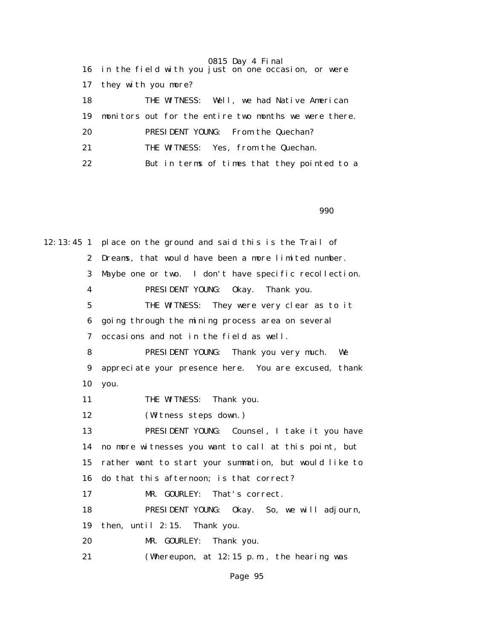0815 Day 4 Final 16 in the field with you just on one occasion, or were 17 they with you more? 18 THE WITNESS: Well, we had Native American 19 monitors out for the entire two months we were there. 20 PRESIDENT YOUNG: From the Quechan? 21 THE WITNESS: Yes, from the Quechan. 22 But in terms of times that they pointed to a

en de la construction de la construction de la construction de la construction de la construction de la constr

12:13:45 1 place on the ground and said this is the Trail of 2 Dreams, that would have been a more limited number. 3 Maybe one or two. I don't have specific recollection. 4 PRESIDENT YOUNG: Okay. Thank you. 5 THE WITNESS: They were very clear as to it 6 going through the mining process area on several 7 occasions and not in the field as well. 8 PRESIDENT YOUNG: Thank you very much. We 9 appreciate your presence here. You are excused, thank 10 you. 11 THE WITNESS: Thank you. 12 (Witness steps down.) 13 PRESIDENT YOUNG: Counsel, I take it you have 14 no more witnesses you want to call at this point, but 15 rather want to start your summation, but would like to 16 do that this afternoon; is that correct? 17 MR. GOURLEY: That's correct. 18 PRESIDENT YOUNG: Okay. So, we will adjourn, 19 then, until 2:15. Thank you. 20 MR. GOURLEY: Thank you. 21 (Whereupon, at 12:15 p.m., the hearing was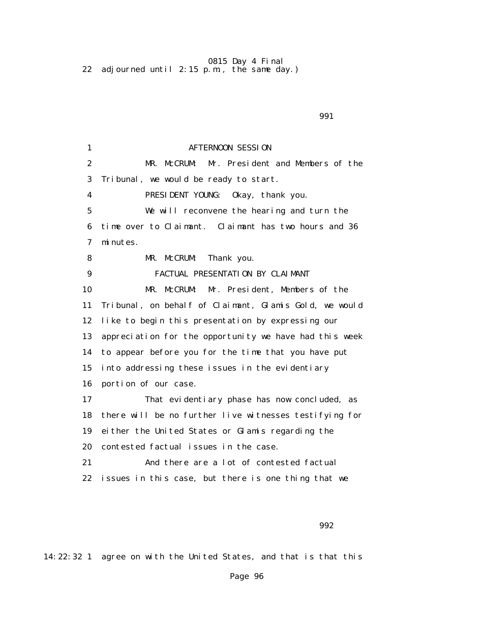0815 Day 4 Final 22 adjourned until 2:15 p.m., the same day.)

1 **AFTERNOON SESSION**  2 MR. McCRUM: Mr. President and Members of the 3 Tribunal, we would be ready to start. 4 PRESIDENT YOUNG: Okay, thank you. 5 We will reconvene the hearing and turn the 6 time over to Claimant. Claimant has two hours and 36 7 minutes. 8 MR. McCRUM: Thank you. 9 FACTUAL PRESENTATION BY CLAIMANT 10 MR. McCRUM: Mr. President, Members of the 11 Tribunal, on behalf of Claimant, Glamis Gold, we would 12 like to begin this presentation by expressing our 13 appreciation for the opportunity we have had this week 14 to appear before you for the time that you have put 15 into addressing these issues in the evidentiary 16 portion of our case. 17 That evidentiary phase has now concluded, as 18 there will be no further live witnesses testifying for 19 either the United States or Glamis regarding the 20 contested factual issues in the case. 21 And there are a lot of contested factual 22 issues in this case, but there is one thing that we

 $992$ 

14:22:32 1 agree on with the United States, and that is that this

#### $\sim$  991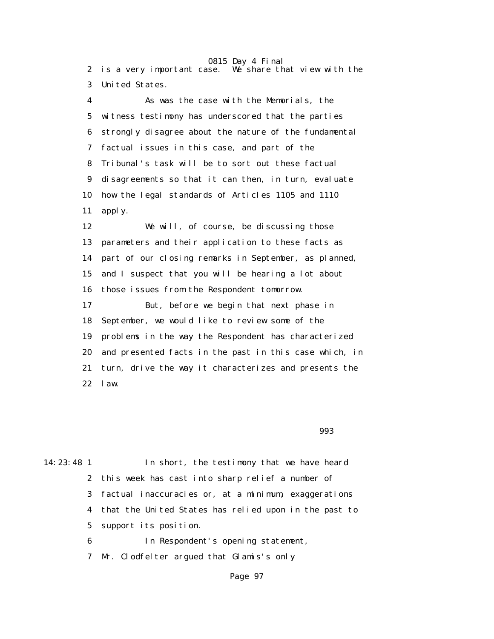0815 Day 4 Final 2 is a very important case. We share that view with the 3 United States.

 4 As was the case with the Memorials, the 5 witness testimony has underscored that the parties 6 strongly disagree about the nature of the fundamental 7 factual issues in this case, and part of the 8 Tribunal's task will be to sort out these factual 9 disagreements so that it can then, in turn, evaluate 10 how the legal standards of Articles 1105 and 1110 11 apply.

 12 We will, of course, be discussing those 13 parameters and their application to these facts as 14 part of our closing remarks in September, as planned, 15 and I suspect that you will be hearing a lot about 16 those issues from the Respondent tomorrow. 17 But, before we begin that next phase in 18 September, we would like to review some of the 19 problems in the way the Respondent has characterized 20 and presented facts in the past in this case which, in 21 turn, drive the way it characterizes and presents the 22 law.

en 1993 - Santa Carolina de Santa Carolina (n. 1993).<br>1993 - Johann Stein, polític estadounidense (n. 1993).

| $14:23:48$ 1 | In short, the testimony that we have heard              |
|--------------|---------------------------------------------------------|
|              | 2 this week has cast into sharp relief a number of      |
|              | 3 factual inaccuracies or, at a minimum, exaggerations  |
|              | 4 that the United States has relied upon in the past to |
|              | 5 support its position.                                 |
|              |                                                         |

6 In Respondent's opening statement,

7 Mr. Clodfelter argued that Glamis's only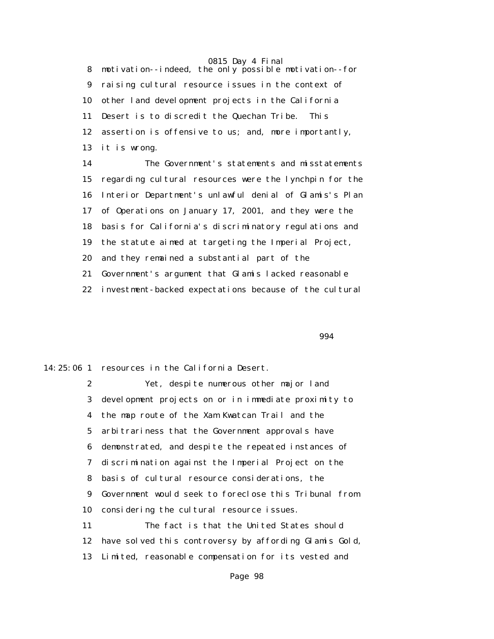8 motivation--indeed, the only possible motivation--for 9 raising cultural resource issues in the context of 10 other land development projects in the California 11 Desert is to discredit the Quechan Tribe. This 12 assertion is offensive to us; and, more importantly, 13 it is wrong.

 14 The Government's statements and misstatements 15 regarding cultural resources were the lynchpin for the 16 Interior Department's unlawful denial of Glamis's Plan 17 of Operations on January 17, 2001, and they were the 18 basis for California's discriminatory regulations and 19 the statute aimed at targeting the Imperial Project, 20 and they remained a substantial part of the 21 Government's argument that Glamis lacked reasonable 22 investment-backed expectations because of the cultural

 $\sim$  994

14:25:06 1 resources in the California Desert.

 2 Yet, despite numerous other major land 3 development projects on or in immediate proximity to 4 the map route of the Xam Kwatcan Trail and the 5 arbitrariness that the Government approvals have 6 demonstrated, and despite the repeated instances of 7 discrimination against the Imperial Project on the 8 basis of cultural resource considerations, the 9 Government would seek to foreclose this Tribunal from 10 considering the cultural resource issues. 11 The fact is that the United States should 12 have solved this controversy by affording Glamis Gold,

13 Limited, reasonable compensation for its vested and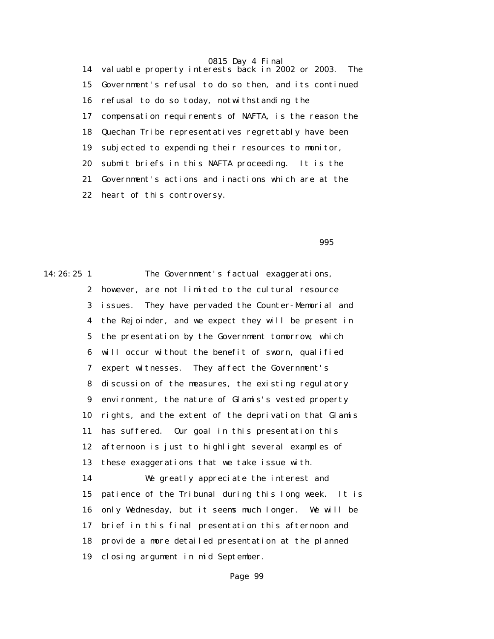14 valuable property interests back in 2002 or 2003. The 15 Government's refusal to do so then, and its continued 16 refusal to do so today, notwithstanding the 17 compensation requirements of NAFTA, is the reason the 18 Quechan Tribe representatives regrettably have been 19 subjected to expending their resources to monitor, 20 submit briefs in this NAFTA proceeding. It is the 21 Government's actions and inactions which are at the 22 heart of this controversy.

995

14:26:25 1 The Government's factual exaggerations, 2 however, are not limited to the cultural resource 3 issues. They have pervaded the Counter-Memorial and 4 the Rejoinder, and we expect they will be present in 5 the presentation by the Government tomorrow, which 6 will occur without the benefit of sworn, qualified 7 expert witnesses. They affect the Government's 8 discussion of the measures, the existing regulatory 9 environment, the nature of Glamis's vested property 10 rights, and the extent of the deprivation that Glamis 11 has suffered. Our goal in this presentation this 12 afternoon is just to highlight several examples of 13 these exaggerations that we take issue with. 14 We greatly appreciate the interest and 15 patience of the Tribunal during this long week. It is 16 only Wednesday, but it seems much longer. We will be 17 brief in this final presentation this afternoon and 18 provide a more detailed presentation at the planned 19 closing argument in mid September.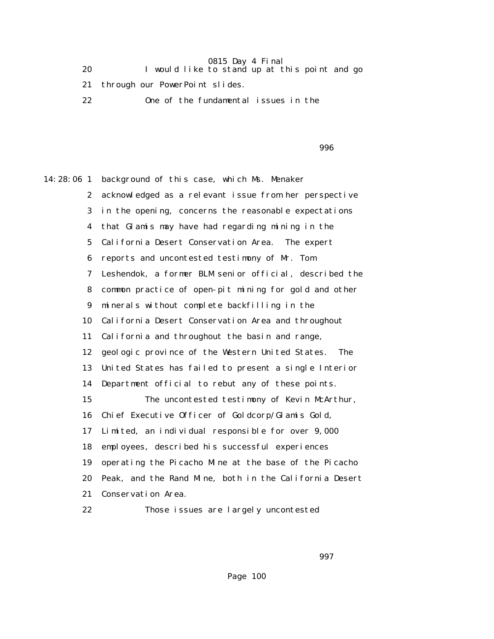20 I would like to stand up at this point and go

21 through our PowerPoint slides.

22 One of the fundamental issues in the

en de la construction de la construction de la construction de la construction de la construction de la constr

14:28:06 1 background of this case, which Ms. Menaker 2 acknowledged as a relevant issue from her perspective 3 in the opening, concerns the reasonable expectations 4 that Glamis may have had regarding mining in the 5 California Desert Conservation Area. The expert 6 reports and uncontested testimony of Mr. Tom 7 Leshendok, a former BLM senior official, described the 8 common practice of open-pit mining for gold and other 9 minerals without complete backfilling in the 10 California Desert Conservation Area and throughout 11 California and throughout the basin and range, 12 geologic province of the Western United States. The 13 United States has failed to present a single Interior 14 Department official to rebut any of these points. 15 The uncontested testimony of Kevin McArthur, 16 Chief Executive Officer of Goldcorp/Glamis Gold, 17 Limited, an individual responsible for over 9,000 18 employees, described his successful experiences 19 operating the Picacho Mine at the base of the Picacho 20 Peak, and the Rand Mine, both in the California Desert 21 Conservation Area.

22 Those issues are largely uncontested

 $\sim$  997  $\sim$  997  $\sim$  997  $\sim$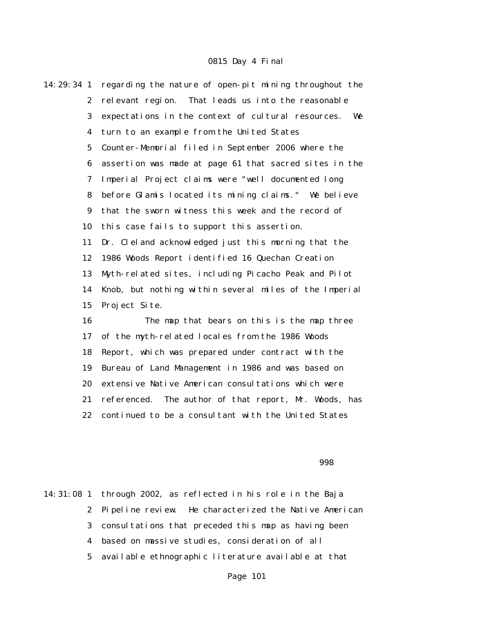| 14:29:34 1              | regarding the nature of open-pit mining throughout the   |
|-------------------------|----------------------------------------------------------|
| $\boldsymbol{2}$        | relevant region. That leads us into the reasonable       |
| 3                       | expectations in the context of cultural resources.<br>We |
| $\overline{\mathbf{4}}$ | turn to an example from the United States                |
| $\mathbf{5}$            | Counter-Memorial filed in September 2006 where the       |
| 6                       | assertion was made at page 61 that sacred sites in the   |
| 7                       | Imperial Project claims were "well documented long       |
| 8                       | before Glamis located its mining claims." We believe     |
| 9                       | that the sworn witness this week and the record of       |
| 10                      | this case fails to support this assertion.               |
| 11                      | Dr. Cleland acknowledged just this morning that the      |
| 12                      | 1986 Woods Report identified 16 Quechan Creation         |
| 13                      | Myth-related sites, including Picacho Peak and Pilot     |
| 14                      | Knob, but nothing within several miles of the Imperial   |
| 15                      | Project Site.                                            |
| 16                      | The map that bears on this is the map three              |
| 17                      | of the myth-related locales from the 1986 Woods          |
| 18                      | Report, which was prepared under contract with the       |
| 19                      | Bureau of Land Management in 1986 and was based on       |
| 20                      | extensive Native American consultations which were       |
| 21                      | referenced.<br>The author of that report, Mr. Woods, has |
| 22                      | continued to be a consultant with the United States      |

en 1998 en 1998 en 1998 en 1998 en 1998 en 1998 en 1998 en 1998 en 1998 en 1998 en 1998 en 1998 en 1998 en 19

14:31:08 1 through 2002, as reflected in his role in the Baja 2 Pipeline review. He characterized the Native American 3 consultations that preceded this map as having been 4 based on massive studies, consideration of all 5 available ethnographic literature available at that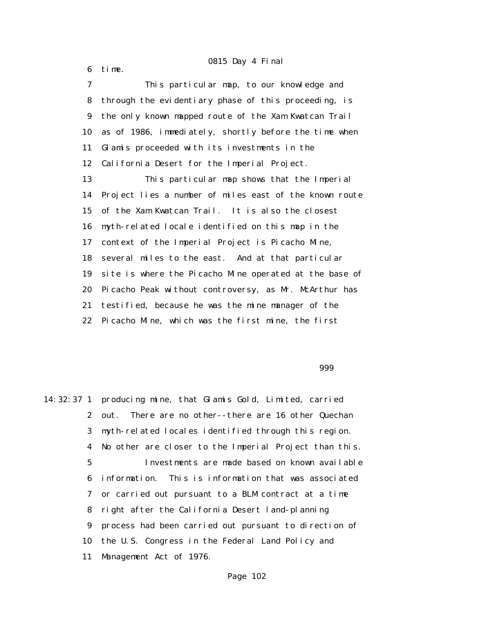6 time.

 7 This particular map, to our knowledge and 8 through the evidentiary phase of this proceeding, is 9 the only known mapped route of the Xam Kwatcan Trail 10 as of 1986, immediately, shortly before the time when 11 Glamis proceeded with its investments in the 12 California Desert for the Imperial Project. 13 This particular map shows that the Imperial 14 Project lies a number of miles east of the known route 15 of the Xam Kwatcan Trail. It is also the closest 16 myth-related locale identified on this map in the 17 context of the Imperial Project is Picacho Mine, 18 several miles to the east. And at that particular 19 site is where the Picacho Mine operated at the base of 20 Picacho Peak without controversy, as Mr. McArthur has 21 testified, because he was the mine manager of the 22 Picacho Mine, which was the first mine, the first

999

14:32:37 1 producing mine, that Glamis Gold, Limited, carried 2 out. There are no other--there are 16 other Quechan 3 myth-related locales identified through this region. 4 No other are closer to the Imperial Project than this. 5 Investments are made based on known available 6 information. This is information that was associated 7 or carried out pursuant to a BLM contract at a time 8 right after the California Desert land-planning 9 process had been carried out pursuant to direction of 10 the U.S. Congress in the Federal Land Policy and 11 Management Act of 1976.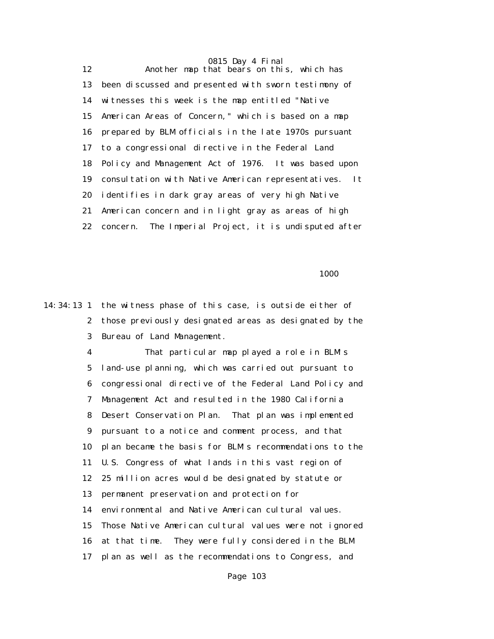0815 Day 4 Final 12 Another map that bears on this, which has 13 been discussed and presented with sworn testimony of 14 witnesses this week is the map entitled "Native 15 American Areas of Concern," which is based on a map 16 prepared by BLM officials in the late 1970s pursuant 17 to a congressional directive in the Federal Land 18 Policy and Management Act of 1976. It was based upon 19 consultation with Native American representatives. It 20 identifies in dark gray areas of very high Native 21 American concern and in light gray as areas of high 22 concern. The Imperial Project, it is undisputed after

1000 minutes and the state of the state of the state of the state of the state of the state of the state of the state of the state of the state of the state of the state of the state of the state of the state of the state

14:34:13 1 the witness phase of this case, is outside either of 2 those previously designated areas as designated by the 3 Bureau of Land Management.

> 4 That particular map played a role in BLM's 5 land-use planning, which was carried out pursuant to 6 congressional directive of the Federal Land Policy and 7 Management Act and resulted in the 1980 California 8 Desert Conservation Plan. That plan was implemented 9 pursuant to a notice and comment process, and that 10 plan became the basis for BLM's recommendations to the 11 U.S. Congress of what lands in this vast region of 12 25 million acres would be designated by statute or 13 permanent preservation and protection for 14 environmental and Native American cultural values. 15 Those Native American cultural values were not ignored 16 at that time. They were fully considered in the BLM 17 plan as well as the recommendations to Congress, and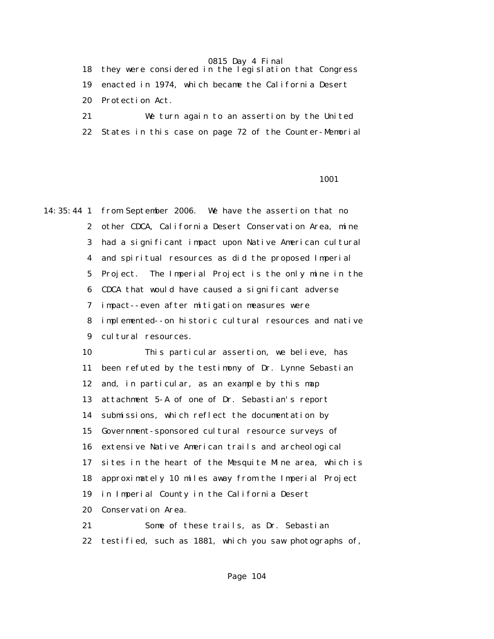18 they were considered in the legislation that Congress 19 enacted in 1974, which became the California Desert 20 Protection Act. 21 We turn again to an assertion by the United

22 States in this case on page 72 of the Counter-Memorial

#### 1001

14:35:44 1 from September 2006. We have the assertion that no 2 other CDCA, California Desert Conservation Area, mine 3 had a significant impact upon Native American cultural 4 and spiritual resources as did the proposed Imperial 5 Project. The Imperial Project is the only mine in the 6 CDCA that would have caused a significant adverse 7 impact--even after mitigation measures were 8 implemented--on historic cultural resources and native 9 cultural resources. 10 This particular assertion, we believe, has 11 been refuted by the testimony of Dr. Lynne Sebastian 12 and, in particular, as an example by this map 13 attachment 5-A of one of Dr. Sebastian's report 14 submissions, which reflect the documentation by 15 Government-sponsored cultural resource surveys of 16 extensive Native American trails and archeological 17 sites in the heart of the Mesquite Mine area, which is 18 approximately 10 miles away from the Imperial Project 19 in Imperial County in the California Desert 20 Conservation Area. 21 Some of these trails, as Dr. Sebastian

22 testified, such as 1881, which you saw photographs of,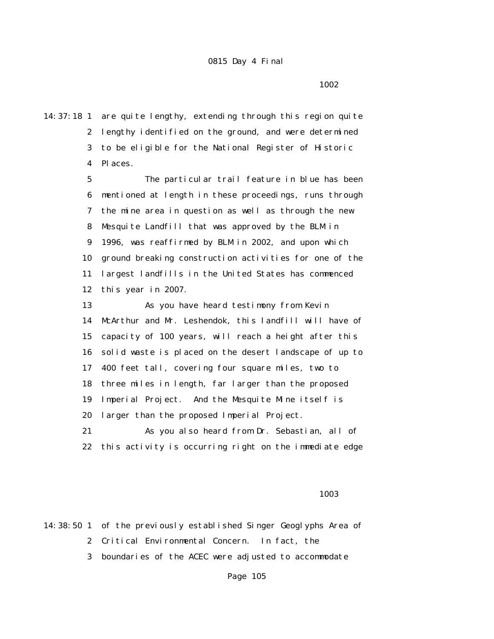1002 and 1002

14:37:18 1 are quite lengthy, extending through this region quite 2 lengthy identified on the ground, and were determined 3 to be eligible for the National Register of Historic 4 Places.

> 5 The particular trail feature in blue has been 6 mentioned at length in these proceedings, runs through 7 the mine area in question as well as through the new 8 Mesquite Landfill that was approved by the BLM in 9 1996, was reaffirmed by BLM in 2002, and upon which 10 ground breaking construction activities for one of the 11 largest landfills in the United States has commenced 12 this year in 2007.

> 13 As you have heard testimony from Kevin 14 McArthur and Mr. Leshendok, this landfill will have of 15 capacity of 100 years, will reach a height after this 16 solid waste is placed on the desert landscape of up to 17 400 feet tall, covering four square miles, two to 18 three miles in length, far larger than the proposed 19 Imperial Project. And the Mesquite Mine itself is 20 larger than the proposed Imperial Project. 21 As you also heard from Dr. Sebastian, all of

> 22 this activity is occurring right on the immediate edge

#### 1003 and 1003

|  | 14:38:50 1 of the previously established Singer Geoglyphs Area of |
|--|-------------------------------------------------------------------|
|  | 2 Critical Environmental Concern. In fact, the                    |
|  | 3 boundaries of the ACEC were adjusted to accommodate             |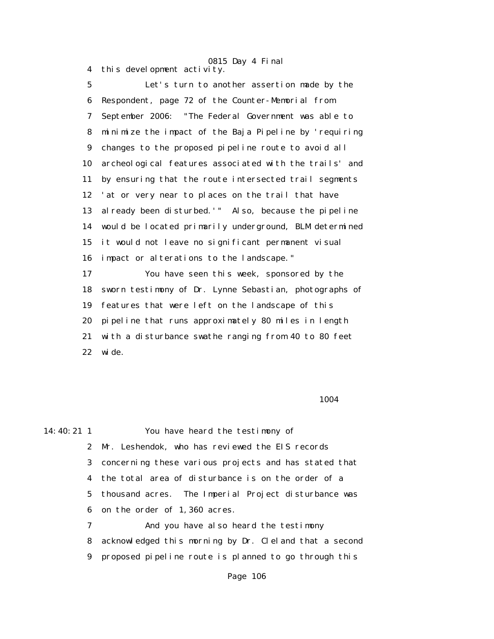4 this development activity.

# 0815 Day 4 Final

 5 Let's turn to another assertion made by the 6 Respondent, page 72 of the Counter-Memorial from 7 September 2006: "The Federal Government was able to 8 minimize the impact of the Baja Pipeline by 'requiring 9 changes to the proposed pipeline route to avoid all 10 archeological features associated with the trails' and 11 by ensuring that the route intersected trail segments 12 'at or very near to places on the trail that have 13 already been disturbed.'" Also, because the pipeline 14 would be located primarily underground, BLM determined 15 it would not leave no significant permanent visual 16 impact or alterations to the landscape." 17 You have seen this week, sponsored by the 18 sworn testimony of Dr. Lynne Sebastian, photographs of 19 features that were left on the landscape of this 20 pipeline that runs approximately 80 miles in length 21 with a disturbance swathe ranging from 40 to 80 feet 22 wide.

#### 1004

14:40:21 1 You have heard the testimony of

 2 Mr. Leshendok, who has reviewed the EIS records 3 concerning these various projects and has stated that 4 the total area of disturbance is on the order of a 5 thousand acres. The Imperial Project disturbance was 6 on the order of 1,360 acres.

 7 And you have also heard the testimony 8 acknowledged this morning by Dr. Cleland that a second 9 proposed pipeline route is planned to go through this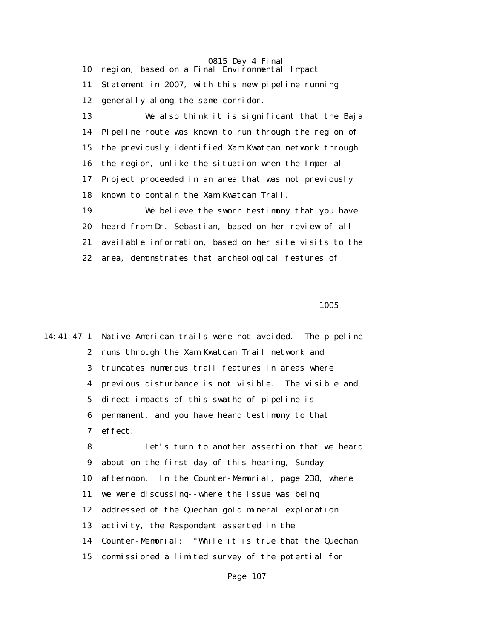0815 Day 4 Final 10 region, based on a Final Environmental Impact 11 Statement in 2007, with this new pipeline running 12 generally along the same corridor. 13 We also think it is significant that the Baja 14 Pipeline route was known to run through the region of 15 the previously identified Xam Kwatcan network through 16 the region, unlike the situation when the Imperial 17 Project proceeded in an area that was not previously 18 known to contain the Xam Kwatcan Trail. 19 We believe the sworn testimony that you have 20 heard from Dr. Sebastian, based on her review of all 21 available information, based on her site visits to the 22 area, demonstrates that archeological features of

<u>1005</u>

14:41:47 1 Native American trails were not avoided. The pipeline 2 runs through the Xam Kwatcan Trail network and 3 truncates numerous trail features in areas where 4 previous disturbance is not visible. The visible and 5 direct impacts of this swathe of pipeline is 6 permanent, and you have heard testimony to that 7 effect. 8 Let's turn to another assertion that we heard 9 about on the first day of this hearing, Sunday 10 afternoon. In the Counter-Memorial, page 238, where 11 we were discussing--where the issue was being 12 addressed of the Quechan gold mineral exploration 13 activity, the Respondent asserted in the 14 Counter-Memorial: "While it is true that the Quechan 15 commissioned a limited survey of the potential for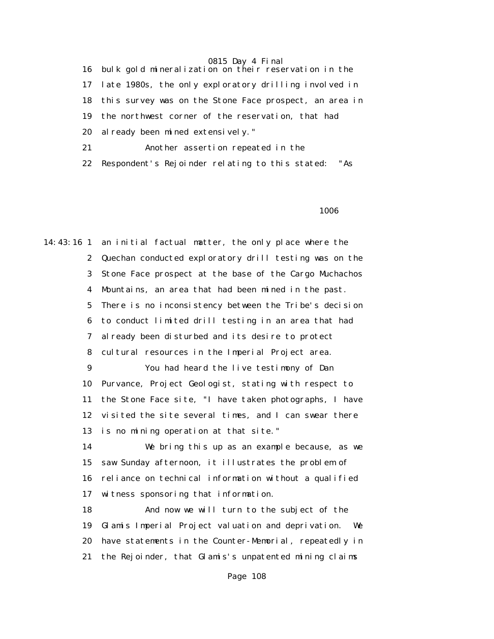16 bulk gold mineralization on their reservation in the 17 late 1980s, the only exploratory drilling involved in 18 this survey was on the Stone Face prospect, an area in 19 the northwest corner of the reservation, that had 20 already been mined extensively."

21 Another assertion repeated in the

22 Respondent's Rejoinder relating to this stated: "As

1006 minutes and the state of the state of the state of the state of the state of the state of the state of th

14:43:16 1 an initial factual matter, the only place where the 2 Quechan conducted exploratory drill testing was on the 3 Stone Face prospect at the base of the Cargo Muchachos 4 Mountains, an area that had been mined in the past. 5 There is no inconsistency between the Tribe's decision 6 to conduct limited drill testing in an area that had 7 already been disturbed and its desire to protect 8 cultural resources in the Imperial Project area. 9 You had heard the live testimony of Dan 10 Purvance, Project Geologist, stating with respect to 11 the Stone Face site, "I have taken photographs, I have 12 visited the site several times, and I can swear there 13 is no mining operation at that site." 14 We bring this up as an example because, as we 15 saw Sunday afternoon, it illustrates the problem of 16 reliance on technical information without a qualified

17 witness sponsoring that information.

 18 And now we will turn to the subject of the 19 Glamis Imperial Project valuation and deprivation. We 20 have statements in the Counter-Memorial, repeatedly in 21 the Rejoinder, that Glamis's unpatented mining claims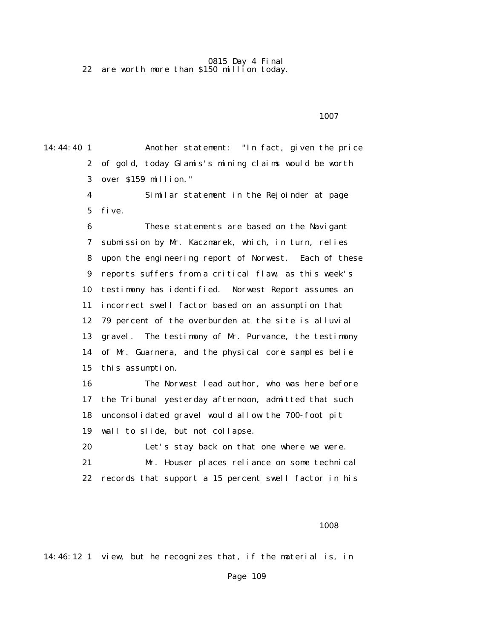0815 Day 4 Final 22 are worth more than \$150 million today.

1007 **1007** 

14:44:40 1 Another statement: "In fact, given the price 2 of gold, today Glamis's mining claims would be worth 3 over \$159 million."

> 4 Similar statement in the Rejoinder at page 5 five.

 6 These statements are based on the Navigant 7 submission by Mr. Kaczmarek, which, in turn, relies 8 upon the engineering report of Norwest. Each of these 9 reports suffers from a critical flaw, as this week's 10 testimony has identified. Norwest Report assumes an 11 incorrect swell factor based on an assumption that 12 79 percent of the overburden at the site is alluvial 13 gravel. The testimony of Mr. Purvance, the testimony 14 of Mr. Guarnera, and the physical core samples belie 15 this assumption.

 16 The Norwest lead author, who was here before 17 the Tribunal yesterday afternoon, admitted that such 18 unconsolidated gravel would allow the 700-foot pit 19 wall to slide, but not collapse.

 20 Let's stay back on that one where we were. 21 Mr. Houser places reliance on some technical 22 records that support a 15 percent swell factor in his

1008 and 1008

14:46:12 1 view, but he recognizes that, if the material is, in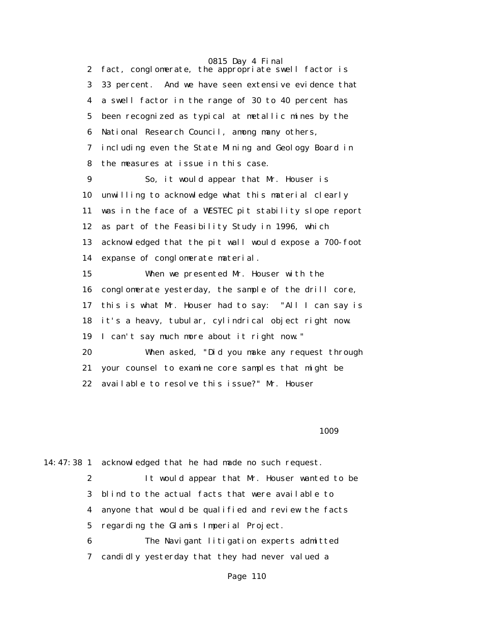0815 Day 4 Final 2 fact, conglomerate, the appropriate swell factor is 3 33 percent. And we have seen extensive evidence that 4 a swell factor in the range of 30 to 40 percent has 5 been recognized as typical at metallic mines by the 6 National Research Council, among many others, 7 including even the State Mining and Geology Board in 8 the measures at issue in this case. 9 So, it would appear that Mr. Houser is 10 unwilling to acknowledge what this material clearly 11 was in the face of a WESTEC pit stability slope report 12 as part of the Feasibility Study in 1996, which

 13 acknowledged that the pit wall would expose a 700-foot 14 expanse of conglomerate material.

 15 When we presented Mr. Houser with the 16 conglomerate yesterday, the sample of the drill core, 17 this is what Mr. Houser had to say: "All I can say is 18 it's a heavy, tubular, cylindrical object right now. 19 I can't say much more about it right now." 20 When asked, "Did you make any request through 21 your counsel to examine core samples that might be 22 available to resolve this issue?" Mr. Houser

1009 and 1009

14:47:38 1 acknowledged that he had made no such request.

 2 It would appear that Mr. Houser wanted to be 3 blind to the actual facts that were available to 4 anyone that would be qualified and review the facts 5 regarding the Glamis Imperial Project.

 6 The Navigant litigation experts admitted 7 candidly yesterday that they had never valued a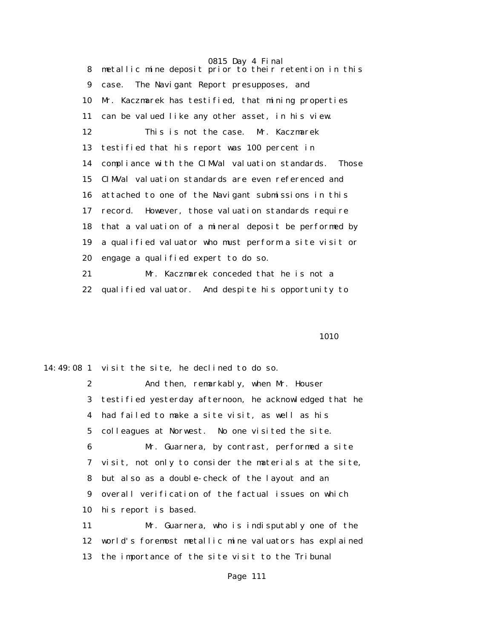8 metallic mine deposit prior to their retention in this 9 case. The Navigant Report presupposes, and 10 Mr. Kaczmarek has testified, that mining properties 11 can be valued like any other asset, in his view. 12 This is not the case. Mr. Kaczmarek 13 testified that his report was 100 percent in 14 compliance with the CIMVal valuation standards. Those 15 CIMVal valuation standards are even referenced and 16 attached to one of the Navigant submissions in this 17 record. However, those valuation standards require 18 that a valuation of a mineral deposit be performed by 19 a qualified valuator who must perform a site visit or 20 engage a qualified expert to do so. 21 Mr. Kaczmarek conceded that he is not a

22 qualified valuator. And despite his opportunity to

**1010** 

14:49:08 1 visit the site, he declined to do so. 2 And then, remarkably, when Mr. Houser 3 testified yesterday afternoon, he acknowledged that he 4 had failed to make a site visit, as well as his 5 colleagues at Norwest. No one visited the site. 6 Mr. Guarnera, by contrast, performed a site 7 visit, not only to consider the materials at the site, 8 but also as a double-check of the layout and an 9 overall verification of the factual issues on which 10 his report is based. 11 Mr. Guarnera, who is indisputably one of the 12 world's foremost metallic mine valuators has explained 13 the importance of the site visit to the Tribunal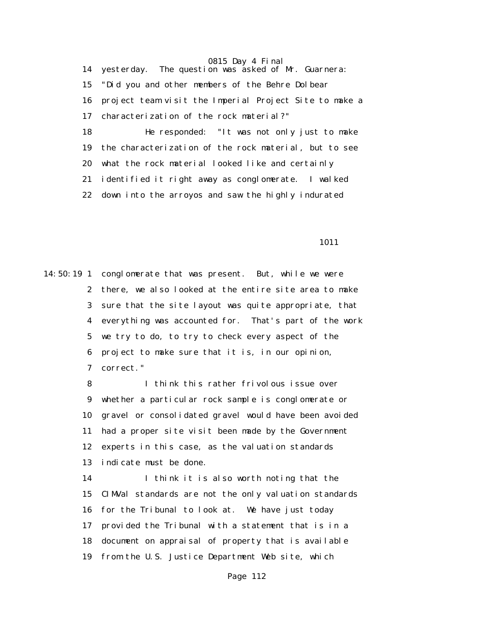14 yesterday. The question was asked of Mr. Guarnera: 15 "Did you and other members of the Behre Dolbear 16 project team visit the Imperial Project Site to make a 17 characterization of the rock material?" 18 He responded: "It was not only just to make 19 the characterization of the rock material, but to see 20 what the rock material looked like and certainly 21 identified it right away as conglomerate. I walked 22 down into the arroyos and saw the highly indurated

1011

14:50:19 1 conglomerate that was present. But, while we were 2 there, we also looked at the entire site area to make 3 sure that the site layout was quite appropriate, that 4 everything was accounted for. That's part of the work 5 we try to do, to try to check every aspect of the 6 project to make sure that it is, in our opinion, 7 correct."

> 8 I think this rather frivolous issue over 9 whether a particular rock sample is conglomerate or 10 gravel or consolidated gravel would have been avoided 11 had a proper site visit been made by the Government 12 experts in this case, as the valuation standards 13 indicate must be done.

> 14 I think it is also worth noting that the 15 CIMVal standards are not the only valuation standards 16 for the Tribunal to look at. We have just today 17 provided the Tribunal with a statement that is in a 18 document on appraisal of property that is available 19 from the U.S. Justice Department Web site, which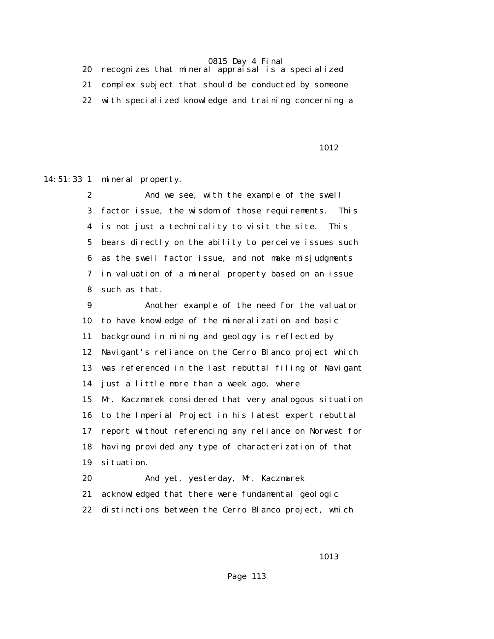20 recognizes that mineral appraisal is a specialized 21 complex subject that should be conducted by someone 22 with specialized knowledge and training concerning a

**1012** 

14:51:33 1 mineral property.

 2 And we see, with the example of the swell 3 factor issue, the wisdom of those requirements. This 4 is not just a technicality to visit the site. This 5 bears directly on the ability to perceive issues such 6 as the swell factor issue, and not make misjudgments 7 in valuation of a mineral property based on an issue 8 such as that.

 9 Another example of the need for the valuator 10 to have knowledge of the mineralization and basic 11 background in mining and geology is reflected by 12 Navigant's reliance on the Cerro Blanco project which 13 was referenced in the last rebuttal filing of Navigant 14 just a little more than a week ago, where 15 Mr. Kaczmarek considered that very analogous situation 16 to the Imperial Project in his latest expert rebuttal 17 report without referencing any reliance on Norwest for 18 having provided any type of characterization of that 19 situation.

 20 And yet, yesterday, Mr. Kaczmarek 21 acknowledged that there were fundamental geologic 22 distinctions between the Cerro Blanco project, which

**1013**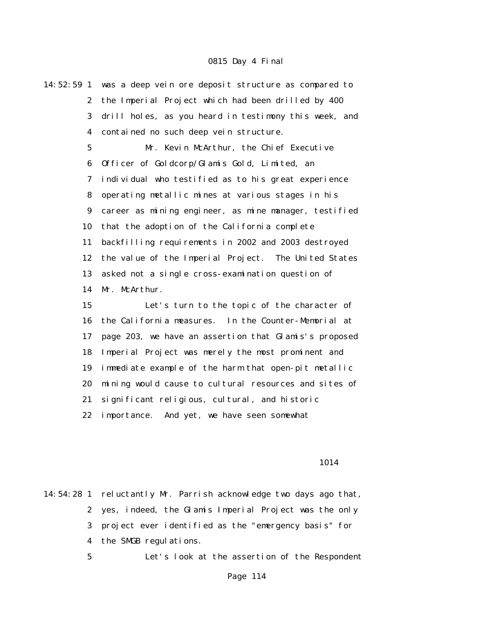| $14:52:59$ 1    | was a deep vein ore deposit structure as compared to  |
|-----------------|-------------------------------------------------------|
| $\mathbf{2}$    | the Imperial Project which had been drilled by 400    |
| 3               | drill holes, as you heard in testimony this week, and |
| 4               | contained no such deep vein structure.                |
| $5\phantom{.0}$ | Mr. Kevin McArthur, the Chief Executive               |
| 6               | Officer of Goldcorp/Glamis Gold, Limited, an          |
| 7               | individual who testified as to his great experience   |
| 8               | operating metallic mines at various stages in his     |
| 9               | career as mining engineer, as mine manager, testified |
| 10              | that the adoption of the California complete          |
| 11              | backfilling requirements in 2002 and 2003 destroyed   |
| 12              | the value of the Imperial Project. The United States  |
| 13              | asked not a single cross-examination question of      |
| 14              | Mr. McArthur.                                         |
| 15              | Let's turn to the topic of the character of           |
| 16              | the California measures. In the Counter-Memorial at   |
| 17              | page 203, we have an assertion that Glamis's proposed |
| 18              | Imperial Project was merely the most prominent and    |
| 19              | immediate example of the harm that open-pit metallic  |
| 20              | mining would cause to cultural resources and sites of |
| 21              | significant religious, cultural, and historic         |

22 importance. And yet, we have seen somewhat

1014

14:54:28 1 reluctantly Mr. Parrish acknowledge two days ago that, 2 yes, indeed, the Glamis Imperial Project was the only 3 project ever identified as the "emergency basis" for 4 the SMGB regulations.

5 Let's look at the assertion of the Respondent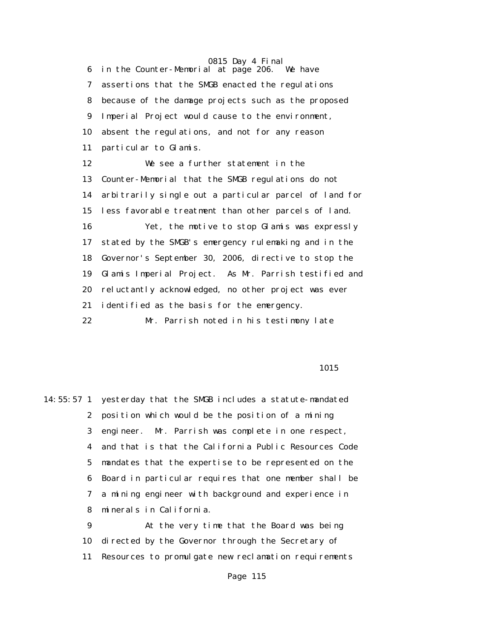6 in the Counter-Memorial at page 206. We have 7 assertions that the SMGB enacted the regulations 8 because of the damage projects such as the proposed 9 Imperial Project would cause to the environment, 10 absent the regulations, and not for any reason 11 particular to Glamis. 12 We see a further statement in the 13 Counter-Memorial that the SMGB regulations do not 14 arbitrarily single out a particular parcel of land for 15 less favorable treatment than other parcels of land. 16 Yet, the motive to stop Glamis was expressly 17 stated by the SMGB's emergency rulemaking and in the 18 Governor's September 30, 2006, directive to stop the 19 Glamis Imperial Project. As Mr. Parrish testified and 20 reluctantly acknowledged, no other project was ever 21 identified as the basis for the emergency. 22 Mr. Parrish noted in his testimony late

1015

14:55:57 1 yesterday that the SMGB includes a statute-mandated 2 position which would be the position of a mining 3 engineer. Mr. Parrish was complete in one respect, 4 and that is that the California Public Resources Code 5 mandates that the expertise to be represented on the 6 Board in particular requires that one member shall be 7 a mining engineer with background and experience in 8 minerals in California. 9 At the very time that the Board was being 10 directed by the Governor through the Secretary of 11 Resources to promulgate new reclamation requirements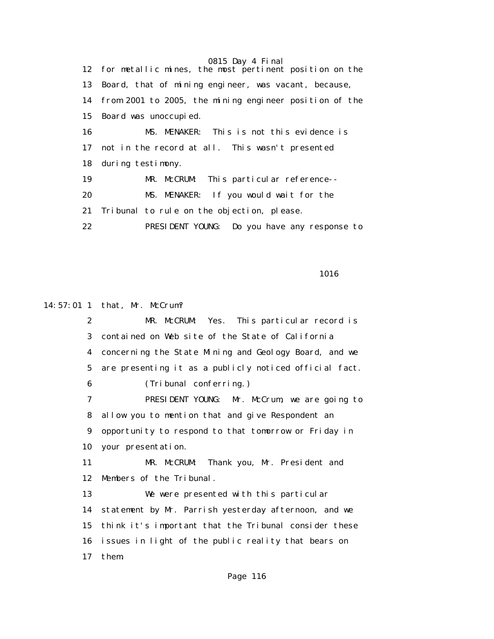0815 Day 4 Final 12 for metallic mines, the most pertinent position on the 13 Board, that of mining engineer, was vacant, because, 14 from 2001 to 2005, the mining engineer position of the 15 Board was unoccupied. 16 MS. MENAKER: This is not this evidence is 17 not in the record at all. This wasn't presented 18 during testimony. 19 MR. McCRUM: This particular reference-- 20 MS. MENAKER: If you would wait for the 21 Tribunal to rule on the objection, please. 22 PRESIDENT YOUNG: Do you have any response to

1016

14:57:01 1 that, Mr. McCrum?

 2 MR. McCRUM: Yes. This particular record is 3 contained on Web site of the State of California 4 concerning the State Mining and Geology Board, and we 5 are presenting it as a publicly noticed official fact. 6 (Tribunal conferring.) 7 PRESIDENT YOUNG: Mr. McCrum, we are going to 8 allow you to mention that and give Respondent an 9 opportunity to respond to that tomorrow or Friday in 10 your presentation. 11 MR. McCRUM: Thank you, Mr. President and 12 Members of the Tribunal. 13 We were presented with this particular 14 statement by Mr. Parrish yesterday afternoon, and we 15 think it's important that the Tribunal consider these 16 issues in light of the public reality that bears on 17 them.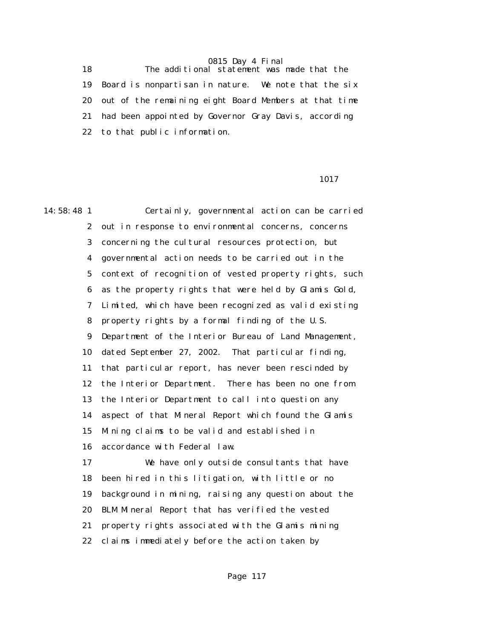18 The additional statement was made that the 19 Board is nonpartisan in nature. We note that the six 20 out of the remaining eight Board Members at that time 21 had been appointed by Governor Gray Davis, according 22 to that public information.

1017

14:58:48 1 Certainly, governmental action can be carried 2 out in response to environmental concerns, concerns 3 concerning the cultural resources protection, but 4 governmental action needs to be carried out in the 5 context of recognition of vested property rights, such 6 as the property rights that were held by Glamis Gold, 7 Limited, which have been recognized as valid existing 8 property rights by a formal finding of the U.S. 9 Department of the Interior Bureau of Land Management, 10 dated September 27, 2002. That particular finding, 11 that particular report, has never been rescinded by 12 the Interior Department. There has been no one from 13 the Interior Department to call into question any 14 aspect of that Mineral Report which found the Glamis 15 Mining claims to be valid and established in 16 accordance with Federal law. 17 We have only outside consultants that have 18 been hired in this litigation, with little or no 19 background in mining, raising any question about the 20 BLM Mineral Report that has verified the vested 21 property rights associated with the Glamis mining

22 claims immediately before the action taken by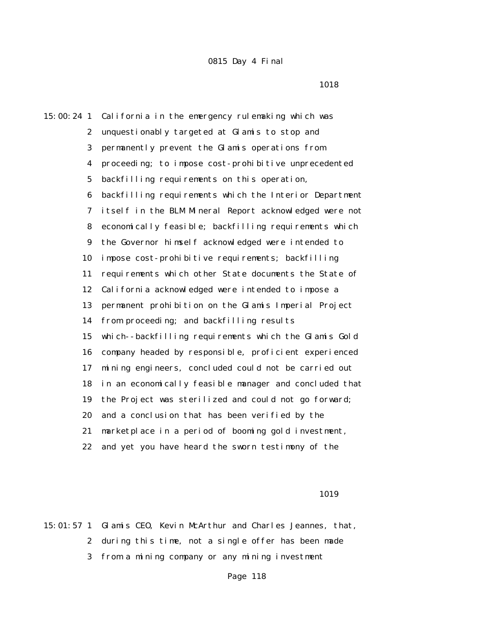1018

15:00:24 1 California in the emergency rulemaking which was 2 unquestionably targeted at Glamis to stop and 3 permanently prevent the Glamis operations from 4 proceeding; to impose cost-prohibitive unprecedented 5 backfilling requirements on this operation, 6 backfilling requirements which the Interior Department 7 itself in the BLM Mineral Report acknowledged were not 8 economically feasible; backfilling requirements which 9 the Governor himself acknowledged were intended to 10 impose cost-prohibitive requirements; backfilling 11 requirements which other State documents the State of 12 California acknowledged were intended to impose a 13 permanent prohibition on the Glamis Imperial Project 14 from proceeding; and backfilling results 15 which--backfilling requirements which the Glamis Gold 16 company headed by responsible, proficient experienced 17 mining engineers, concluded could not be carried out 18 in an economically feasible manager and concluded that 19 the Project was sterilized and could not go forward; 20 and a conclusion that has been verified by the 21 marketplace in a period of booming gold investment, 22 and yet you have heard the sworn testimony of the

1019

15:01:57 1 Glamis CEO, Kevin McArthur and Charles Jeannes, that, 2 during this time, not a single offer has been made 3 from a mining company or any mining investment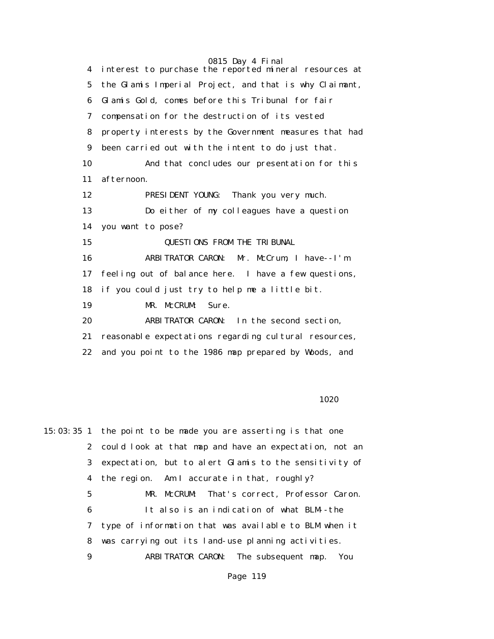0815 Day 4 Final 4 interest to purchase the reported mineral resources at 5 the Glamis Imperial Project, and that is why Claimant, 6 Glamis Gold, comes before this Tribunal for fair 7 compensation for the destruction of its vested 8 property interests by the Government measures that had 9 been carried out with the intent to do just that. 10 And that concludes our presentation for this 11 afternoon. 12 PRESIDENT YOUNG: Thank you very much. 13 Do either of my colleagues have a question 14 you want to pose? 15 QUESTIONS FROM THE TRIBUNAL 16 ARBITRATOR CARON: Mr. McCrum, I have--I'm 17 feeling out of balance here. I have a few questions, 18 if you could just try to help me a little bit. 19 MR. McCRUM: Sure. 20 ARBITRATOR CARON: In the second section, 21 reasonable expectations regarding cultural resources, 22 and you point to the 1986 map prepared by Woods, and

#### 1020

15:03:35 1 the point to be made you are asserting is that one 2 could look at that map and have an expectation, not an 3 expectation, but to alert Glamis to the sensitivity of 4 the region. Am I accurate in that, roughly? 5 MR. McCRUM: That's correct, Professor Caron. 6 It also is an indication of what BLM--the 7 type of information that was available to BLM when it 8 was carrying out its land-use planning activities. 9 ARBITRATOR CARON: The subsequent map. You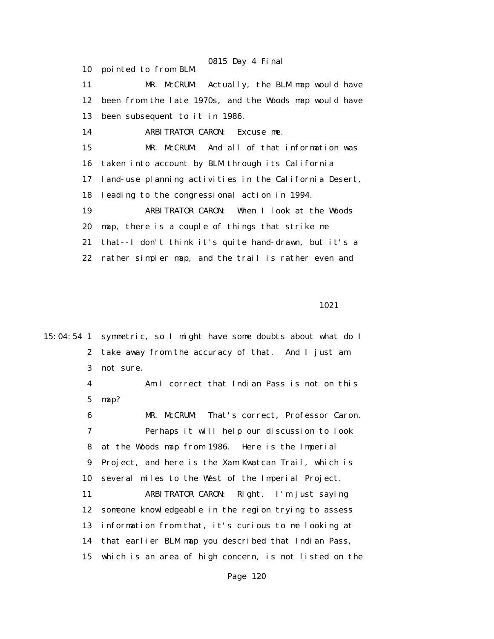0815 Day 4 Final 10 pointed to from BLM. 11 MR. McCRUM: Actually, the BLM map would have 12 been from the late 1970s, and the Woods map would have 13 been subsequent to it in 1986. 14 ARBITRATOR CARON: Excuse me. 15 MR. McCRUM: And all of that information was 16 taken into account by BLM through its California 17 land-use planning activities in the California Desert, 18 leading to the congressional action in 1994. 19 ARBITRATOR CARON: When I look at the Woods 20 map, there is a couple of things that strike me 21 that--I don't think it's quite hand-drawn, but it's a 22 rather simpler map, and the trail is rather even and

1021

15:04:54 1 symmetric, so I might have some doubts about what do I 2 take away from the accuracy of that. And I just am 3 not sure. 4 Am I correct that Indian Pass is not on this 5 map? 6 MR. McCRUM: That's correct, Professor Caron. 7 Perhaps it will help our discussion to look 8 at the Woods map from 1986. Here is the Imperial 9 Project, and here is the Xam Kwatcan Trail, which is 10 several miles to the West of the Imperial Project. 11 ARBITRATOR CARON: Right. I'm just saying 12 someone knowledgeable in the region trying to assess 13 information from that, it's curious to me looking at 14 that earlier BLM map you described that Indian Pass, 15 which is an area of high concern, is not listed on the Page 120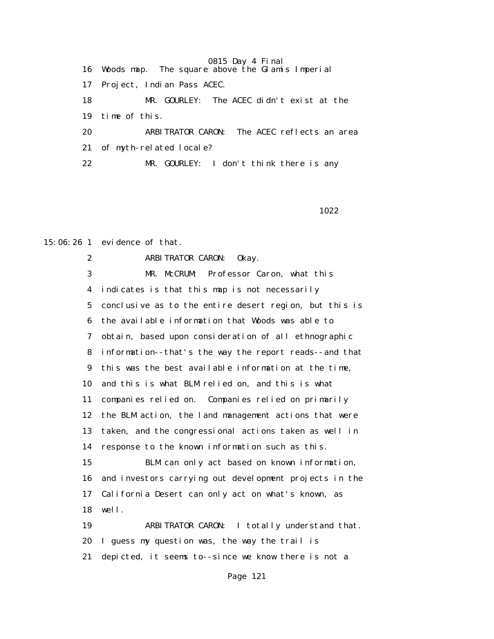0815 Day 4 Final 16 Woods map. The square above the Glamis Imperial 17 Project, Indian Pass ACEC. 18 MR. GOURLEY: The ACEC didn't exist at the 19 time of this. 20 ARBITRATOR CARON: The ACEC reflects an area 21 of myth-related locale? 22 MR. GOURLEY: I don't think there is any

1022

15:06:26 1 evidence of that.

 2 ARBITRATOR CARON: Okay. 3 MR. McCRUM: Professor Caron, what this 4 indicates is that this map is not necessarily 5 conclusive as to the entire desert region, but this is 6 the available information that Woods was able to 7 obtain, based upon consideration of all ethnographic 8 information--that's the way the report reads--and that 9 this was the best available information at the time, 10 and this is what BLM relied on, and this is what 11 companies relied on. Companies relied on primarily 12 the BLM action, the land management actions that were 13 taken, and the congressional actions taken as well in 14 response to the known information such as this. 15 BLM can only act based on known information, 16 and investors carrying out development projects in the 17 California Desert can only act on what's known, as 18 well. 19 ARBITRATOR CARON: I totally understand that. 20 I guess my question was, the way the trail is 21 depicted, it seems to--since we know there is not a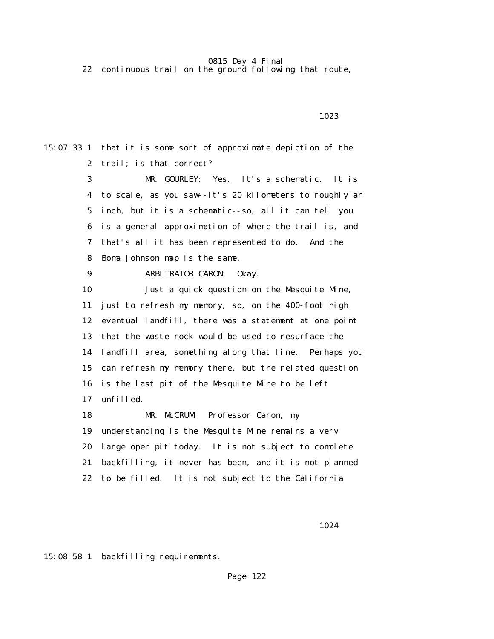22 continuous trail on the ground following that route,

15:07:33 1 that it is some sort of approximate depiction of the 2 trail; is that correct? 3 MR. GOURLEY: Yes. It's a schematic. It is 4 to scale, as you saw--it's 20 kilometers to roughly an 5 inch, but it is a schematic--so, all it can tell you 6 is a general approximation of where the trail is, and 7 that's all it has been represented to do. And the 8 Boma Johnson map is the same. 9 ARBITRATOR CARON: Okay. 10 Just a quick question on the Mesquite Mine, 11 just to refresh my memory, so, on the 400-foot high 12 eventual landfill, there was a statement at one point 13 that the waste rock would be used to resurface the 14 landfill area, something along that line. Perhaps you 15 can refresh my memory there, but the related question 16 is the last pit of the Mesquite Mine to be left 17 unfilled. 18 MR. McCRUM: Professor Caron, my 19 understanding is the Mesquite Mine remains a very 20 large open pit today. It is not subject to complete 21 backfilling, it never has been, and it is not planned 22 to be filled. It is not subject to the California

1023

1024

15:08:58 1 backfilling requirements.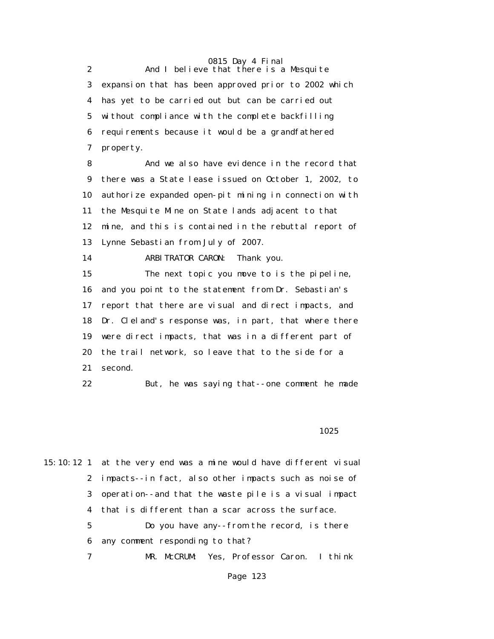0815 Day 4 Final 2 And I believe that there is a Mesquite 3 expansion that has been approved prior to 2002 which 4 has yet to be carried out but can be carried out 5 without compliance with the complete backfilling 6 requirements because it would be a grandfathered 7 property.

 8 And we also have evidence in the record that 9 there was a State lease issued on October 1, 2002, to 10 authorize expanded open-pit mining in connection with 11 the Mesquite Mine on State lands adjacent to that 12 mine, and this is contained in the rebuttal report of 13 Lynne Sebastian from July of 2007.

14 ARBITRATOR CARON: Thank you.

 15 The next topic you move to is the pipeline, 16 and you point to the statement from Dr. Sebastian's 17 report that there are visual and direct impacts, and 18 Dr. Cleland's response was, in part, that where there 19 were direct impacts, that was in a different part of 20 the trail network, so leave that to the side for a 21 second.

22 But, he was saying that--one comment he made

#### <u>1025</u>

15:10:12 1 at the very end was a mine would have different visual 2 impacts--in fact, also other impacts such as noise of 3 operation--and that the waste pile is a visual impact 4 that is different than a scar across the surface.

> 5 Do you have any--from the record, is there 6 any comment responding to that?

7 MR. McCRUM: Yes, Professor Caron. I think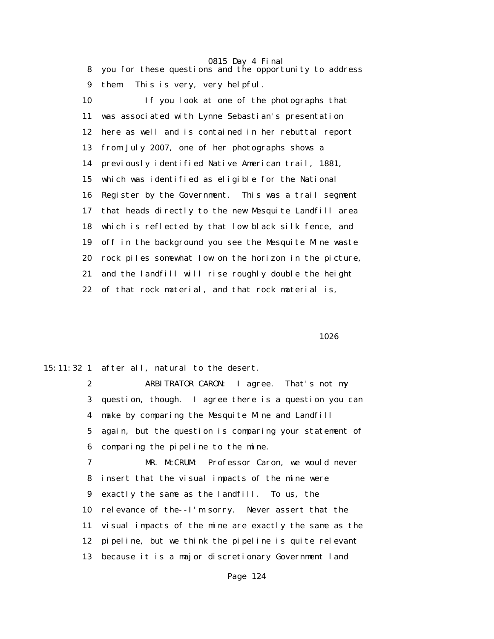8 you for these questions and the opportunity to address 9 them. This is very, very helpful.

 10 If you look at one of the photographs that 11 was associated with Lynne Sebastian's presentation 12 here as well and is contained in her rebuttal report 13 from July 2007, one of her photographs shows a 14 previously identified Native American trail, 1881, 15 which was identified as eligible for the National 16 Register by the Government. This was a trail segment 17 that heads directly to the new Mesquite Landfill area 18 which is reflected by that low black silk fence, and 19 off in the background you see the Mesquite Mine waste 20 rock piles somewhat low on the horizon in the picture, 21 and the landfill will rise roughly double the height 22 of that rock material, and that rock material is,

1026

15:11:32 1 after all, natural to the desert.

 2 ARBITRATOR CARON: I agree. That's not my 3 question, though. I agree there is a question you can 4 make by comparing the Mesquite Mine and Landfill 5 again, but the question is comparing your statement of 6 comparing the pipeline to the mine.

 7 MR. McCRUM: Professor Caron, we would never 8 insert that the visual impacts of the mine were 9 exactly the same as the landfill. To us, the 10 relevance of the--I'm sorry. Never assert that the 11 visual impacts of the mine are exactly the same as the 12 pipeline, but we think the pipeline is quite relevant 13 because it is a major discretionary Government land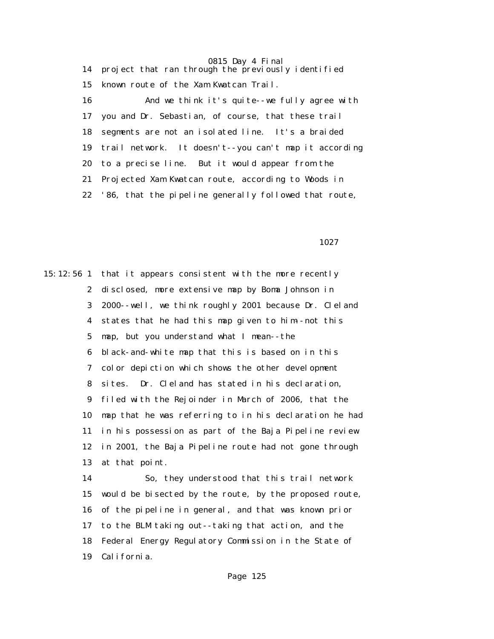0815 Day 4 Final 14 project that ran through the previously identified 15 known route of the Xam Kwatcan Trail. 16 And we think it's quite--we fully agree with 17 you and Dr. Sebastian, of course, that these trail 18 segments are not an isolated line. It's a braided 19 trail network. It doesn't--you can't map it according 20 to a precise line. But it would appear from the 21 Projected Xam Kwatcan route, according to Woods in 22 '86, that the pipeline generally followed that route,

1027

15:12:56 1 that it appears consistent with the more recently 2 disclosed, more extensive map by Boma Johnson in 3 2000--well, we think roughly 2001 because Dr. Cleland 4 states that he had this map given to him--not this 5 map, but you understand what I mean--the 6 black-and-white map that this is based on in this 7 color depiction which shows the other development 8 sites. Dr. Cleland has stated in his declaration, 9 filed with the Rejoinder in March of 2006, that the 10 map that he was referring to in his declaration he had 11 in his possession as part of the Baja Pipeline review 12 in 2001, the Baja Pipeline route had not gone through 13 at that point.

 14 So, they understood that this trail network 15 would be bisected by the route, by the proposed route, 16 of the pipeline in general, and that was known prior 17 to the BLM taking out--taking that action, and the 18 Federal Energy Regulatory Commission in the State of 19 California.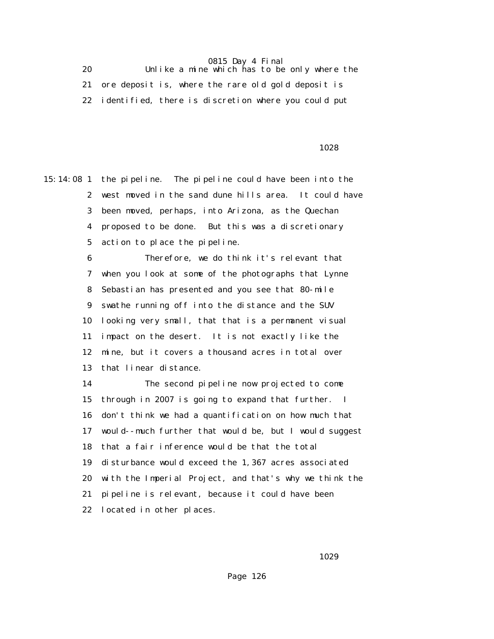20 Unlike a mine which has to be only where the 21 ore deposit is, where the rare old gold deposit is 22 identified, there is discretion where you could put

#### 1028

15:14:08 1 the pipeline. The pipeline could have been into the 2 west moved in the sand dune hills area. It could have 3 been moved, perhaps, into Arizona, as the Quechan 4 proposed to be done. But this was a discretionary 5 action to place the pipeline.

> 6 Therefore, we do think it's relevant that 7 when you look at some of the photographs that Lynne 8 Sebastian has presented and you see that 80-mile 9 swathe running off into the distance and the SUV 10 looking very small, that that is a permanent visual 11 impact on the desert. It is not exactly like the 12 mine, but it covers a thousand acres in total over 13 that linear distance.

 14 The second pipeline now projected to come 15 through in 2007 is going to expand that further. I 16 don't think we had a quantification on how much that 17 would--much further that would be, but I would suggest 18 that a fair inference would be that the total 19 disturbance would exceed the 1,367 acres associated 20 with the Imperial Project, and that's why we think the 21 pipeline is relevant, because it could have been 22 located in other places.

1029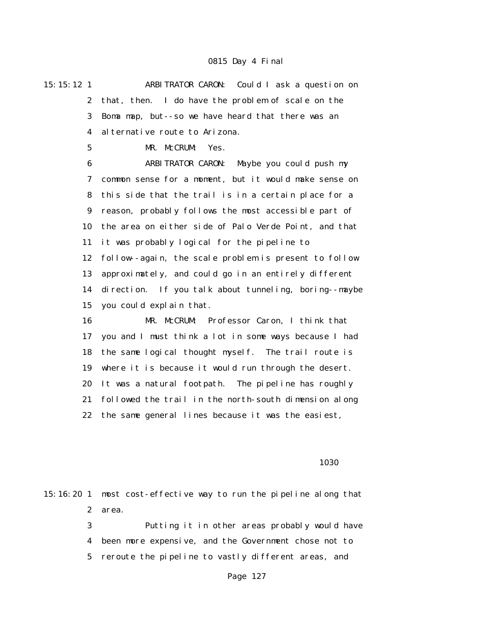15:15:12 1 ARBITRATOR CARON: Could I ask a question on 2 that, then. I do have the problem of scale on the 3 Boma map, but--so we have heard that there was an 4 alternative route to Arizona.

5 MR. McCRUM: Yes.

 6 ARBITRATOR CARON: Maybe you could push my 7 common sense for a moment, but it would make sense on 8 this side that the trail is in a certain place for a 9 reason, probably follows the most accessible part of 10 the area on either side of Palo Verde Point, and that 11 it was probably logical for the pipeline to 12 follow--again, the scale problem is present to follow 13 approximately, and could go in an entirely different 14 direction. If you talk about tunneling, boring--maybe 15 you could explain that.

 16 MR. McCRUM: Professor Caron, I think that 17 you and I must think a lot in some ways because I had 18 the same logical thought myself. The trail route is 19 where it is because it would run through the desert. 20 It was a natural footpath. The pipeline has roughly 21 followed the trail in the north-south dimension along 22 the same general lines because it was the easiest,

1030 **1030** 

15:16:20 1 most cost-effective way to run the pipeline along that 2 area. 3 Putting it in other areas probably would have 4 been more expensive, and the Government chose not to

5 reroute the pipeline to vastly different areas, and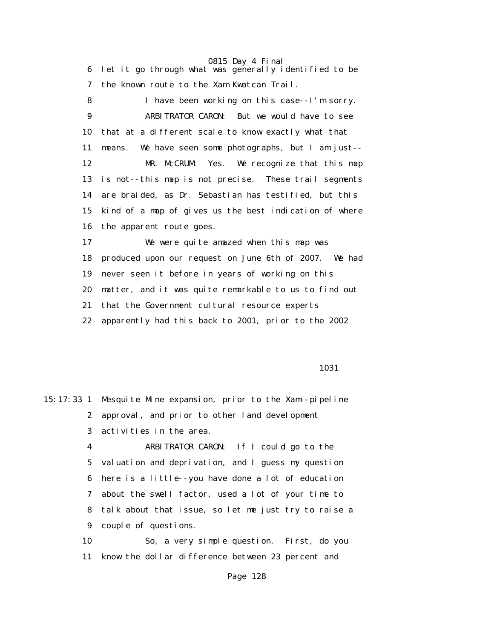6 let it go through what was generally identified to be 7 the known route to the Xam Kwatcan Trail.

 8 I have been working on this case--I'm sorry. 9 ARBITRATOR CARON: But we would have to see 10 that at a different scale to know exactly what that 11 means. We have seen some photographs, but I am just-- 12 MR. McCRUM: Yes. We recognize that this map 13 is not--this map is not precise. These trail segments 14 are braided, as Dr. Sebastian has testified, but this 15 kind of a map of gives us the best indication of where 16 the apparent route goes.

 17 We were quite amazed when this map was 18 produced upon our request on June 6th of 2007. We had 19 never seen it before in years of working on this 20 matter, and it was quite remarkable to us to find out 21 that the Government cultural resource experts 22 apparently had this back to 2001, prior to the 2002

1031

15:17:33 1 Mesquite Mine expansion, prior to the Xam--pipeline 2 approval, and prior to other land development 3 activities in the area. 4 ARBITRATOR CARON: If I could go to the 5 valuation and deprivation, and I guess my question 6 here is a little--you have done a lot of education 7 about the swell factor, used a lot of your time to 8 talk about that issue, so let me just try to raise a 9 couple of questions.

 10 So, a very simple question. First, do you 11 know the dollar difference between 23 percent and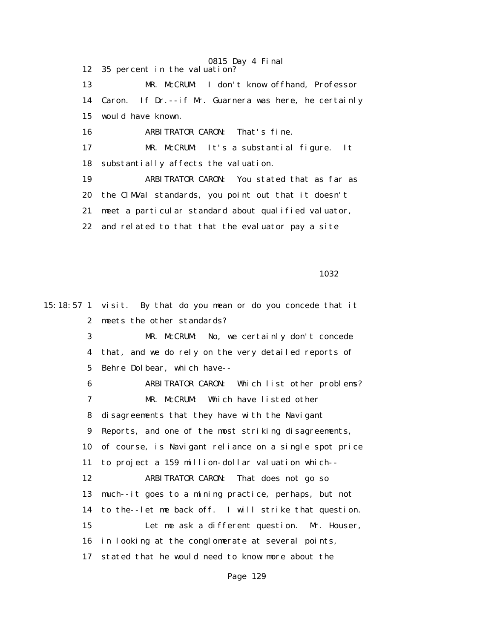0815 Day 4 Final 12 35 percent in the valuation? 13 MR. McCRUM: I don't know offhand, Professor 14 Caron. If Dr.--if Mr. Guarnera was here, he certainly 15 would have known. 16 ARBITRATOR CARON: That's fine. 17 MR. McCRUM: It's a substantial figure. It 18 substantially affects the valuation. 19 ARBITRATOR CARON: You stated that as far as 20 the CIMVal standards, you point out that it doesn't 21 meet a particular standard about qualified valuator, 22 and related to that that the evaluator pay a site

<u>1032</u>

15:18:57 1 visit. By that do you mean or do you concede that it 2 meets the other standards? 3 MR. McCRUM: No, we certainly don't concede 4 that, and we do rely on the very detailed reports of 5 Behre Dolbear, which have-- 6 ARBITRATOR CARON: Which list other problems? 7 MR. McCRUM: Which have listed other 8 disagreements that they have with the Navigant 9 Reports, and one of the most striking disagreements, 10 of course, is Navigant reliance on a single spot price 11 to project a 159 million-dollar valuation which-- 12 ARBITRATOR CARON: That does not go so 13 much--it goes to a mining practice, perhaps, but not 14 to the--let me back off. I will strike that question. 15 Let me ask a different question. Mr. Houser, 16 in looking at the conglomerate at several points, 17 stated that he would need to know more about the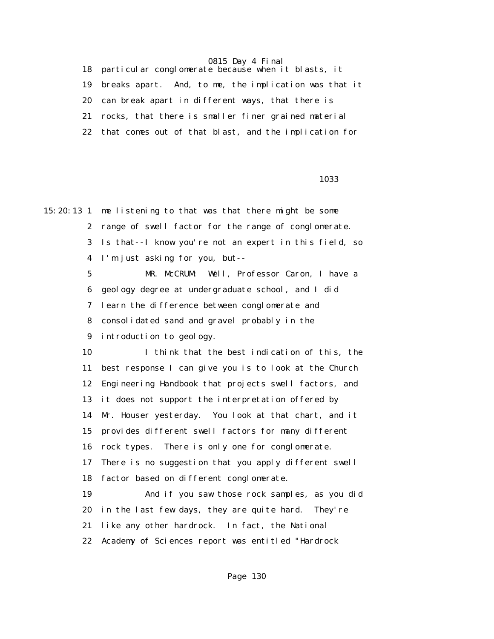18 particular conglomerate because when it blasts, it

19 breaks apart. And, to me, the implication was that it

20 can break apart in different ways, that there is

21 rocks, that there is smaller finer grained material

22 that comes out of that blast, and the implication for

1033

15:20:13 1 me listening to that was that there might be some 2 range of swell factor for the range of conglomerate. 3 Is that--I know you're not an expert in this field, so 4 I'm just asking for you, but-- 5 MR. McCRUM: Well, Professor Caron, I have a 6 geology degree at undergraduate school, and I did 7 learn the difference between conglomerate and 8 consolidated sand and gravel probably in the 9 introduction to geology. 10 I think that the best indication of this, the 11 best response I can give you is to look at the Church 12 Engineering Handbook that projects swell factors, and 13 it does not support the interpretation offered by 14 Mr. Houser yesterday. You look at that chart, and it 15 provides different swell factors for many different 16 rock types. There is only one for conglomerate. 17 There is no suggestion that you apply different swell 18 factor based on different conglomerate. 19 And if you saw those rock samples, as you did 20 in the last few days, they are quite hard. They're 21 like any other hardrock. In fact, the National 22 Academy of Sciences report was entitled "Hardrock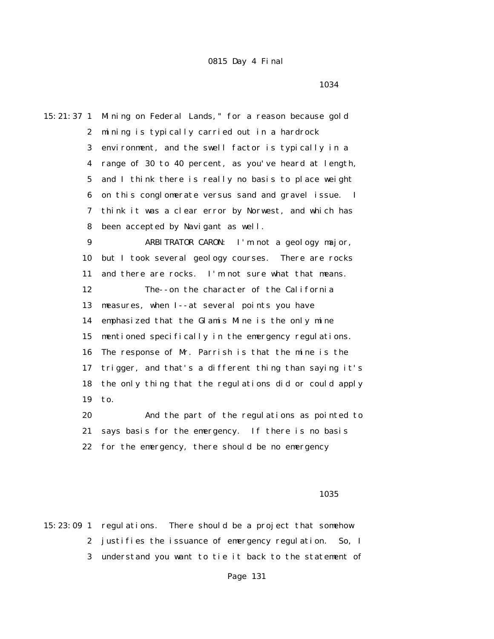15:21:37 1 Mining on Federal Lands," for a reason because gold 2 mining is typically carried out in a hardrock 3 environment, and the swell factor is typically in a 4 range of 30 to 40 percent, as you've heard at length, 5 and I think there is really no basis to place weight 6 on this conglomerate versus sand and gravel issue. I 7 think it was a clear error by Norwest, and which has 8 been accepted by Navigant as well. 9 ARBITRATOR CARON: I'm not a geology major, 10 but I took several geology courses. There are rocks 11 and there are rocks. I'm not sure what that means. 12 The--on the character of the California 13 measures, when I--at several points you have 14 emphasized that the Glamis Mine is the only mine 15 mentioned specifically in the emergency regulations. 16 The response of Mr. Parrish is that the mine is the 17 trigger, and that's a different thing than saying it's 18 the only thing that the regulations did or could apply 19 to. 20 And the part of the regulations as pointed to

 21 says basis for the emergency. If there is no basis 22 for the emergency, there should be no emergency

<u>1035</u>

15:23:09 1 regulations. There should be a project that somehow 2 justifies the issuance of emergency regulation. So, I 3 understand you want to tie it back to the statement of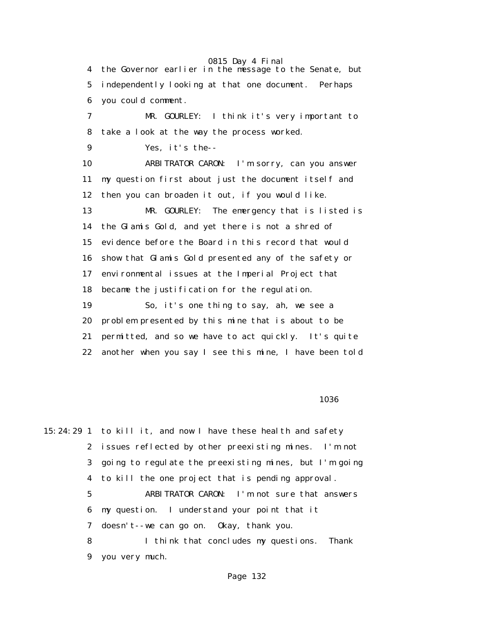0815 Day 4 Final 4 the Governor earlier in the message to the Senate, but 5 independently looking at that one document. Perhaps 6 you could comment. 7 MR. GOURLEY: I think it's very important to 8 take a look at the way the process worked. 9 Yes, it's the-- 10 ARBITRATOR CARON: I'm sorry, can you answer 11 my question first about just the document itself and 12 then you can broaden it out, if you would like. 13 MR. GOURLEY: The emergency that is listed is 14 the Glamis Gold, and yet there is not a shred of 15 evidence before the Board in this record that would 16 show that Glamis Gold presented any of the safety or 17 environmental issues at the Imperial Project that 18 became the justification for the regulation. 19 So, it's one thing to say, ah, we see a 20 problem presented by this mine that is about to be 21 permitted, and so we have to act quickly. It's quite 22 another when you say I see this mine, I have been told

#### $1036$

15:24:29 1 to kill it, and now I have these health and safety 2 issues reflected by other preexisting mines. I'm not 3 going to regulate the preexisting mines, but I'm going 4 to kill the one project that is pending approval. 5 ARBITRATOR CARON: I'm not sure that answers 6 my question. I understand your point that it 7 doesn't--we can go on. Okay, thank you. 8 I think that concludes my questions. Thank 9 you very much.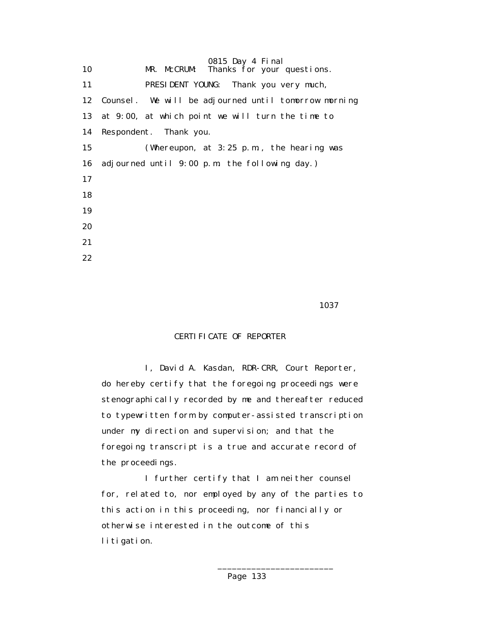|    | 0815 Day 4 Final                                        |
|----|---------------------------------------------------------|
| 10 | MR. McCRUM: Thanks for your questions.                  |
| 11 | PRESIDENT YOUNG: Thank you very much,                   |
|    | 12 Counsel. We will be adjourned until tomorrow morning |
| 13 | at 9:00, at which point we will turn the time to        |
| 14 | Respondent. Thank you.                                  |
| 15 | (Whereupon, at $3:25$ p.m., the hearing was             |
| 16 | adjourned until 9:00 p.m. the following day.)           |
| 17 |                                                         |
| 18 |                                                         |
| 19 |                                                         |
| 20 |                                                         |
| 21 |                                                         |
| 22 |                                                         |

1037 **1037** 

# CERTIFICATE OF REPORTER

 I, David A. Kasdan, RDR-CRR, Court Reporter, do hereby certify that the foregoing proceedings were stenographically recorded by me and thereafter reduced to typewritten form by computer-assisted transcription under my direction and supervision; and that the foregoing transcript is a true and accurate record of the proceedings.

 I further certify that I am neither counsel for, related to, nor employed by any of the parties to this action in this proceeding, nor financially or otherwise interested in the outcome of this litigation.

 $\frac{1}{2}$  , and the set of the set of the set of the set of the set of the set of the set of the set of the set of the set of the set of the set of the set of the set of the set of the set of the set of the set of the set